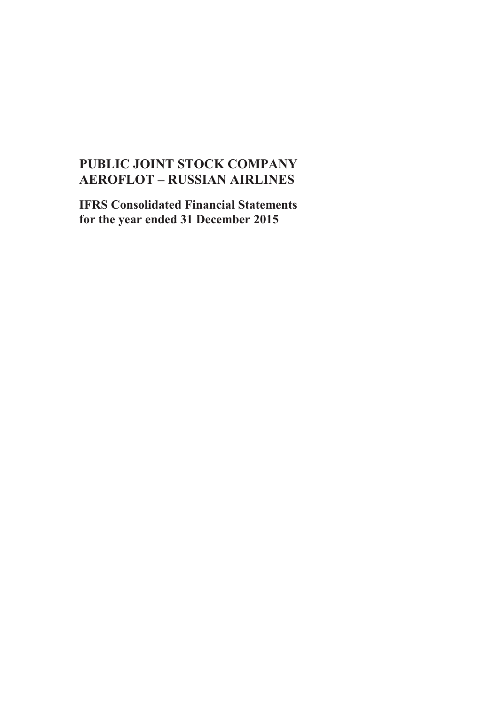# **PUBLIC JOINT STOCK COMPANY AEROFLOT – RUSSIAN AIRLINES**

**IFRS Consolidated Financial Statements for the year ended 31 December 2015**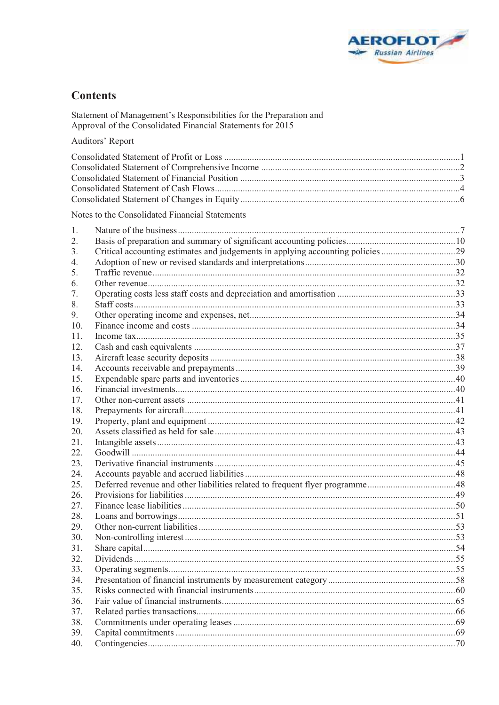

# **Contents**

Statement of Management's Responsibilities for the Preparation and Approval of the Consolidated Financial Statements for 2015

| Auditors' Report |  |
|------------------|--|
|------------------|--|

Notes to the Consolidated Financial Statements

| 1.               |                                                                                 |  |
|------------------|---------------------------------------------------------------------------------|--|
| $\overline{2}$ . |                                                                                 |  |
| 3.               | Critical accounting estimates and judgements in applying accounting policies 29 |  |
| 4.               |                                                                                 |  |
| 5.               |                                                                                 |  |
| 6.               |                                                                                 |  |
| 7.               |                                                                                 |  |
| 8.               |                                                                                 |  |
| 9.               |                                                                                 |  |
| 10.              |                                                                                 |  |
| 11.              |                                                                                 |  |
| 12.              |                                                                                 |  |
| 13.              |                                                                                 |  |
| 14.              |                                                                                 |  |
| 15.              |                                                                                 |  |
| 16.              |                                                                                 |  |
| 17.              |                                                                                 |  |
| 18.              |                                                                                 |  |
| 19.              |                                                                                 |  |
| 20.              |                                                                                 |  |
| 21.              |                                                                                 |  |
| 22.              |                                                                                 |  |
| 23.              |                                                                                 |  |
| 24.              |                                                                                 |  |
| 25.              |                                                                                 |  |
| 26.              |                                                                                 |  |
| 27.              |                                                                                 |  |
| 28.              |                                                                                 |  |
| 29.              |                                                                                 |  |
| 30.              |                                                                                 |  |
| 31.              |                                                                                 |  |
| 32.              |                                                                                 |  |
| 33.              |                                                                                 |  |
| 34.              |                                                                                 |  |
| 35.              |                                                                                 |  |
| 36.              |                                                                                 |  |
| 37.              |                                                                                 |  |
| 38.              |                                                                                 |  |
| 39.              |                                                                                 |  |
| 40.              |                                                                                 |  |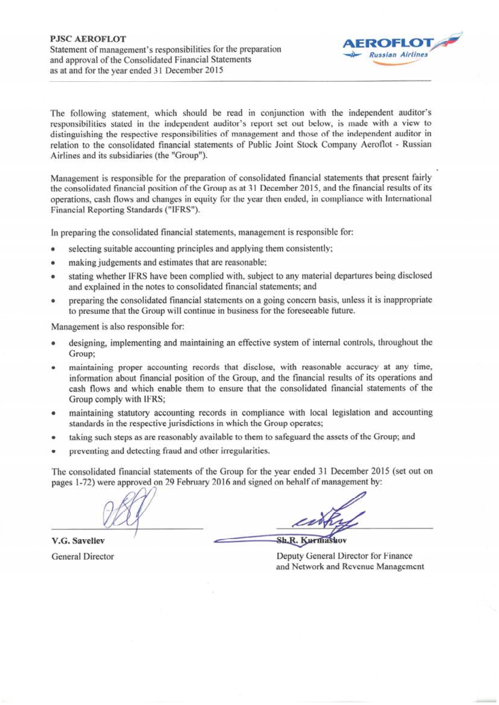#### **PJSC AEROFLOT** Statement of management's responsibilities for the preparation and approval of the Consolidated Financial Statements as at and for the year ended 31 December 2015



The following statement, which should be read in conjunction with the independent auditor's responsibilities stated in the independent auditor's report set out below, is made with a view to distinguishing the respective responsibilities of management and those of the independent auditor in relation to the consolidated financial statements of Public Joint Stock Company Aeroflot - Russian Airlines and its subsidiaries (the "Group").

Management is responsible for the preparation of consolidated financial statements that present fairly the consolidated financial position of the Group as at 31 December 2015, and the financial results of its operations, cash flows and changes in equity for the year then ended, in compliance with International Financial Reporting Standards ("IFRS").

In preparing the consolidated financial statements, management is responsible for:

- selecting suitable accounting principles and applying them consistently;
- making judgements and estimates that are reasonable:
- stating whether IFRS have been complied with, subject to any material departures being disclosed and explained in the notes to consolidated financial statements; and
- preparing the consolidated financial statements on a going concern basis, unless it is inappropriate to presume that the Group will continue in business for the foreseeable future.

Management is also responsible for:

- designing, implementing and maintaining an effective system of internal controls, throughout the Group:
- maintaining proper accounting records that disclose, with reasonable accuracy at any time, information about financial position of the Group, and the financial results of its operations and cash flows and which enable them to ensure that the consolidated financial statements of the Group comply with IFRS;
- maintaining statutory accounting records in compliance with local legislation and accounting standards in the respective jurisdictions in which the Group operates;
- taking such steps as are reasonably available to them to safeguard the assets of the Group; and
- preventing and detecting fraud and other irregularities.

The consolidated financial statements of the Group for the year ended 31 December 2015 (set out on pages 1-72) were approved on 29 February 2016 and signed on behalf of management by:

V.G. Saveliev **General Director** 

**Sh.R. Kurmashov** 

Deputy General Director for Finance and Network and Revenue Management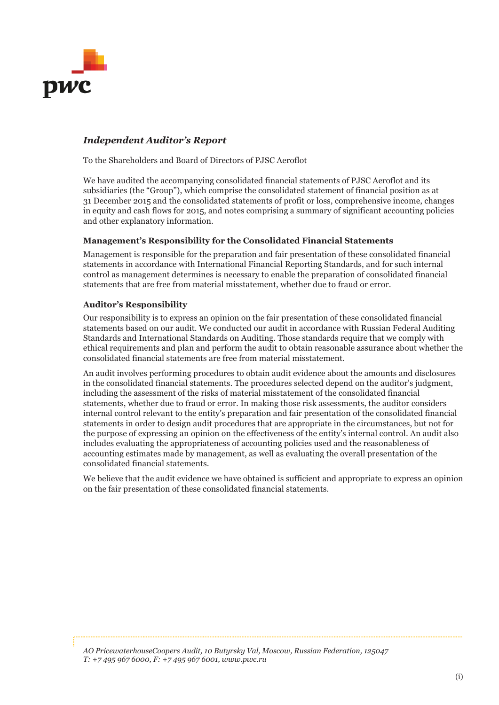

# *Independent Auditor's Report*

To the Shareholders and Board of Directors of PJSC Aeroflot

We have audited the accompanying consolidated financial statements of PJSC Aeroflot and its subsidiaries (the "Group"), which comprise the consolidated statement of financial position as at 31 December 2015 and the consolidated statements of profit or loss, comprehensive income, changes in equity and cash flows for 2015, and notes comprising a summary of significant accounting policies and other explanatory information.

#### **Management's Responsibility for the Consolidated Financial Statements**

Management is responsible for the preparation and fair presentation of these consolidated financial statements in accordance with International Financial Reporting Standards, and for such internal control as management determines is necessary to enable the preparation of consolidated financial statements that are free from material misstatement, whether due to fraud or error.

#### **Auditor's Responsibility**

Our responsibility is to express an opinion on the fair presentation of these consolidated financial statements based on our audit. We conducted our audit in accordance with Russian Federal Auditing Standards and International Standards on Auditing. Those standards require that we comply with ethical requirements and plan and perform the audit to obtain reasonable assurance about whether the consolidated financial statements are free from material misstatement.

An audit involves performing procedures to obtain audit evidence about the amounts and disclosures in the consolidated financial statements. The procedures selected depend on the auditor's judgment, including the assessment of the risks of material misstatement of the consolidated financial statements, whether due to fraud or error. In making those risk assessments, the auditor considers internal control relevant to the entity's preparation and fair presentation of the consolidated financial statements in order to design audit procedures that are appropriate in the circumstances, but not for the purpose of expressing an opinion on the effectiveness of the entity's internal control. An audit also includes evaluating the appropriateness of accounting policies used and the reasonableness of accounting estimates made by management, as well as evaluating the overall presentation of the consolidated financial statements.

We believe that the audit evidence we have obtained is sufficient and appropriate to express an opinion on the fair presentation of these consolidated financial statements.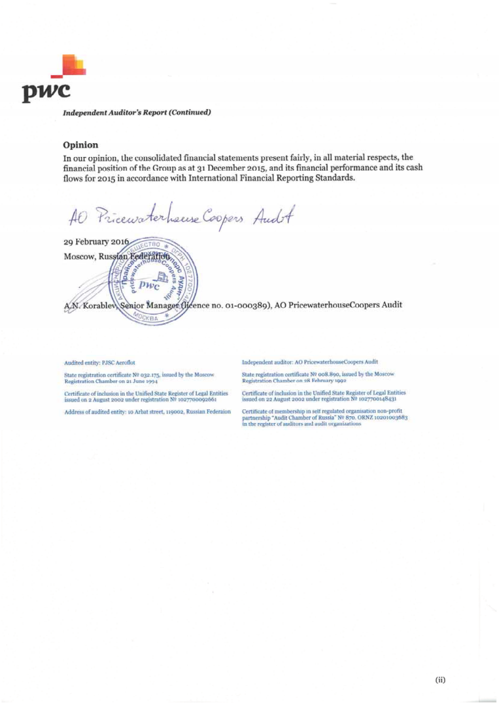

**Independent Auditor's Report (Continued)** 

#### Opinion

In our opinion, the consolidated financial statements present fairly, in all material respects, the financial position of the Group as at 31 December 2015, and its financial performance and its cash flows for 2015 in accordance with International Financial Reporting Standards.

40 Pricewaterhouse Coopers Audit

29 February 2016 CTBO Moscow, Russian Federation **Salar** 

Istor

A/N. Korablev Senior Manager (licence no. 01-000389), AO PricewaterhouseCoopers Audit

Audited entity: PJSC Aeroflot

State registration certificate  $\mathbb{N}^0$ 032.175, issued by the Moscow Registration Chamber on 21 June 1994

Certificate of inclusion in the Unified State Register of Legal Entities issued on 2 August 2002 under registration Nº 1027700092661

 $Dw_C$ 

CRA

Address of audited entity: 10 Arbat street, 119002, Russian Federaion

Independent auditor: AO PricewaterhouseCoopers Audit

State registration certificate Nº 008.890, issued by the Moscow Registration Chamber on 28 February 1992

Certificate of inclusion in the Unified State Register of Legal Entities issued on 22 August 2002 under registration Nº 1027700148431

Certificate of membership in self regulated organisation non-profit partnership "Audit Chamber of Russia" Nº 870. ORNZ 10201003683<br>in the register of auditors and audit organizations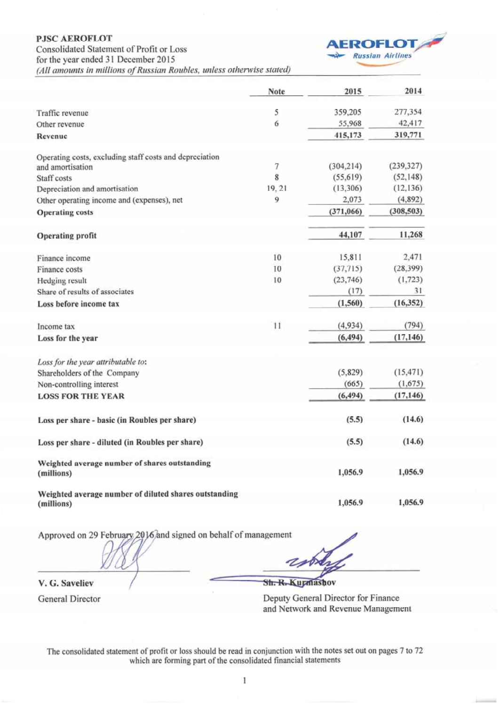### **PJSC AEROFLOT**

Consolidated Statement of Profit or Loss for the year ended 31 December 2015

(All amounts in millions of Russian Roubles, unless otherwise stated)



|                                                                     | Note           | 2015       | 2014       |
|---------------------------------------------------------------------|----------------|------------|------------|
| Traffic revenue                                                     | 5              | 359,205    | 277,354    |
| Other revenue                                                       | 6              | 55,968     | 42,417     |
| Revenue                                                             |                | 415,173    | 319,771    |
| Operating costs, excluding staff costs and depreciation             |                |            |            |
| and amortisation                                                    | $\overline{7}$ | (304, 214) | (239, 327) |
| Staff costs                                                         | 8              | (55, 619)  | (52, 148)  |
| Depreciation and amortisation                                       | 19, 21         | (13,306)   | (12, 136)  |
| Other operating income and (expenses), net                          | 9              | 2,073      | (4, 892)   |
| <b>Operating costs</b>                                              |                | (371,066)  | (308, 503) |
| <b>Operating profit</b>                                             |                | 44,107     | 11,268     |
| Finance income                                                      | 10             | 15,811     | 2,471      |
| Finance costs                                                       | 10             | (37,715)   | (28, 399)  |
| Hedging result                                                      | 10             | (23, 746)  | (1, 723)   |
| Share of results of associates                                      |                | (17)       | 31         |
| Loss before income tax                                              |                | (1, 560)   | (16, 352)  |
| Income tax                                                          | 11             | (4,934)    | (794)      |
| Loss for the year                                                   |                | (6, 494)   | (17, 146)  |
| Loss for the year attributable to:                                  |                |            |            |
| Shareholders of the Company                                         |                | (5,829)    | (15, 471)  |
| Non-controlling interest                                            |                | (665)      | (1,675)    |
| <b>LOSS FOR THE YEAR</b>                                            |                | (6, 494)   | (17, 146)  |
| Loss per share - basic (in Roubles per share)                       |                | (5.5)      | (14.6)     |
| Loss per share - diluted (in Roubles per share)                     |                | (5.5)      | (14.6)     |
| Weighted average number of shares outstanding<br>(millions)         |                | 1,056.9    | 1,056.9    |
| Weighted average number of diluted shares outstanding<br>(millions) |                | 1,056.9    | 1,056.9    |
|                                                                     |                |            |            |

Approved on 29 February 2016 and signed on behalf of management

V. G. Saveliev

**General Director** 

Sh. R. Kurmashov

Deputy General Director for Finance and Network and Revenue Management

The consolidated statement of profit or loss should be read in conjunction with the notes set out on pages 7 to 72 which are forming part of the consolidated financial statements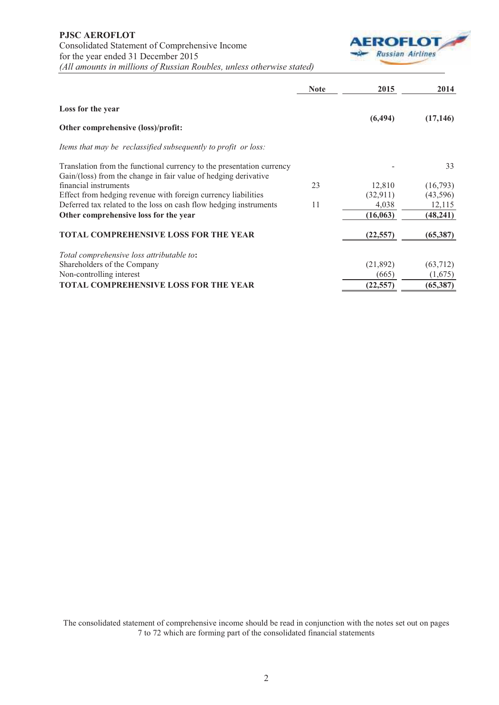

|                                                                                                                                          | <b>Note</b> | 2015      | 2014      |
|------------------------------------------------------------------------------------------------------------------------------------------|-------------|-----------|-----------|
| Loss for the year                                                                                                                        |             |           |           |
| Other comprehensive (loss)/profit:                                                                                                       |             | (6, 494)  | (17, 146) |
| Items that may be reclassified subsequently to profit or loss:                                                                           |             |           |           |
| Translation from the functional currency to the presentation currency<br>Gain/(loss) from the change in fair value of hedging derivative |             |           | 33        |
| financial instruments                                                                                                                    | 23          | 12,810    | (16,793)  |
| Effect from hedging revenue with foreign currency liabilities                                                                            |             | (32, 911) | (43,596)  |
| Deferred tax related to the loss on cash flow hedging instruments                                                                        | 11          | 4,038     | 12,115    |
| Other comprehensive loss for the year                                                                                                    |             | (16, 063) | (48, 241) |
| <b>TOTAL COMPREHENSIVE LOSS FOR THE YEAR</b>                                                                                             |             | (22, 557) | (65, 387) |
| Total comprehensive loss attributable to:                                                                                                |             |           |           |
| Shareholders of the Company                                                                                                              |             | (21,892)  | (63,712)  |
| Non-controlling interest                                                                                                                 |             | (665)     | (1,675)   |
| <b>TOTAL COMPREHENSIVE LOSS FOR THE YEAR</b>                                                                                             |             | (22, 557) | (65, 387) |

The consolidated statement of comprehensive income should be read in conjunction with the notes set out on pages 7 to 72 which are forming part of the consolidated financial statements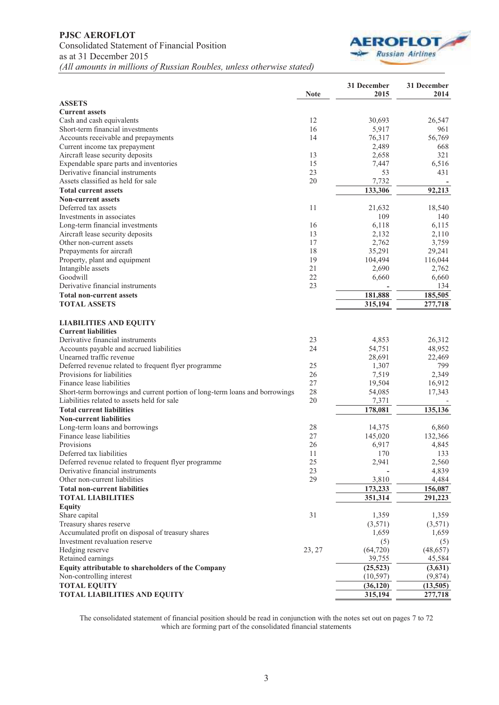### **PJSC AEROFLOT**  Consolidated Statement of Financial Position as at 31 December 2015 *(All amounts in millions of Russian Roubles, unless otherwise stated)*



|                                                                                  |             | 31 December<br>2015 | 31 December<br>2014 |
|----------------------------------------------------------------------------------|-------------|---------------------|---------------------|
| <b>ASSETS</b>                                                                    | <b>Note</b> |                     |                     |
| <b>Current assets</b>                                                            |             |                     |                     |
| Cash and cash equivalents                                                        | 12          | 30,693              | 26,547              |
| Short-term financial investments                                                 | 16          | 5,917               | 961                 |
| Accounts receivable and prepayments                                              | 14          | 76,317              | 56,769              |
| Current income tax prepayment                                                    |             | 2,489               | 668                 |
| Aircraft lease security deposits                                                 | 13          | 2,658               | 321                 |
| Expendable spare parts and inventories                                           | 15          | 7,447               | 6,516               |
| Derivative financial instruments                                                 | 23          | 53                  | 431                 |
| Assets classified as held for sale                                               | 20          | 7,732               |                     |
| <b>Total current assets</b>                                                      |             | 133,306             | 92,213              |
| <b>Non-current assets</b>                                                        |             |                     |                     |
| Deferred tax assets                                                              | 11          | 21,632              | 18,540              |
| Investments in associates                                                        |             | 109                 | 140                 |
| Long-term financial investments                                                  | 16          | 6,118               | 6,115               |
| Aircraft lease security deposits                                                 | 13          | 2,132               | 2,110               |
| Other non-current assets                                                         | 17          | 2,762               | 3,759               |
| Prepayments for aircraft                                                         | 18          | 35,291              | 29,241              |
| Property, plant and equipment                                                    | 19          | 104,494             | 116,044             |
| Intangible assets                                                                | 21          | 2,690               | 2,762               |
| Goodwill                                                                         | 22          | 6,660               | 6,660               |
| Derivative financial instruments                                                 | 23          |                     | 134                 |
| <b>Total non-current assets</b>                                                  |             | 181,888             | 185,505             |
| <b>TOTAL ASSETS</b>                                                              |             | 315,194             | 277,718             |
| <b>LIABILITIES AND EQUITY</b>                                                    |             |                     |                     |
| <b>Current liabilities</b>                                                       |             |                     |                     |
| Derivative financial instruments                                                 | 23          | 4,853               | 26,312              |
| Accounts payable and accrued liabilities                                         | 24          | 54,751              | 48,952              |
| Unearned traffic revenue                                                         |             | 28,691              | 22,469              |
| Deferred revenue related to frequent flyer programme                             | 25          | 1,307               | 799                 |
| Provisions for liabilities                                                       | 26          | 7,519               | 2,349               |
| Finance lease liabilities                                                        | 27          | 19,504              | 16,912              |
| Short-term borrowings and current portion of long-term loans and borrowings      | 28          | 54,085              | 17,343              |
| Liabilities related to assets held for sale                                      | 20          | 7,371               |                     |
| <b>Total current liabilities</b>                                                 |             | 178,081             | 135, 136            |
| <b>Non-current liabilities</b>                                                   |             |                     |                     |
| Long-term loans and borrowings                                                   | 28          | 14,375              | 6,860               |
| Finance lease liabilities                                                        | 27          | 145,020             | 132,366             |
| Provisions                                                                       | 26          | 6,917               | 4,845               |
| Deferred tax liabilities<br>Deferred revenue related to frequent flyer programme | 11<br>25    | 170<br>2,941        | 133<br>2,560        |
| Derivative financial instruments                                                 | 23          |                     | 4,839               |
| Other non-current liabilities                                                    | 29          | 3,810               | 4,484               |
| <b>Total non-current liabilities</b>                                             |             |                     |                     |
| <b>TOTAL LIABILITIES</b>                                                         |             | 173,233<br>351,314  | 156,087<br>291,223  |
| <b>Equity</b>                                                                    |             |                     |                     |
| Share capital                                                                    | 31          | 1,359               | 1,359               |
| Treasury shares reserve                                                          |             | (3,571)             | (3,571)             |
| Accumulated profit on disposal of treasury shares                                |             | 1,659               | 1,659               |
| Investment revaluation reserve                                                   |             | (5)                 | (5)                 |
| Hedging reserve                                                                  | 23, 27      | (64,720)            | (48, 657)           |
| Retained earnings                                                                |             | 39,755              | 45,584              |
| Equity attributable to shareholders of the Company                               |             | (25, 523)           | (3, 631)            |
| Non-controlling interest                                                         |             | (10, 597)           | (9,874)             |
| <b>TOTAL EQUITY</b>                                                              |             | (36, 120)           | (13,505)            |
| <b>TOTAL LIABILITIES AND EQUITY</b>                                              |             | 315,194             | 277,718             |
|                                                                                  |             |                     |                     |

The consolidated statement of financial position should be read in conjunction with the notes set out on pages 7 to 72 which are forming part of the consolidated financial statements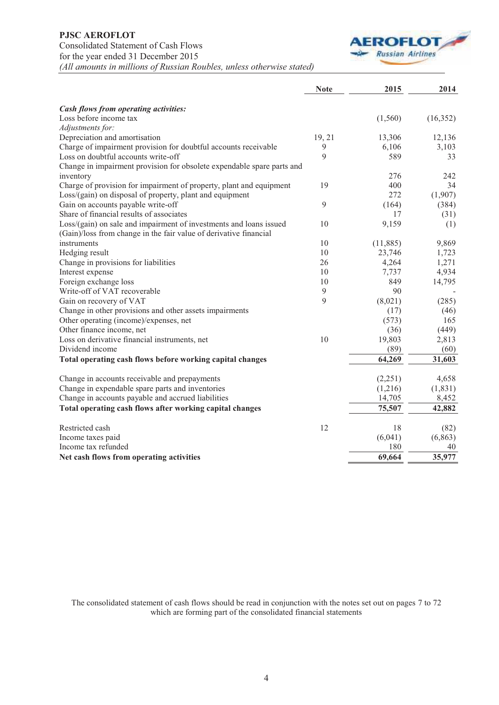### **PJSC AEROFLOT**  Consolidated Statement of Cash Flows for the year ended 31 December 2015



*(All amounts in millions of Russian Roubles, unless otherwise stated)* 

|                                                                        | <b>Note</b> | 2015     | 2014      |
|------------------------------------------------------------------------|-------------|----------|-----------|
| <b>Cash flows from operating activities:</b>                           |             |          |           |
| Loss before income tax                                                 |             | (1, 560) | (16, 352) |
| Adjustments for:                                                       |             |          |           |
| Depreciation and amortisation                                          | 19, 21      | 13,306   | 12,136    |
| Charge of impairment provision for doubtful accounts receivable        | 9           | 6,106    | 3,103     |
| Loss on doubtful accounts write-off                                    | 9           | 589      | 33        |
| Change in impairment provision for obsolete expendable spare parts and |             |          |           |
| inventory                                                              |             | 276      | 242       |
| Charge of provision for impairment of property, plant and equipment    | 19          | 400      | 34        |
| Loss/(gain) on disposal of property, plant and equipment               |             | 272      | (1,907)   |
| Gain on accounts payable write-off                                     | 9           | (164)    | (384)     |
| Share of financial results of associates                               |             | 17       | (31)      |
| Loss/(gain) on sale and impairment of investments and loans issued     | 10          | 9,159    | (1)       |
| (Gain)/loss from change in the fair value of derivative financial      |             |          |           |
| instruments                                                            | 10          | (11,885) | 9,869     |
| Hedging result                                                         | 10          | 23,746   | 1,723     |
| Change in provisions for liabilities                                   | 26          | 4,264    | 1,271     |
| Interest expense                                                       | 10          | 7,737    | 4,934     |
| Foreign exchange loss                                                  | 10          | 849      | 14,795    |
| Write-off of VAT recoverable                                           | 9           | 90       |           |
| Gain on recovery of VAT                                                | 9           | (8,021)  | (285)     |
| Change in other provisions and other assets impairments                |             | (17)     | (46)      |
| Other operating (income)/expenses, net                                 |             | (573)    | 165       |
| Other finance income, net                                              |             | (36)     | (449)     |
| Loss on derivative financial instruments, net                          | 10          | 19,803   | 2,813     |
| Dividend income                                                        |             | (89)     | (60)      |
| Total operating cash flows before working capital changes              |             | 64,269   | 31,603    |
| Change in accounts receivable and prepayments                          |             | (2,251)  | 4,658     |
| Change in expendable spare parts and inventories                       |             | (1,216)  | (1, 831)  |
| Change in accounts payable and accrued liabilities                     |             | 14,705   | 8,452     |
| Total operating cash flows after working capital changes               |             | 75,507   | 42,882    |
| Restricted cash                                                        | 12          | 18       | (82)      |
| Income taxes paid                                                      |             | (6,041)  | (6, 863)  |
| Income tax refunded                                                    |             | 180      | 40        |
| Net cash flows from operating activities                               |             | 69,664   | 35,977    |

The consolidated statement of cash flows should be read in conjunction with the notes set out on pages 7 to 72 which are forming part of the consolidated financial statements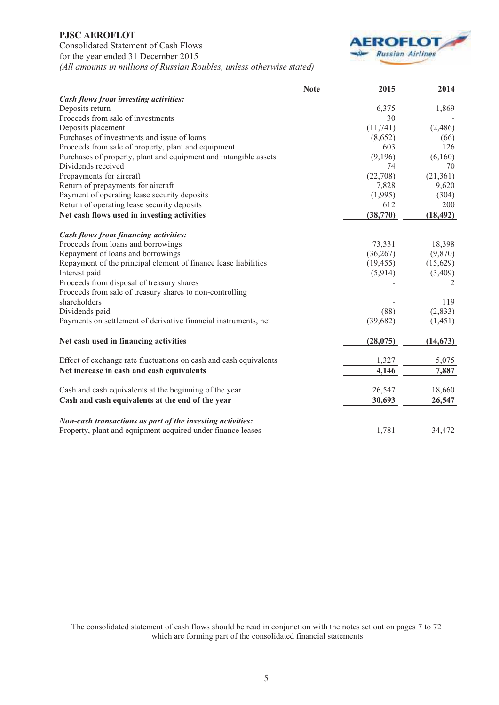### **PJSC AEROFLOT**  Consolidated Statement of Cash Flows for the year ended 31 December 2015 *(All amounts in millions of Russian Roubles, unless otherwise stated)*



|                                                                   | <b>Note</b> | 2015      | 2014      |
|-------------------------------------------------------------------|-------------|-----------|-----------|
| Cash flows from investing activities:                             |             |           |           |
| Deposits return                                                   |             | 6,375     | 1,869     |
| Proceeds from sale of investments                                 |             | 30        |           |
| Deposits placement                                                |             | (11, 741) | (2,486)   |
| Purchases of investments and issue of loans                       |             | (8,652)   | (66)      |
| Proceeds from sale of property, plant and equipment               |             | 603       | 126       |
| Purchases of property, plant and equipment and intangible assets  |             | (9,196)   | (6,160)   |
| Dividends received                                                |             | 74        | 70        |
| Prepayments for aircraft                                          |             | (22,708)  | (21,361)  |
| Return of prepayments for aircraft                                |             | 7,828     | 9,620     |
| Payment of operating lease security deposits                      |             | (1,995)   | (304)     |
| Return of operating lease security deposits                       |             | 612       | 200       |
| Net cash flows used in investing activities                       |             | (38, 770) | (18, 492) |
|                                                                   |             |           |           |
| <b>Cash flows from financing activities:</b>                      |             |           |           |
| Proceeds from loans and borrowings                                |             | 73,331    | 18,398    |
| Repayment of loans and borrowings                                 |             | (36, 267) | (9,870)   |
| Repayment of the principal element of finance lease liabilities   |             | (19, 455) | (15,629)  |
| Interest paid                                                     |             | (5,914)   | (3,409)   |
| Proceeds from disposal of treasury shares                         |             |           | 2         |
| Proceeds from sale of treasury shares to non-controlling          |             |           |           |
| shareholders                                                      |             |           | 119       |
| Dividends paid                                                    |             | (88)      | (2,833)   |
| Payments on settlement of derivative financial instruments, net   |             | (39,682)  | (1, 451)  |
| Net cash used in financing activities                             |             | (28, 075) | (14, 673) |
| Effect of exchange rate fluctuations on cash and cash equivalents |             | 1,327     | 5,075     |
| Net increase in cash and cash equivalents                         |             | 4,146     | 7,887     |
|                                                                   |             |           |           |
| Cash and cash equivalents at the beginning of the year            |             | 26,547    | 18,660    |
| Cash and cash equivalents at the end of the year                  |             | 30,693    | 26,547    |
| Non-cash transactions as part of the investing activities:        |             |           |           |
| Property, plant and equipment acquired under finance leases       |             | 1,781     | 34,472    |

The consolidated statement of cash flows should be read in conjunction with the notes set out on pages 7 to 72 which are forming part of the consolidated financial statements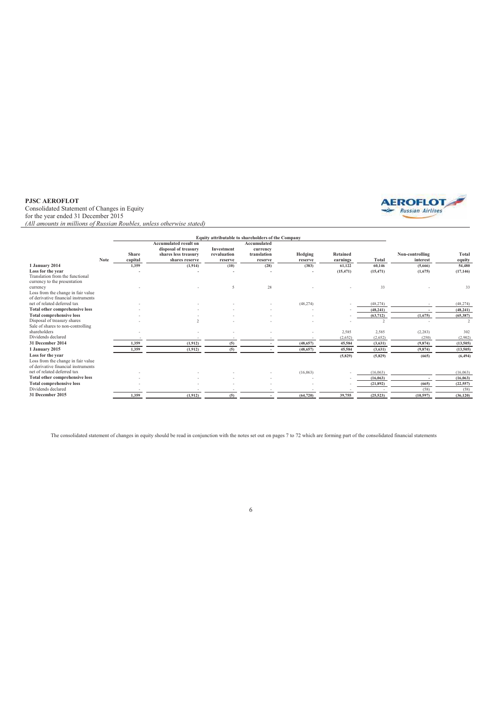#### **PJSC AEROFLOT**

Consolidated Statement of Changes in Equity

for the year ended 31 December 2015

*(All amounts in millions of Russian Roubles, unless otherwise stated)*

|                                                                           |      |                         |                                                                                                |                                      | Equity attributable to shareholders of the Company |                    |                             |                |                             |                 |
|---------------------------------------------------------------------------|------|-------------------------|------------------------------------------------------------------------------------------------|--------------------------------------|----------------------------------------------------|--------------------|-----------------------------|----------------|-----------------------------|-----------------|
|                                                                           | Note | <b>Share</b><br>capital | <b>Accumulated result on</b><br>disposal of treasury<br>shares less treasury<br>shares reserve | Investment<br>revaluation<br>reserve | Accumulated<br>currency<br>translation<br>reserve  | Hedging<br>reserve | <b>Retained</b><br>earnings | Total          | Non-controlling<br>interest | Total<br>equity |
| 1 January 2014                                                            |      | 1,359                   | (1, 914)                                                                                       | (10)                                 | (28)                                               | (383)              | 61.122                      | 60.146         | (5,666)                     | 54,480          |
| Loss for the year                                                         |      |                         |                                                                                                |                                      |                                                    |                    | (15, 471)                   | (15, 471)      | (1,675)                     | (17, 146)       |
| Translation from the functional<br>currency to the presentation           |      |                         |                                                                                                |                                      |                                                    |                    |                             |                |                             |                 |
| currency                                                                  |      |                         |                                                                                                | $\sim$                               | 28                                                 |                    |                             | 33             |                             | 33              |
| Loss from the change in fair value<br>of derivative financial instruments |      |                         |                                                                                                |                                      |                                                    |                    |                             |                |                             |                 |
| net of related deferred tax                                               |      |                         |                                                                                                |                                      |                                                    | (48, 274)          |                             | (48, 274)      |                             | (48, 274)       |
| Total other comprehensive loss                                            |      |                         |                                                                                                |                                      |                                                    |                    |                             | (48, 241)      |                             | (48, 241)       |
| <b>Total comprehensive loss</b>                                           |      |                         |                                                                                                |                                      |                                                    |                    |                             | (63, 712)      | (1,675)                     | (65, 387)       |
| Disposal of treasury shares                                               |      |                         | $\mathcal{D}$                                                                                  |                                      |                                                    |                    |                             | $\mathfrak{D}$ |                             | $\overline{2}$  |
| Sale of shares to non-controlling                                         |      |                         |                                                                                                |                                      |                                                    |                    |                             |                |                             |                 |
| shareholders                                                              |      |                         |                                                                                                |                                      |                                                    |                    | 2,585                       | 2,585          | (2, 283)                    | 302             |
| Dividends declared                                                        |      |                         |                                                                                                |                                      |                                                    |                    | (2,652)                     | (2,652)        | (250)                       | (2,902)         |
| 31 December 2014                                                          |      | 1.359                   | (1, 912)                                                                                       | (5)                                  |                                                    | (48, 657)          | 45,584                      | (3,631)        | (9, 874)                    | (13,505)        |
| 1 January 2015                                                            |      | 1,359                   | (1, 912)                                                                                       | (5)                                  |                                                    | (48, 657)          | 45,584                      | (3,631)        | (9, 874)                    | (13,505)        |
| Loss for the year                                                         |      |                         |                                                                                                |                                      |                                                    |                    | (5,829)                     | (5,829)        | (665)                       | (6, 494)        |
| Loss from the change in fair value                                        |      |                         |                                                                                                |                                      |                                                    |                    |                             |                |                             |                 |
| of derivative financial instruments                                       |      |                         |                                                                                                |                                      |                                                    |                    |                             |                |                             |                 |
| net of related deferred tax                                               |      |                         |                                                                                                |                                      |                                                    | (16,063)           |                             | (16,063)       |                             | (16,063)        |
| Total other comprehensive loss                                            |      |                         |                                                                                                |                                      |                                                    |                    | ٠                           | (16, 063)      |                             | (16, 063)       |
| <b>Total comprehensive loss</b>                                           |      |                         |                                                                                                |                                      |                                                    |                    |                             | (21, 892)      | (665)                       | (22, 557)       |
| Dividends declared                                                        |      |                         |                                                                                                |                                      |                                                    |                    |                             |                | (58)                        | (58)            |
| 31 December 2015                                                          |      | 1.359                   | (1, 912)                                                                                       | (5)                                  | $\overline{\phantom{a}}$                           | (64, 720)          | 39,755                      | (25, 523)      | (10.597)                    | (36, 120)       |

**AEROFLOT** Russian Airlines

The consolidated statement of changes in equity should be read in conjunction with the notes set out on pages 7 to 72 which are forming part of the consolidated financial statements

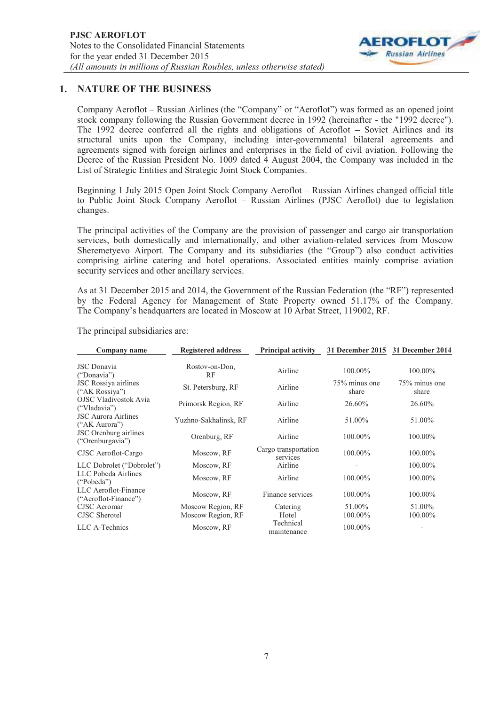

### **1. NATURE OF THE BUSINESS**

Company Aeroflot – Russian Airlines (the "Company" or "Aeroflot") was formed as an opened joint stock company following the Russian Government decree in 1992 (hereinafter - the "1992 decree"). The 1992 decree conferred all the rights and obligations of Aeroflot **–** Soviet Airlines and its structural units upon the Company, including inter-governmental bilateral agreements and agreements signed with foreign airlines and enterprises in the field of civil aviation. Following the Decree of the Russian President No. 1009 dated 4 August 2004, the Company was included in the List of Strategic Entities and Strategic Joint Stock Companies.

Beginning 1 July 2015 Open Joint Stock Company Aeroflot – Russian Airlines changed official title to Public Joint Stock Company Aeroflot – Russian Airlines (PJSC Aeroflot) due to legislation changes.

The principal activities of the Company are the provision of passenger and cargo air transportation services, both domestically and internationally, and other aviation-related services from Moscow Sheremetyevo Airport. The Company and its subsidiaries (the "Group") also conduct activities comprising airline catering and hotel operations. Associated entities mainly comprise aviation security services and other ancillary services.

As at 31 December 2015 and 2014, the Government of the Russian Federation (the "RF") represented by the Federal Agency for Management of State Property owned 51.17% of the Company. The Company's headquarters are located in Moscow at 10 Arbat Street, 119002, RF.

| Company name                                     | <b>Registered address</b> | <b>Principal activity</b>        | 31 December 2015       | 31 December 2014       |
|--------------------------------------------------|---------------------------|----------------------------------|------------------------|------------------------|
| JSC Donavia<br>("Donavia")                       | Rostov-on-Don,<br>RF      | Airline                          | 100.00%                | 100.00%                |
| <b>JSC</b> Rossiya airlines<br>("AK Rossiya")    | St. Petersburg, RF        | Airline                          | 75% minus one<br>share | 75% minus one<br>share |
| OJSC Vladivostok Avia<br>("Vladavia")            | Primorsk Region, RF       | Airline                          | 26.60%                 | 26.60%                 |
| <b>JSC</b> Aurora Airlines<br>("AK Aurora")      | Yuzhno-Sakhalinsk, RF     | Airline                          | 51.00%                 | 51.00%                 |
| <b>JSC</b> Orenburg airlines<br>("Orenburgavia") | Orenburg, RF              | Airline                          | 100.00%                | 100.00%                |
| CJSC Aeroflot-Cargo                              | Moscow, RF                | Cargo transportation<br>services | 100.00%                | 100.00%                |
| LLC Dobrolet ("Dobrolet")                        | Moscow, RF                | Airline                          |                        | 100.00%                |
| LLC Pobeda Airlines<br>("Pobeda")                | Moscow, RF                | Airline                          | 100.00%                | 100.00%                |
| LLC Aeroflot-Finance<br>("Aeroflot-Finance")     | Moscow, RF                | Finance services                 | $100.00\%$             | $100.00\%$             |
| <b>CJSC</b> Aeromar                              | Moscow Region, RF         | Catering                         | 51.00%                 | 51.00%                 |
| <b>CJSC</b> Sherotel                             | Moscow Region, RF         | Hotel                            | 100.00%                | 100.00%                |
| LLC A-Technics                                   | Moscow, RF                | Technical<br>maintenance         | 100.00%                |                        |

The principal subsidiaries are: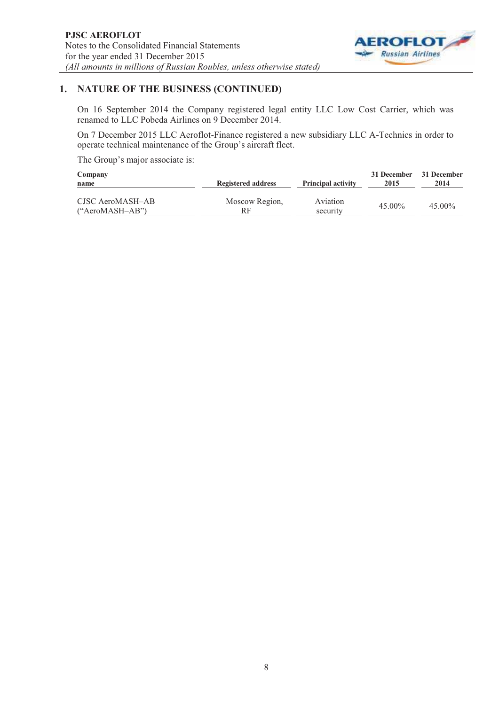

# **1. NATURE OF THE BUSINESS (CONTINUED)**

On 16 September 2014 the Company registered legal entity LLC Low Cost Carrier, which was renamed to LLC Pobeda Airlines on 9 December 2014.

On 7 December 2015 LLC Aeroflot-Finance registered a new subsidiary LLC A-Technics in order to operate technical maintenance of the Group's aircraft fleet.

The Group's major associate is:

| Company          |                           |                           | 31 December | 31 December |
|------------------|---------------------------|---------------------------|-------------|-------------|
| name             | <b>Registered address</b> | <b>Principal activity</b> | 2015        | 2014        |
| CJSC AeroMASH-AB | Moscow Region,            | Aviation                  | $45.00\%$   | $45.00\%$   |
| ("AeroMASH-AB")  | R F                       | security                  |             |             |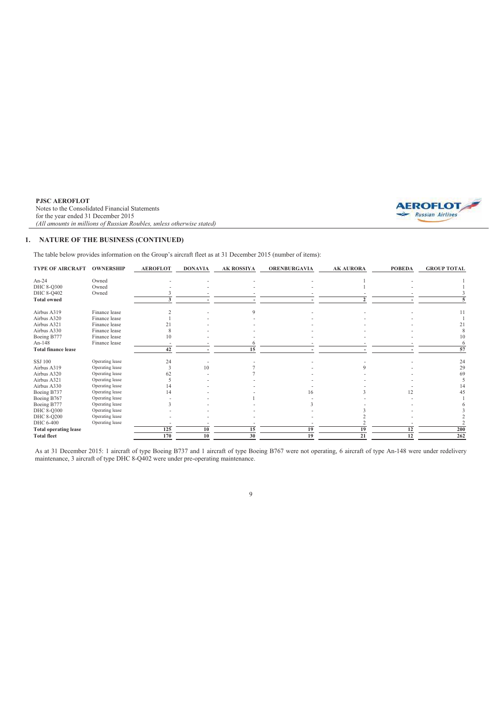**PJSC AEROFLOT**  Notes to the Consolidated Financial Statements for the year ended 31 December 2015 *(All amounts in millions of Russian Roubles, unless otherwise stated)*

# **1. NATURE OF THE BUSINESS (CONTINUED)**

The table below provides information on the Group's aircraft fleet as at 31 December 2015 (number of items):

| <b>TYPE OF AIRCRAFT</b>      | <b>OWNERSHIP</b> | <b>AEROFLOT</b> | <b>DONAVIA</b> | <b>AK ROSSIYA</b> | <b>ORENBURGAVIA</b> | <b>AK AURORA</b> | <b>POBEDA</b> | <b>GROUP TOTAL</b> |
|------------------------------|------------------|-----------------|----------------|-------------------|---------------------|------------------|---------------|--------------------|
| An- $24$                     | Owned            |                 |                |                   |                     |                  |               |                    |
| DHC 8-Q300                   | Owned            |                 |                |                   |                     |                  |               |                    |
| DHC 8-Q402                   | Owned            |                 |                |                   |                     |                  |               |                    |
| <b>Total owned</b>           |                  |                 |                |                   |                     |                  |               |                    |
| Airbus A319                  | Finance lease    |                 |                | 9                 |                     |                  |               |                    |
| Airbus A320                  | Finance lease    |                 |                |                   |                     |                  |               |                    |
| Airbus A321                  | Finance lease    |                 |                |                   |                     |                  |               |                    |
| Airbus A330                  | Finance lease    |                 |                |                   |                     |                  |               |                    |
| Boeing B777                  | Finance lease    | 10              |                |                   |                     |                  |               |                    |
| An- $148$                    | Finance lease    |                 |                |                   |                     |                  |               |                    |
| <b>Total finance lease</b>   |                  | 42              |                | 15                |                     |                  |               | 57                 |
| <b>SSJ 100</b>               | Operating lease  | 24              |                |                   |                     |                  |               | 24                 |
| Airbus A319                  | Operating lease  |                 | 10             |                   |                     |                  |               | 29                 |
| Airbus A320                  | Operating lease  |                 |                |                   |                     |                  |               | 69                 |
| Airbus A321                  | Operating lease  |                 |                |                   |                     |                  |               |                    |
| Airbus A330                  | Operating lease  | 14              |                |                   |                     |                  |               |                    |
| Boeing B737                  | Operating lease  | 14              |                |                   | 16                  |                  |               |                    |
| Boeing B767                  | Operating lease  |                 |                |                   |                     |                  |               |                    |
| Boeing B777                  | Operating lease  |                 |                |                   |                     |                  |               |                    |
| DHC 8-Q300                   | Operating lease  |                 |                |                   |                     |                  |               |                    |
| <b>DHC 8-Q200</b>            | Operating lease  |                 |                |                   |                     |                  |               |                    |
| DHC 6-400                    | Operating lease  |                 |                |                   |                     |                  |               |                    |
| <b>Total operating lease</b> |                  | 125             | 10             | 15                | 19                  | 19               | 12            | 200                |
| <b>Total fleet</b>           |                  | 170             | 10             | 30                | 19                  | 21               | 12            | 262                |

**AEROFLOT** - Russian Airlines

As at 31 December 2015: 1 aircraft of type Boeing B737 and 1 aircraft of type Boeing B767 were not operating, 6 aircraft of type An-148 were under redelivery maintenance, 3 aircraft of type DHC 8-Q402 were under pre-operating maintenance.

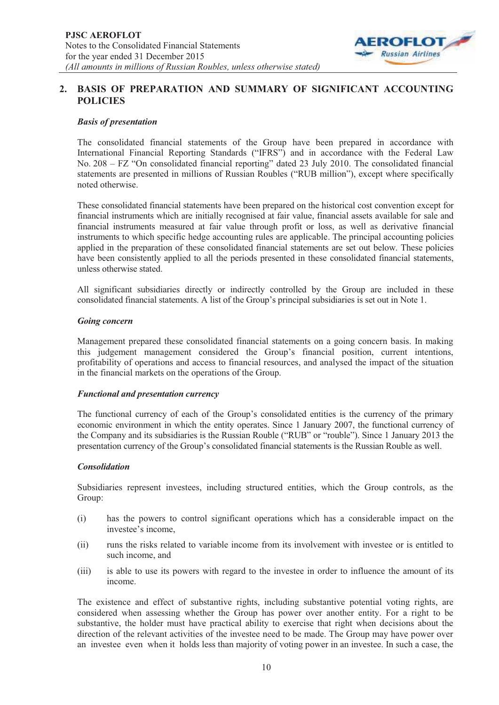

#### *Basis of presentation*

The consolidated financial statements of the Group have been prepared in accordance with International Financial Reporting Standards ("IFRS") and in accordance with the Federal Law No. 208 – FZ "On consolidated financial reporting" dated 23 July 2010. The consolidated financial statements are presented in millions of Russian Roubles ("RUB million"), except where specifically noted otherwise.

These consolidated financial statements have been prepared on the historical cost convention except for financial instruments which are initially recognised at fair value, financial assets available for sale and financial instruments measured at fair value through profit or loss, as well as derivative financial instruments to which specific hedge accounting rules are applicable. The principal accounting policies applied in the preparation of these consolidated financial statements are set out below. These policies have been consistently applied to all the periods presented in these consolidated financial statements, unless otherwise stated.

All significant subsidiaries directly or indirectly controlled by the Group are included in these consolidated financial statements. A list of the Group's principal subsidiaries is set out in Note 1.

### *Going concern*

Management prepared these consolidated financial statements on a going concern basis. In making this judgement management considered the Group's financial position, current intentions, profitability of operations and access to financial resources, and analysed the impact of the situation in the financial markets on the operations of the Group.

#### *Functional and presentation currency*

The functional currency of each of the Group's consolidated entities is the currency of the primary economic environment in which the entity operates. Since 1 January 2007, the functional currency of the Company and its subsidiaries is the Russian Rouble ("RUB" or "rouble"). Since 1 January 2013 the presentation currency of the Group's consolidated financial statements is the Russian Rouble as well.

#### *Consolidation*

Subsidiaries represent investees, including structured entities, which the Group controls, as the Group:

- (i) has the powers to control significant operations which has a considerable impact on the investee's income,
- (ii) runs the risks related to variable income from its involvement with investee or is entitled to such income, and
- (iii) is able to use its powers with regard to the investee in order to influence the amount of its income.

The existence and effect of substantive rights, including substantive potential voting rights, are considered when assessing whether the Group has power over another entity. For a right to be substantive, the holder must have practical ability to exercise that right when decisions about the direction of the relevant activities of the investee need to be made. The Group may have power over an investee even when it holds less than majority of voting power in an investee. In such a case, the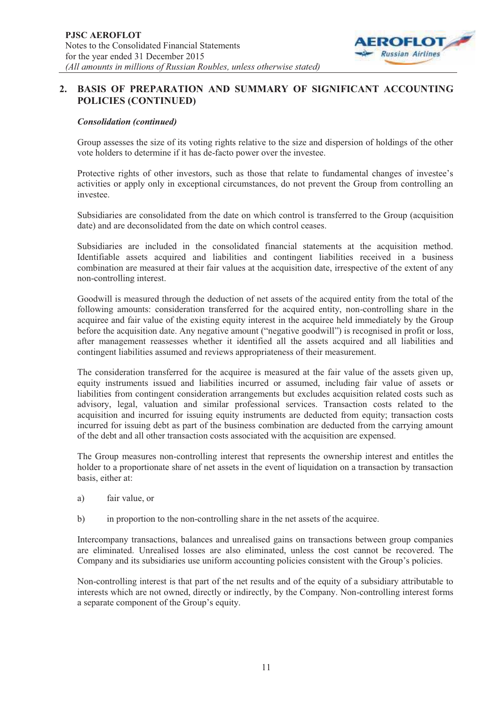

#### *Consolidation (continued)*

Group assesses the size of its voting rights relative to the size and dispersion of holdings of the other vote holders to determine if it has de-facto power over the investee.

Protective rights of other investors, such as those that relate to fundamental changes of investee's activities or apply only in exceptional circumstances, do not prevent the Group from controlling an investee.

Subsidiaries are consolidated from the date on which control is transferred to the Group (acquisition date) and are deconsolidated from the date on which control ceases.

Subsidiaries are included in the consolidated financial statements at the acquisition method. Identifiable assets acquired and liabilities and contingent liabilities received in a business combination are measured at their fair values at the acquisition date, irrespective of the extent of any non-controlling interest.

Goodwill is measured through the deduction of net assets of the acquired entity from the total of the following amounts: consideration transferred for the acquired entity, non-controlling share in the acquiree and fair value of the existing equity interest in the acquiree held immediately by the Group before the acquisition date. Any negative amount ("negative goodwill") is recognised in profit or loss, after management reassesses whether it identified all the assets acquired and all liabilities and contingent liabilities assumed and reviews appropriateness of their measurement.

The consideration transferred for the acquiree is measured at the fair value of the assets given up, equity instruments issued and liabilities incurred or assumed, including fair value of assets or liabilities from contingent consideration arrangements but excludes acquisition related costs such as advisory, legal, valuation and similar professional services. Transaction costs related to the acquisition and incurred for issuing equity instruments are deducted from equity; transaction costs incurred for issuing debt as part of the business combination are deducted from the carrying amount of the debt and all other transaction costs associated with the acquisition are expensed.

The Group measures non-controlling interest that represents the ownership interest and entitles the holder to a proportionate share of net assets in the event of liquidation on a transaction by transaction basis, either at:

- а) fair value, or
- b) in proportion to the non-controlling share in the net assets of the acquiree.

Intercompany transactions, balances and unrealised gains on transactions between group companies are eliminated. Unrealised losses are also eliminated, unless the cost cannot be recovered. The Company and its subsidiaries use uniform accounting policies consistent with the Group's policies.

Non-controlling interest is that part of the net results and of the equity of a subsidiary attributable to interests which are not owned, directly or indirectly, by the Company. Non-controlling interest forms a separate component of the Group's equity.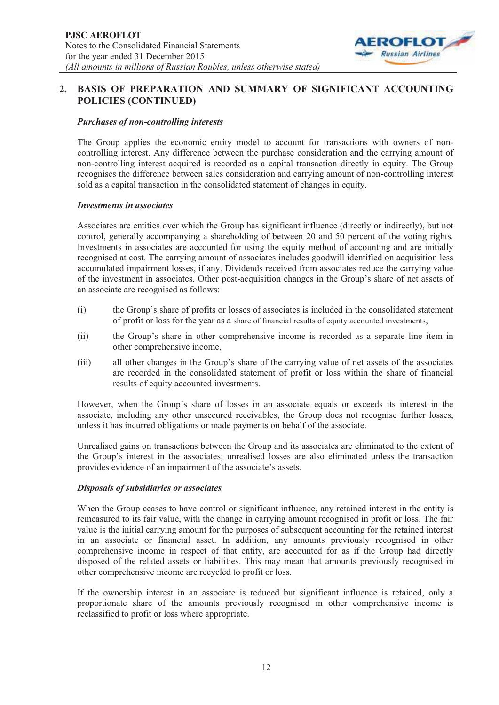

#### *Purchases of non-controlling interests*

The Group applies the economic entity model to account for transactions with owners of noncontrolling interest. Any difference between the purchase consideration and the carrying amount of non-controlling interest acquired is recorded as a capital transaction directly in equity. The Group recognises the difference between sales consideration and carrying amount of non-controlling interest sold as a capital transaction in the consolidated statement of changes in equity.

#### *Investments in associates*

Associates are entities over which the Group has significant influence (directly or indirectly), but not control, generally accompanying a shareholding of between 20 and 50 percent of the voting rights. Investments in associates are accounted for using the equity method of accounting and are initially recognised at cost. The carrying amount of associates includes goodwill identified on acquisition less accumulated impairment losses, if any. Dividends received from associates reduce the carrying value of the investment in associates. Other post-acquisition changes in the Group's share of net assets of an associate are recognised as follows:

- (i) the Group's share of profits or losses of associates is included in the consolidated statement of profit or loss for the year as a share of financial results of equity accounted investments,
- (ii) the Group's share in other comprehensive income is recorded as a separate line item in other comprehensive income,
- (iii) all other changes in the Group's share of the carrying value of net assets of the associates are recorded in the consolidated statement of profit or loss within the share of financial results of equity accounted investments.

However, when the Group's share of losses in an associate equals or exceeds its interest in the associate, including any other unsecured receivables, the Group does not recognise further losses, unless it has incurred obligations or made payments on behalf of the associate.

Unrealised gains on transactions between the Group and its associates are eliminated to the extent of the Group's interest in the associates; unrealised losses are also eliminated unless the transaction provides evidence of an impairment of the associate's assets.

#### *Disposals of subsidiaries or associates*

When the Group ceases to have control or significant influence, any retained interest in the entity is remeasured to its fair value, with the change in carrying amount recognised in profit or loss. The fair value is the initial carrying amount for the purposes of subsequent accounting for the retained interest in an associate or financial asset. In addition, any amounts previously recognised in other comprehensive income in respect of that entity, are accounted for as if the Group had directly disposed of the related assets or liabilities. This may mean that amounts previously recognised in other comprehensive income are recycled to profit or loss.

If the ownership interest in an associate is reduced but significant influence is retained, only a proportionate share of the amounts previously recognised in other comprehensive income is reclassified to profit or loss where appropriate.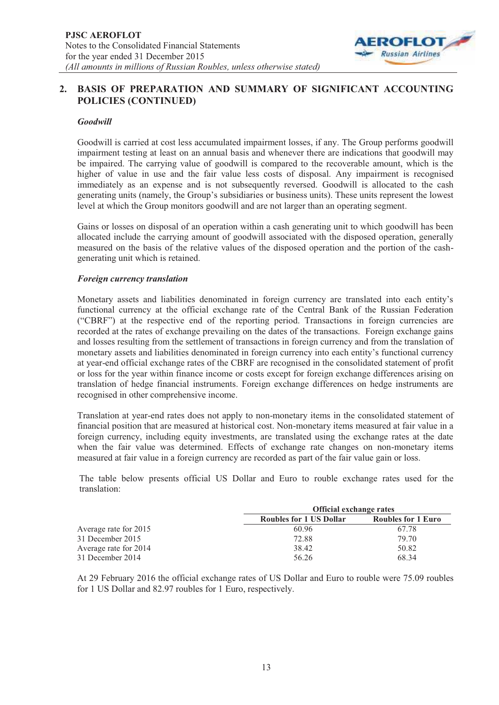

#### *Goodwill*

Goodwill is carried at cost less accumulated impairment losses, if any. The Group performs goodwill impairment testing at least on an annual basis and whenever there are indications that goodwill may be impaired. The carrying value of goodwill is compared to the recoverable amount, which is the higher of value in use and the fair value less costs of disposal. Any impairment is recognised immediately as an expense and is not subsequently reversed. Goodwill is allocated to the cash generating units (namely, the Group's subsidiaries or business units). These units represent the lowest level at which the Group monitors goodwill and are not larger than an operating segment.

Gains or losses on disposal of an operation within a cash generating unit to which goodwill has been allocated include the carrying amount of goodwill associated with the disposed operation, generally measured on the basis of the relative values of the disposed operation and the portion of the cashgenerating unit which is retained.

#### *Foreign currency translation*

Monetary assets and liabilities denominated in foreign currency are translated into each entity's functional currency at the official exchange rate of the Central Bank of the Russian Federation ("CBRF") at the respective end of the reporting period. Transactions in foreign currencies are recorded at the rates of exchange prevailing on the dates of the transactions. Foreign exchange gains and losses resulting from the settlement of transactions in foreign currency and from the translation of monetary assets and liabilities denominated in foreign currency into each entity's functional currency at year-end official exchange rates of the CBRF are recognised in the consolidated statement of profit or loss for the year within finance income or costs except for foreign exchange differences arising on translation of hedge financial instruments. Foreign exchange differences on hedge instruments are recognised in other comprehensive income.

Translation at year-end rates does not apply to non-monetary items in the consolidated statement of financial position that are measured at historical cost. Non-monetary items measured at fair value in a foreign currency, including equity investments, are translated using the exchange rates at the date when the fair value was determined. Effects of exchange rate changes on non-monetary items measured at fair value in a foreign currency are recorded as part of the fair value gain or loss.

The table below presents official US Dollar and Euro to rouble exchange rates used for the translation:

|                       | <b>Official exchange rates</b> |                           |
|-----------------------|--------------------------------|---------------------------|
|                       | <b>Roubles for 1 US Dollar</b> | <b>Roubles for 1 Euro</b> |
| Average rate for 2015 | 60.96                          | 67.78                     |
| 31 December 2015      | 72.88                          | 79.70                     |
| Average rate for 2014 | 38.42                          | 50.82                     |
| 31 December 2014      | 56.26                          | 68.34                     |

At 29 February 2016 the official exchange rates of US Dollar and Euro to rouble were 75.09 roubles for 1 US Dollar and 82.97 roubles for 1 Euro, respectively.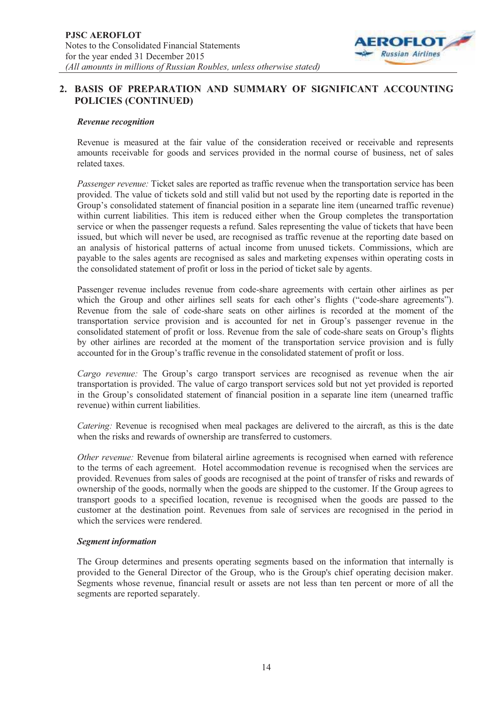

#### *Revenue recognition*

Revenue is measured at the fair value of the consideration received or receivable and represents amounts receivable for goods and services provided in the normal course of business, net of sales related taxes.

*Passenger revenue:* Ticket sales are reported as traffic revenue when the transportation service has been provided. The value of tickets sold and still valid but not used by the reporting date is reported in the Group's consolidated statement of financial position in a separate line item (unearned traffic revenue) within current liabilities. This item is reduced either when the Group completes the transportation service or when the passenger requests a refund. Sales representing the value of tickets that have been issued, but which will never be used, are recognised as traffic revenue at the reporting date based on an analysis of historical patterns of actual income from unused tickets. Commissions, which are payable to the sales agents are recognised as sales and marketing expenses within operating costs in the consolidated statement of profit or loss in the period of ticket sale by agents.

Passenger revenue includes revenue from code-share agreements with certain other airlines as per which the Group and other airlines sell seats for each other's flights ("code-share agreements"). Revenue from the sale of code-share seats on other airlines is recorded at the moment of the transportation service provision and is accounted for net in Group's passenger revenue in the consolidated statement of profit or loss. Revenue from the sale of code-share seats on Group's flights by other airlines are recorded at the moment of the transportation service provision and is fully accounted for in the Group's traffic revenue in the consolidated statement of profit or loss.

*Cargo revenue:* The Group's cargo transport services are recognised as revenue when the air transportation is provided. The value of cargo transport services sold but not yet provided is reported in the Group's consolidated statement of financial position in a separate line item (unearned traffic revenue) within current liabilities.

*Catering:* Revenue is recognised when meal packages are delivered to the aircraft, as this is the date when the risks and rewards of ownership are transferred to customers.

*Other revenue:* Revenue from bilateral airline agreements is recognised when earned with reference to the terms of each agreement. Hotel accommodation revenue is recognised when the services are provided. Revenues from sales of goods are recognised at the point of transfer of risks and rewards of ownership of the goods, normally when the goods are shipped to the customer. If the Group agrees to transport goods to a specified location, revenue is recognised when the goods are passed to the customer at the destination point. Revenues from sale of services are recognised in the period in which the services were rendered.

#### *Segment information*

The Group determines and presents operating segments based on the information that internally is provided to the General Director of the Group, who is the Group's chief operating decision maker. Segments whose revenue, financial result or assets are not less than ten percent or more of all the segments are reported separately.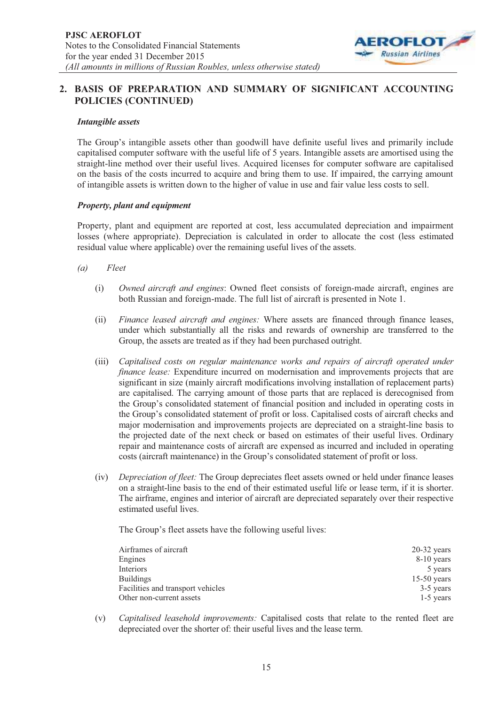

#### *Intangible assets*

The Group's intangible assets other than goodwill have definite useful lives and primarily include capitalised computer software with the useful life of 5 years. Intangible assets are amortised using the straight-line method over their useful lives. Acquired licenses for computer software are capitalised on the basis of the costs incurred to acquire and bring them to use. If impaired, the carrying amount of intangible assets is written down to the higher of value in use and fair value less costs to sell.

#### *Property, plant and equipment*

Property, plant and equipment are reported at cost, less accumulated depreciation and impairment losses (where appropriate). Depreciation is calculated in order to allocate the cost (less estimated residual value where applicable) over the remaining useful lives of the assets.

- *(a) Fleet* 
	- (i) *Owned aircraft and engines*: Owned fleet consists of foreign-made aircraft, engines are both Russian and foreign-made. The full list of aircraft is presented in Note 1.
	- (ii) *Finance leased aircraft and engines:* Where assets are financed through finance leases, under which substantially all the risks and rewards of ownership are transferred to the Group, the assets are treated as if they had been purchased outright.
	- (iii) *Capitalised costs on regular maintenance works and repairs of aircraft operated under finance lease:* Expenditure incurred on modernisation and improvements projects that are significant in size (mainly aircraft modifications involving installation of replacement parts) are capitalised. The carrying amount of those parts that are replaced is derecognised from the Group's consolidated statement of financial position and included in operating costs in the Group's consolidated statement of profit or loss. Capitalised costs of aircraft checks and major modernisation and improvements projects are depreciated on a straight-line basis to the projected date of the next check or based on estimates of their useful lives. Ordinary repair and maintenance costs of aircraft are expensed as incurred and included in operating costs (aircraft maintenance) in the Group's consolidated statement of profit or loss.
	- (iv) *Depreciation of fleet:* The Group depreciates fleet assets owned or held under finance leases on a straight-line basis to the end of their estimated useful life or lease term, if it is shorter. The airframe, engines and interior of aircraft are depreciated separately over their respective estimated useful lives.

The Group's fleet assets have the following useful lives:

| Airframes of aircraft<br>Engines  | $20-32$ years<br>$8-10$ years |
|-----------------------------------|-------------------------------|
| Interiors                         | 5 years                       |
| <b>Buildings</b>                  | $15-50$ years                 |
| Facilities and transport vehicles | 3-5 years                     |
| Other non-current assets          | $1-5$ years                   |

(v) *Capitalised leasehold improvements:* Capitalised costs that relate to the rented fleet are depreciated over the shorter of: their useful lives and the lease term.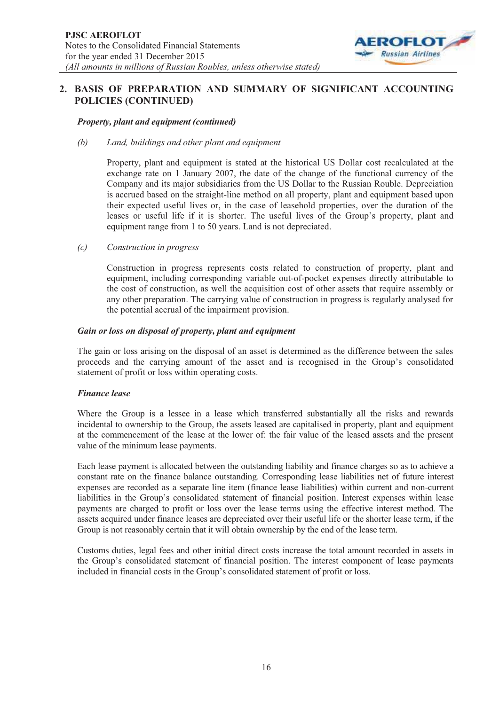

#### *Property, plant and equipment (continued)*

#### *(b) Land, buildings and other plant and equipment*

Property, plant and equipment is stated at the historical US Dollar cost recalculated at the exchange rate on 1 January 2007, the date of the change of the functional currency of the Company and its major subsidiaries from the US Dollar to the Russian Rouble. Depreciation is accrued based on the straight-line method on all property, plant and equipment based upon their expected useful lives or, in the case of leasehold properties, over the duration of the leases or useful life if it is shorter. The useful lives of the Group's property, plant and equipment range from 1 to 50 years. Land is not depreciated.

#### *(c) Construction in progress*

Construction in progress represents costs related to construction of property, plant and equipment, including corresponding variable out-of-pocket expenses directly attributable to the cost of construction, as well the acquisition cost of other assets that require assembly or any other preparation. The carrying value of construction in progress is regularly analysed for the potential accrual of the impairment provision.

### *Gain or loss on disposal of property, plant and equipment*

The gain or loss arising on the disposal of an asset is determined as the difference between the sales proceeds and the carrying amount of the asset and is recognised in the Group's consolidated statement of profit or loss within operating costs.

#### *Finance lease*

Where the Group is a lessee in a lease which transferred substantially all the risks and rewards incidental to ownership to the Group, the assets leased are capitalised in property, plant and equipment at the commencement of the lease at the lower of: the fair value of the leased assets and the present value of the minimum lease payments.

Each lease payment is allocated between the outstanding liability and finance charges so as to achieve a constant rate on the finance balance outstanding. Corresponding lease liabilities net of future interest expenses are recorded as a separate line item (finance lease liabilities) within current and non-current liabilities in the Group's consolidated statement of financial position. Interest expenses within lease payments are charged to profit or loss over the lease terms using the effective interest method. The assets acquired under finance leases are depreciated over their useful life or the shorter lease term, if the Group is not reasonably certain that it will obtain ownership by the end of the lease term.

Customs duties, legal fees and other initial direct costs increase the total amount recorded in assets in the Group's consolidated statement of financial position. The interest component of lease payments included in financial costs in the Group's consolidated statement of profit or loss.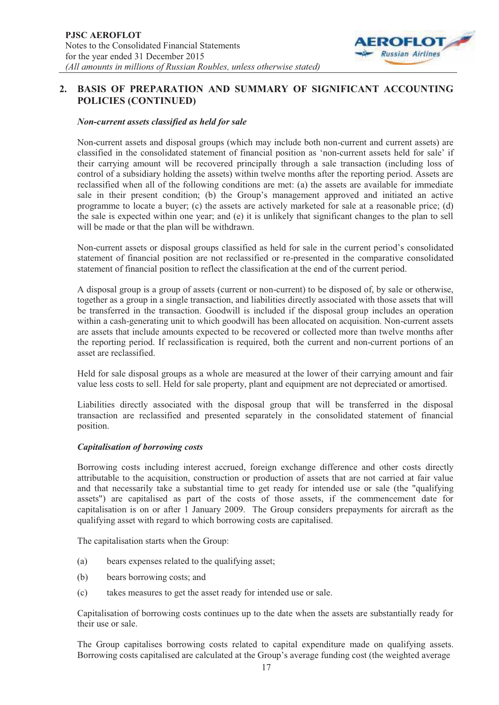

#### *Non-current assets classified as held for sale*

Non-current assets and disposal groups (which may include both non-current and current assets) are classified in the consolidated statement of financial position as 'non-current assets held for sale' if their carrying amount will be recovered principally through a sale transaction (including loss of control of a subsidiary holding the assets) within twelve months after the reporting period. Assets are reclassified when all of the following conditions are met: (a) the assets are available for immediate sale in their present condition; (b) the Group's management approved and initiated an active programme to locate a buyer; (c) the assets are actively marketed for sale at a reasonable price; (d) the sale is expected within one year; and (e) it is unlikely that significant changes to the plan to sell will be made or that the plan will be withdrawn.

Non-current assets or disposal groups classified as held for sale in the current period's consolidated statement of financial position are not reclassified or re-presented in the comparative consolidated statement of financial position to reflect the classification at the end of the current period.

A disposal group is a group of assets (current or non-current) to be disposed of, by sale or otherwise, together as a group in a single transaction, and liabilities directly associated with those assets that will be transferred in the transaction. Goodwill is included if the disposal group includes an operation within a cash-generating unit to which goodwill has been allocated on acquisition. Non-current assets are assets that include amounts expected to be recovered or collected more than twelve months after the reporting period. If reclassification is required, both the current and non-current portions of an asset are reclassified.

Held for sale disposal groups as a whole are measured at the lower of their carrying amount and fair value less costs to sell. Held for sale property, plant and equipment are not depreciated or amortised.

Liabilities directly associated with the disposal group that will be transferred in the disposal transaction are reclassified and presented separately in the consolidated statement of financial position.

#### *Capitalisation of borrowing costs*

Borrowing costs including interest accrued, foreign exchange difference and other costs directly attributable to the acquisition, construction or production of assets that are not carried at fair value and that necessarily take a substantial time to get ready for intended use or sale (the "qualifying assets") are capitalised as part of the costs of those assets, if the commencement date for capitalisation is on or after 1 January 2009. The Group considers prepayments for aircraft as the qualifying asset with regard to which borrowing costs are capitalised.

The capitalisation starts when the Group:

- (а) bears expenses related to the qualifying asset;
- (b) bears borrowing costs; and
- (c) takes measures to get the asset ready for intended use or sale.

Capitalisation of borrowing costs continues up to the date when the assets are substantially ready for their use or sale.

The Group capitalises borrowing costs related to capital expenditure made on qualifying assets. Borrowing costs capitalised are calculated at the Group's average funding cost (the weighted average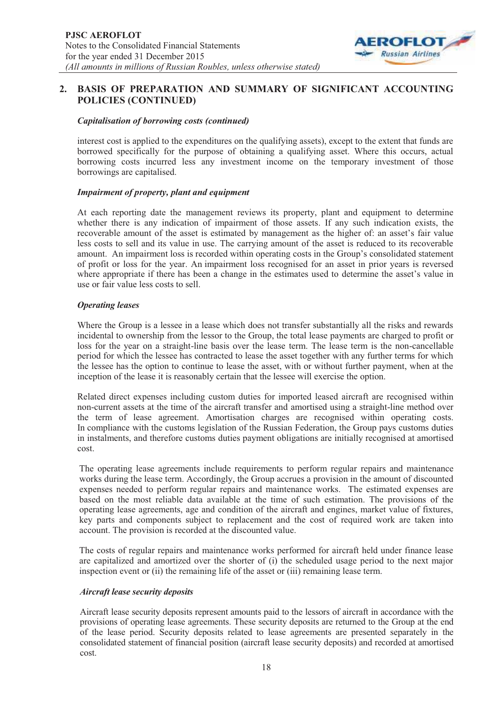

#### *Capitalisation of borrowing costs (continued)*

interest cost is applied to the expenditures on the qualifying assets), except to the extent that funds are borrowed specifically for the purpose of obtaining a qualifying asset. Where this occurs, actual borrowing costs incurred less any investment income on the temporary investment of those borrowings are capitalised.

#### *Impairment of property, plant and equipment*

At each reporting date the management reviews its property, plant and equipment to determine whether there is any indication of impairment of those assets. If any such indication exists, the recoverable amount of the asset is estimated by management as the higher of: an asset's fair value less costs to sell and its value in use. The carrying amount of the asset is reduced to its recoverable amount. An impairment loss is recorded within operating costs in the Group's consolidated statement of profit or loss for the year. An impairment loss recognised for an asset in prior years is reversed where appropriate if there has been a change in the estimates used to determine the asset's value in use or fair value less costs to sell.

#### *Operating leases*

Where the Group is a lessee in a lease which does not transfer substantially all the risks and rewards incidental to ownership from the lessor to the Group, the total lease payments are charged to profit or loss for the year on a straight-line basis over the lease term. The lease term is the non-cancellable period for which the lessee has contracted to lease the asset together with any further terms for which the lessee has the option to continue to lease the asset, with or without further payment, when at the inception of the lease it is reasonably certain that the lessee will exercise the option.

Related direct expenses including custom duties for imported leased aircraft are recognised within non-current assets at the time of the aircraft transfer and amortised using a straight-line method over the term of lease agreement. Amortisation charges are recognised within operating costs. In compliance with the customs legislation of the Russian Federation, the Group pays customs duties in instalments, and therefore customs duties payment obligations are initially recognised at amortised cost.

The operating lease agreements include requirements to perform regular repairs and maintenance works during the lease term. Accordingly, the Group accrues a provision in the amount of discounted expenses needed to perform regular repairs and maintenance works. The estimated expenses are based on the most reliable data available at the time of such estimation. The provisions of the operating lease agreements, age and condition of the aircraft and engines, market value of fixtures, key parts and components subject to replacement and the cost of required work are taken into account. The provision is recorded at the discounted value.

The costs of regular repairs and maintenance works performed for aircraft held under finance lease are capitalized and amortized over the shorter of (i) the scheduled usage period to the next major inspection event or (ii) the remaining life of the asset or (iii) remaining lease term.

#### *Aircraft lease security deposits*

Aircraft lease security deposits represent amounts paid to the lessors of aircraft in accordance with the provisions of operating lease agreements. These security deposits are returned to the Group at the end of the lease period. Security deposits related to lease agreements are presented separately in the consolidated statement of financial position (aircraft lease security deposits) and recorded at amortised cost.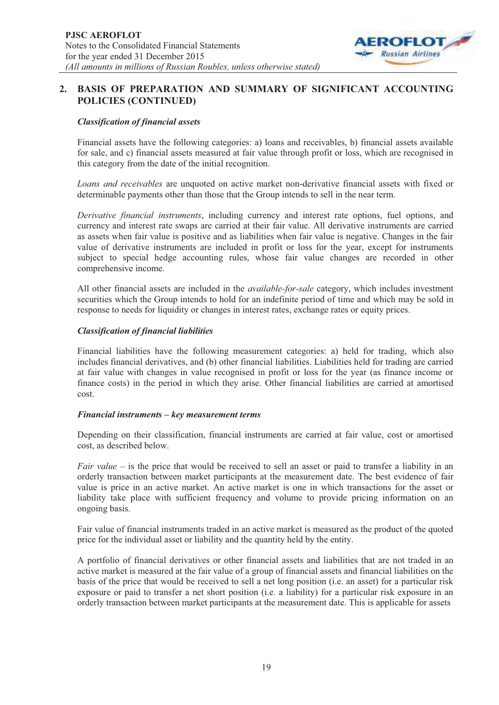

#### *Classification of financial assets*

Financial assets have the following categories: а) loans and receivables, b) financial assets available for sale, and c) financial assets measured at fair value through profit or loss, which are recognised in this category from the date of the initial recognition.

*Loans and receivables* are unquoted on active market non-derivative financial assets with fixed or determinable payments other than those that the Group intends to sell in the near term.

*Derivative financial instruments*, including currency and interest rate options, fuel options, and currency and interest rate swaps are carried at their fair value. All derivative instruments are carried as assets when fair value is positive and as liabilities when fair value is negative. Changes in the fair value of derivative instruments are included in profit or loss for the year, except for instruments subject to special hedge accounting rules, whose fair value changes are recorded in other comprehensive income.

All other financial assets are included in the *available-for-sale* category, which includes investment securities which the Group intends to hold for an indefinite period of time and which may be sold in response to needs for liquidity or changes in interest rates, exchange rates or equity prices.

#### *Classification of financial liabilities*

Financial liabilities have the following measurement categories: a) held for trading, which also includes financial derivatives, and (b) other financial liabilities. Liabilities held for trading are carried at fair value with changes in value recognised in profit or loss for the year (as finance income or finance costs) in the period in which they arise. Other financial liabilities are carried at amortised cost.

#### *Financial instruments – key measurement terms*

Depending on their classification, financial instruments are carried at fair value, cost or amortised cost, as described below.

*Fair value* – is the price that would be received to sell an asset or paid to transfer a liability in an orderly transaction between market participants at the measurement date. The best evidence of fair value is price in an active market. An active market is one in which transactions for the asset or liability take place with sufficient frequency and volume to provide pricing information on an ongoing basis.

Fair value of financial instruments traded in an active market is measured as the product of the quoted price for the individual asset or liability and the quantity held by the entity.

A portfolio of financial derivatives or other financial assets and liabilities that are not traded in an active market is measured at the fair value of a group of financial assets and financial liabilities on the basis of the price that would be received to sell a net long position (i.e. an asset) for a particular risk exposure or paid to transfer a net short position (i.e. a liability) for a particular risk exposure in an orderly transaction between market participants at the measurement date. This is applicable for assets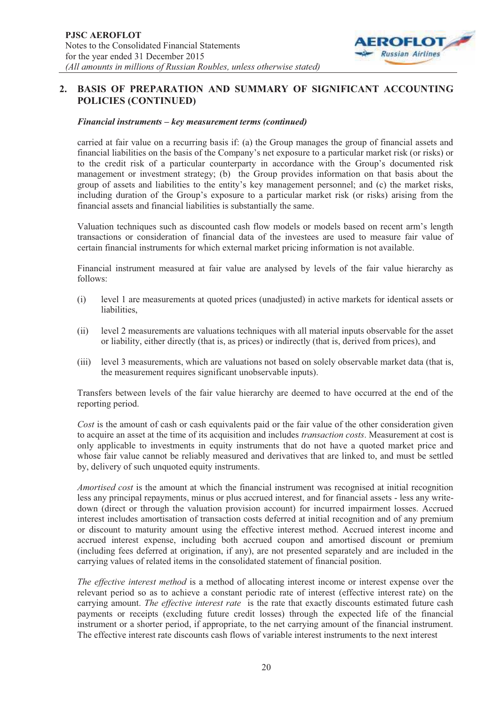

#### *Financial instruments – key measurement terms (continued)*

carried at fair value on a recurring basis if: (a) the Group manages the group of financial assets and financial liabilities on the basis of the Company's net exposure to a particular market risk (or risks) or to the credit risk of a particular counterparty in accordance with the Group's documented risk management or investment strategy; (b) the Group provides information on that basis about the group of assets and liabilities to the entity's key management personnel; and (c) the market risks, including duration of the Group's exposure to a particular market risk (or risks) arising from the financial assets and financial liabilities is substantially the same.

Valuation techniques such as discounted cash flow models or models based on recent arm's length transactions or consideration of financial data of the investees are used to measure fair value of certain financial instruments for which external market pricing information is not available.

Financial instrument measured at fair value are analysed by levels of the fair value hierarchy as follows:

- (i) level 1 are measurements at quoted prices (unadjusted) in active markets for identical assets or liabilities,
- (ii) level 2 measurements are valuations techniques with all material inputs observable for the asset or liability, either directly (that is, as prices) or indirectly (that is, derived from prices), and
- (iii) level 3 measurements, which are valuations not based on solely observable market data (that is, the measurement requires significant unobservable inputs).

Transfers between levels of the fair value hierarchy are deemed to have occurred at the end of the reporting period.

*Cost* is the amount of cash or cash equivalents paid or the fair value of the other consideration given to acquire an asset at the time of its acquisition and includes *transaction costs*. Measurement at cost is only applicable to investments in equity instruments that do not have a quoted market price and whose fair value cannot be reliably measured and derivatives that are linked to, and must be settled by, delivery of such unquoted equity instruments.

*Amortised cost* is the amount at which the financial instrument was recognised at initial recognition less any principal repayments, minus or plus accrued interest, and for financial assets - less any writedown (direct or through the valuation provision account) for incurred impairment losses. Accrued interest includes amortisation of transaction costs deferred at initial recognition and of any premium or discount to maturity amount using the effective interest method. Accrued interest income and accrued interest expense, including both accrued coupon and amortised discount or premium (including fees deferred at origination, if any), are not presented separately and are included in the carrying values of related items in the consolidated statement of financial position.

*The effective interest method* is a method of allocating interest income or interest expense over the relevant period so as to achieve a constant periodic rate of interest (effective interest rate) on the carrying amount. *The effective interest rate* is the rate that exactly discounts estimated future cash payments or receipts (excluding future credit losses) through the expected life of the financial instrument or a shorter period, if appropriate, to the net carrying amount of the financial instrument. The effective interest rate discounts cash flows of variable interest instruments to the next interest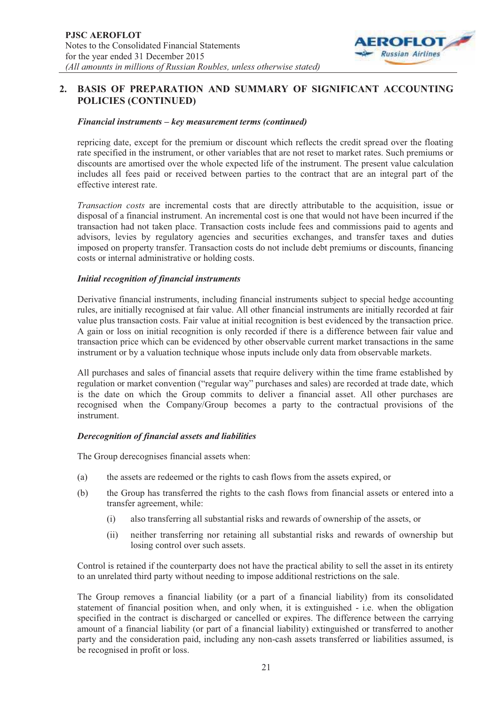

#### *Financial instruments – key measurement terms (continued)*

repricing date, except for the premium or discount which reflects the credit spread over the floating rate specified in the instrument, or other variables that are not reset to market rates. Such premiums or discounts are amortised over the whole expected life of the instrument. The present value calculation includes all fees paid or received between parties to the contract that are an integral part of the effective interest rate.

*Transaction costs* are incremental costs that are directly attributable to the acquisition, issue or disposal of a financial instrument. An incremental cost is one that would not have been incurred if the transaction had not taken place. Transaction costs include fees and commissions paid to agents and advisors, levies by regulatory agencies and securities exchanges, and transfer taxes and duties imposed on property transfer. Transaction costs do not include debt premiums or discounts, financing costs or internal administrative or holding costs.

### *Initial recognition of financial instruments*

Derivative financial instruments, including financial instruments subject to special hedge accounting rules, are initially recognised at fair value. All other financial instruments are initially recorded at fair value plus transaction costs. Fair value at initial recognition is best evidenced by the transaction price. A gain or loss on initial recognition is only recorded if there is a difference between fair value and transaction price which can be evidenced by other observable current market transactions in the same instrument or by a valuation technique whose inputs include only data from observable markets.

All purchases and sales of financial assets that require delivery within the time frame established by regulation or market convention ("regular way" purchases and sales) are recorded at trade date, which is the date on which the Group commits to deliver a financial asset. All other purchases are recognised when the Company/Group becomes a party to the contractual provisions of the instrument.

### *Derecognition of financial assets and liabilities*

The Group derecognises financial assets when:

- (а) the assets are redeemed or the rights to cash flows from the assets expired, or
- (b) the Group has transferred the rights to the cash flows from financial assets or entered into a transfer agreement, while:
	- (i) also transferring all substantial risks and rewards of ownership of the assets, or
	- (ii) neither transferring nor retaining all substantial risks and rewards of ownership but losing control over such assets.

Control is retained if the counterparty does not have the practical ability to sell the asset in its entirety to an unrelated third party without needing to impose additional restrictions on the sale.

The Group removes a financial liability (or a part of a financial liability) from its consolidated statement of financial position when, and only when, it is extinguished - i.e. when the obligation specified in the contract is discharged or cancelled or expires. The difference between the carrying amount of a financial liability (or part of a financial liability) extinguished or transferred to another party and the consideration paid, including any non-cash assets transferred or liabilities assumed, is be recognised in profit or loss.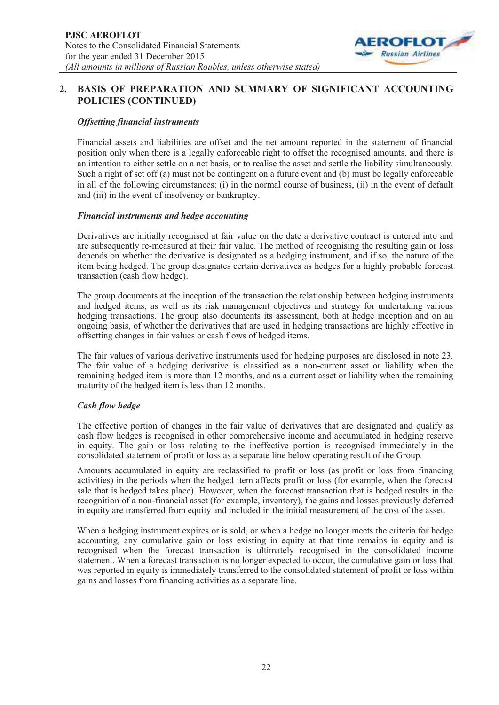

### *Offsetting financial instruments*

Financial assets and liabilities are offset and the net amount reported in the statement of financial position only when there is a legally enforceable right to offset the recognised amounts, and there is an intention to either settle on a net basis, or to realise the asset and settle the liability simultaneously. Such a right of set off (a) must not be contingent on a future event and (b) must be legally enforceable in all of the following circumstances: (i) in the normal course of business, (ii) in the event of default and (iii) in the event of insolvency or bankruptcy.

#### *Financial instruments and hedge accounting*

Derivatives are initially recognised at fair value on the date a derivative contract is entered into and are subsequently re-measured at their fair value. The method of recognising the resulting gain or loss depends on whether the derivative is designated as a hedging instrument, and if so, the nature of the item being hedged. The group designates certain derivatives as hedges for a highly probable forecast transaction (cash flow hedge).

The group documents at the inception of the transaction the relationship between hedging instruments and hedged items, as well as its risk management objectives and strategy for undertaking various hedging transactions. The group also documents its assessment, both at hedge inception and on an ongoing basis, of whether the derivatives that are used in hedging transactions are highly effective in offsetting changes in fair values or cash flows of hedged items.

The fair values of various derivative instruments used for hedging purposes are disclosed in note 23. The fair value of a hedging derivative is classified as a non-current asset or liability when the remaining hedged item is more than 12 months, and as a current asset or liability when the remaining maturity of the hedged item is less than 12 months.

#### *Cash flow hedge*

The effective portion of changes in the fair value of derivatives that are designated and qualify as cash flow hedges is recognised in other comprehensive income and accumulated in hedging reserve in equity. The gain or loss relating to the ineffective portion is recognised immediately in the consolidated statement of profit or loss as a separate line below operating result of the Group.

Amounts accumulated in equity are reclassified to profit or loss (as profit or loss from financing activities) in the periods when the hedged item affects profit or loss (for example, when the forecast sale that is hedged takes place). However, when the forecast transaction that is hedged results in the recognition of a non-financial asset (for example, inventory), the gains and losses previously deferred in equity are transferred from equity and included in the initial measurement of the cost of the asset.

When a hedging instrument expires or is sold, or when a hedge no longer meets the criteria for hedge accounting, any cumulative gain or loss existing in equity at that time remains in equity and is recognised when the forecast transaction is ultimately recognised in the consolidated income statement. When a forecast transaction is no longer expected to occur, the cumulative gain or loss that was reported in equity is immediately transferred to the consolidated statement of profit or loss within gains and losses from financing activities as a separate line.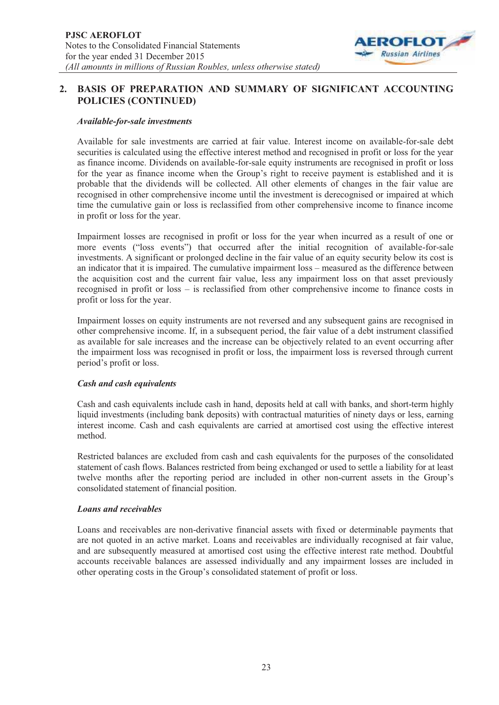

#### *Available-for-sale investments*

Available for sale investments are carried at fair value. Interest income on available-for-sale debt securities is calculated using the effective interest method and recognised in profit or loss for the year as finance income. Dividends on available-for-sale equity instruments are recognised in profit or loss for the year as finance income when the Group's right to receive payment is established and it is probable that the dividends will be collected. All other elements of changes in the fair value are recognised in other comprehensive income until the investment is derecognised or impaired at which time the cumulative gain or loss is reclassified from other comprehensive income to finance income in profit or loss for the year.

Impairment losses are recognised in profit or loss for the year when incurred as a result of one or more events ("loss events") that occurred after the initial recognition of available-for-sale investments. A significant or prolonged decline in the fair value of an equity security below its cost is an indicator that it is impaired. The cumulative impairment loss – measured as the difference between the acquisition cost and the current fair value, less any impairment loss on that asset previously recognised in profit or loss – is reclassified from other comprehensive income to finance costs in profit or loss for the year.

Impairment losses on equity instruments are not reversed and any subsequent gains are recognised in other comprehensive income. If, in a subsequent period, the fair value of a debt instrument classified as available for sale increases and the increase can be objectively related to an event occurring after the impairment loss was recognised in profit or loss, the impairment loss is reversed through current period's profit or loss.

#### *Cash and cash equivalents*

Cash and cash equivalents include cash in hand, deposits held at call with banks, and short-term highly liquid investments (including bank deposits) with contractual maturities of ninety days or less, earning interest income. Cash and cash equivalents are carried at amortised cost using the effective interest method.

Restricted balances are excluded from cash and cash equivalents for the purposes of the consolidated statement of cash flows. Balances restricted from being exchanged or used to settle a liability for at least twelve months after the reporting period are included in other non-current assets in the Group's consolidated statement of financial position.

#### *Loans and receivables*

Loans and receivables are non-derivative financial assets with fixed or determinable payments that are not quoted in an active market. Loans and receivables are individually recognised at fair value, and are subsequently measured at amortised cost using the effective interest rate method. Doubtful accounts receivable balances are assessed individually and any impairment losses are included in other operating costs in the Group's consolidated statement of profit or loss.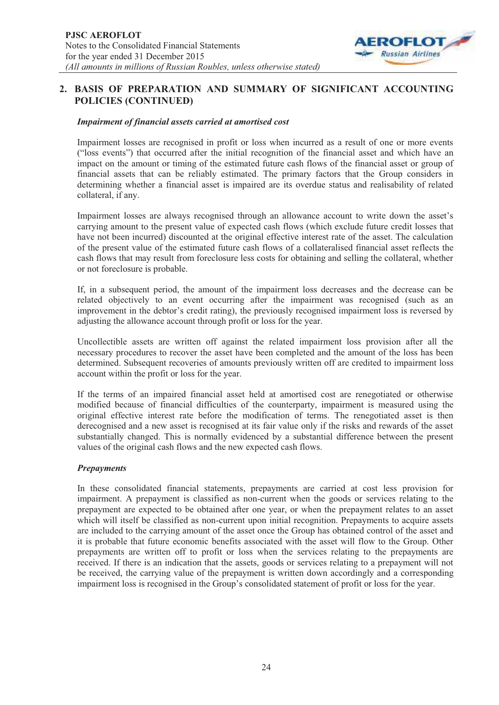

#### *Impairment of financial assets carried at amortised cost*

Impairment losses are recognised in profit or loss when incurred as a result of one or more events ("loss events") that occurred after the initial recognition of the financial asset and which have an impact on the amount or timing of the estimated future cash flows of the financial asset or group of financial assets that can be reliably estimated. The primary factors that the Group considers in determining whether a financial asset is impaired are its overdue status and realisability of related collateral, if any.

Impairment losses are always recognised through an allowance account to write down the asset's carrying amount to the present value of expected cash flows (which exclude future credit losses that have not been incurred) discounted at the original effective interest rate of the asset. The calculation of the present value of the estimated future cash flows of a collateralised financial asset reflects the cash flows that may result from foreclosure less costs for obtaining and selling the collateral, whether or not foreclosure is probable.

If, in a subsequent period, the amount of the impairment loss decreases and the decrease can be related objectively to an event occurring after the impairment was recognised (such as an improvement in the debtor's credit rating), the previously recognised impairment loss is reversed by adjusting the allowance account through profit or loss for the year.

Uncollectible assets are written off against the related impairment loss provision after all the necessary procedures to recover the asset have been completed and the amount of the loss has been determined. Subsequent recoveries of amounts previously written off are credited to impairment loss account within the profit or loss for the year.

If the terms of an impaired financial asset held at amortised cost are renegotiated or otherwise modified because of financial difficulties of the counterparty, impairment is measured using the original effective interest rate before the modification of terms. The renegotiated asset is then derecognised and a new asset is recognised at its fair value only if the risks and rewards of the asset substantially changed. This is normally evidenced by a substantial difference between the present values of the original cash flows and the new expected cash flows.

#### *Prepayments*

In these consolidated financial statements, prepayments are carried at cost less provision for impairment. A prepayment is classified as non-current when the goods or services relating to the prepayment are expected to be obtained after one year, or when the prepayment relates to an asset which will itself be classified as non-current upon initial recognition. Prepayments to acquire assets are included to the carrying amount of the asset once the Group has obtained control of the asset and it is probable that future economic benefits associated with the asset will flow to the Group. Other prepayments are written off to profit or loss when the services relating to the prepayments are received. If there is an indication that the assets, goods or services relating to a prepayment will not be received, the carrying value of the prepayment is written down accordingly and a corresponding impairment loss is recognised in the Group's consolidated statement of profit or loss for the year.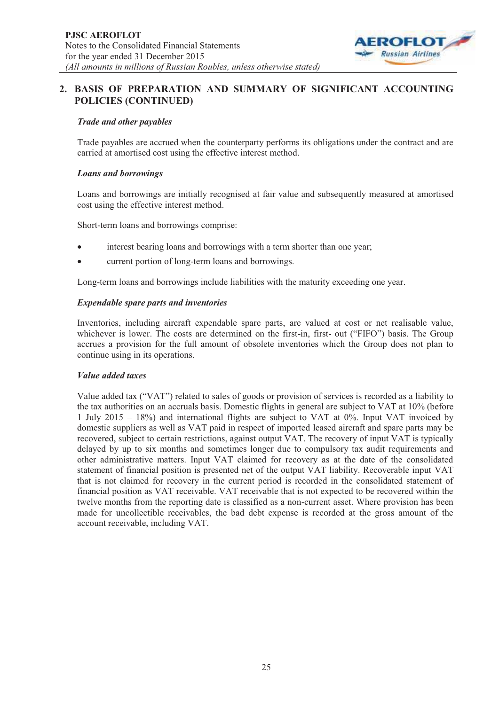

#### *Trade and other payables*

Trade payables are accrued when the counterparty performs its obligations under the contract and are carried at amortised cost using the effective interest method.

### *Loans and borrowings*

Loans and borrowings are initially recognised at fair value and subsequently measured at amortised cost using the effective interest method.

Short-term loans and borrowings comprise:

- interest bearing loans and borrowings with a term shorter than one year;
- current portion of long-term loans and borrowings.

Long-term loans and borrowings include liabilities with the maturity exceeding one year.

### *Expendable spare parts and inventories*

Inventories, including aircraft expendable spare parts, are valued at cost or net realisable value, whichever is lower. The costs are determined on the first-in, first- out ("FIFO") basis. The Group accrues a provision for the full amount of obsolete inventories which the Group does not plan to continue using in its operations.

#### *Value added taxes*

Value added tax ("VAT") related to sales of goods or provision of services is recorded as a liability to the tax authorities on an accruals basis. Domestic flights in general are subject to VAT at 10% (before 1 July 2015 – 18%) and international flights are subject to VAT at 0%. Input VAT invoiced by domestic suppliers as well as VAT paid in respect of imported leased aircraft and spare parts may be recovered, subject to certain restrictions, against output VAT. The recovery of input VAT is typically delayed by up to six months and sometimes longer due to compulsory tax audit requirements and other administrative matters. Input VAT claimed for recovery as at the date of the consolidated statement of financial position is presented net of the output VAT liability. Recoverable input VAT that is not claimed for recovery in the current period is recorded in the consolidated statement of financial position as VAT receivable. VAT receivable that is not expected to be recovered within the twelve months from the reporting date is classified as a non-current asset. Where provision has been made for uncollectible receivables, the bad debt expense is recorded at the gross amount of the account receivable, including VAT.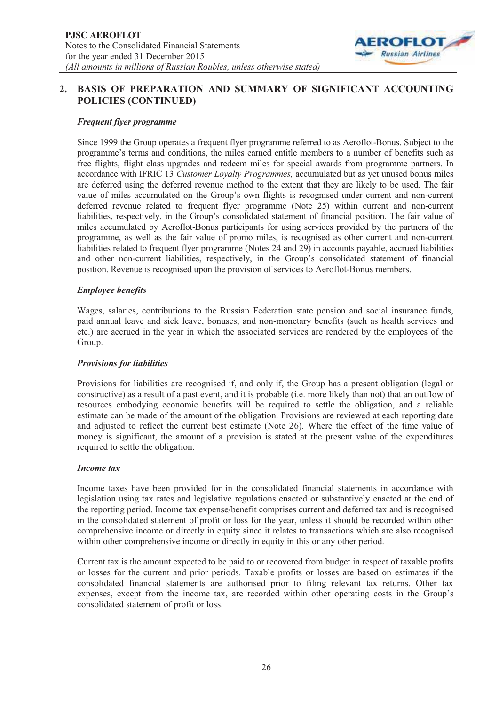

#### *Frequent flyer programme*

Since 1999 the Group operates a frequent flyer programme referred to as Aeroflot-Bonus. Subject to the programme's terms and conditions, the miles earned entitle members to a number of benefits such as free flights, flight class upgrades and redeem miles for special awards from programme partners. In accordance with IFRIC 13 *Customer Loyalty Programmes,* accumulated but as yet unused bonus miles are deferred using the deferred revenue method to the extent that they are likely to be used. The fair value of miles accumulated on the Group's own flights is recognised under current and non-current deferred revenue related to frequent flyer programme (Note 25) within current and non-current liabilities, respectively, in the Group's consolidated statement of financial position. The fair value of miles accumulated by Aeroflot-Bonus participants for using services provided by the partners of the programme, as well as the fair value of promo miles, is recognised as other current and non-current liabilities related to frequent flyer programme (Notes 24 and 29) in accounts payable, accrued liabilities and other non-current liabilities, respectively, in the Group's consolidated statement of financial position. Revenue is recognised upon the provision of services to Aeroflot-Bonus members.

### *Employee benefits*

Wages, salaries, contributions to the Russian Federation state pension and social insurance funds, paid annual leave and sick leave, bonuses, and non-monetary benefits (such as health services and etc.) are accrued in the year in which the associated services are rendered by the employees of the Group.

#### *Provisions for liabilities*

Provisions for liabilities are recognised if, and only if, the Group has a present obligation (legal or constructive) as a result of a past event, and it is probable (i.e. more likely than not) that an outflow of resources embodying economic benefits will be required to settle the obligation, and a reliable estimate can be made of the amount of the obligation. Provisions are reviewed at each reporting date and adjusted to reflect the current best estimate (Note 26). Where the effect of the time value of money is significant, the amount of a provision is stated at the present value of the expenditures required to settle the obligation.

### *Income tax*

Income taxes have been provided for in the consolidated financial statements in accordance with legislation using tax rates and legislative regulations enacted or substantively enacted at the end of the reporting period. Income tax expense/benefit comprises current and deferred tax and is recognised in the consolidated statement of profit or loss for the year, unless it should be recorded within other comprehensive income or directly in equity since it relates to transactions which are also recognised within other comprehensive income or directly in equity in this or any other period.

Current tax is the amount expected to be paid to or recovered from budget in respect of taxable profits or losses for the current and prior periods. Taxable profits or losses are based on estimates if the consolidated financial statements are authorised prior to filing relevant tax returns. Other tax expenses, except from the income tax, are recorded within other operating costs in the Group's consolidated statement of profit or loss.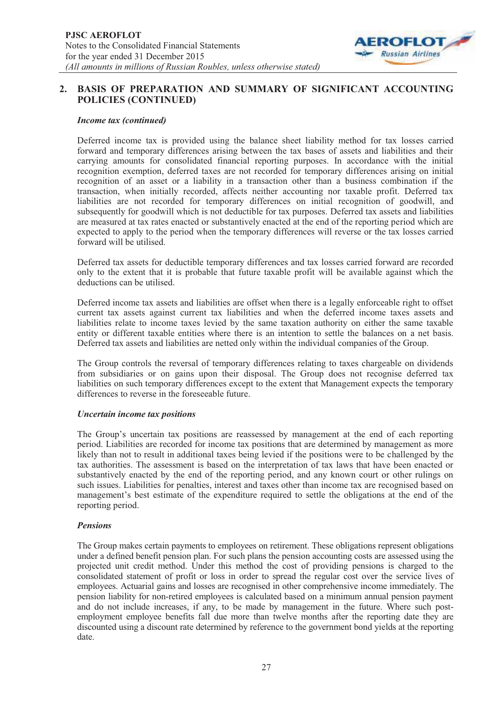

#### *Income tax (continued)*

Deferred income tax is provided using the balance sheet liability method for tax losses carried forward and temporary differences arising between the tax bases of assets and liabilities and their carrying amounts for consolidated financial reporting purposes. In accordance with the initial recognition exemption, deferred taxes are not recorded for temporary differences arising on initial recognition of an asset or a liability in a transaction other than a business combination if the transaction, when initially recorded, affects neither accounting nor taxable profit. Deferred tax liabilities are not recorded for temporary differences on initial recognition of goodwill, and subsequently for goodwill which is not deductible for tax purposes. Deferred tax assets and liabilities are measured at tax rates enacted or substantively enacted at the end of the reporting period which are expected to apply to the period when the temporary differences will reverse or the tax losses carried forward will be utilised.

Deferred tax assets for deductible temporary differences and tax losses carried forward are recorded only to the extent that it is probable that future taxable profit will be available against which the deductions can be utilised.

Deferred income tax assets and liabilities are offset when there is a legally enforceable right to offset current tax assets against current tax liabilities and when the deferred income taxes assets and liabilities relate to income taxes levied by the same taxation authority on either the same taxable entity or different taxable entities where there is an intention to settle the balances on a net basis. Deferred tax assets and liabilities are netted only within the individual companies of the Group.

The Group controls the reversal of temporary differences relating to taxes chargeable on dividends from subsidiaries or on gains upon their disposal. The Group does not recognise deferred tax liabilities on such temporary differences except to the extent that Management expects the temporary differences to reverse in the foreseeable future.

#### *Uncertain income tax positions*

The Group's uncertain tax positions are reassessed by management at the end of each reporting period. Liabilities are recorded for income tax positions that are determined by management as more likely than not to result in additional taxes being levied if the positions were to be challenged by the tax authorities. The assessment is based on the interpretation of tax laws that have been enacted or substantively enacted by the end of the reporting period, and any known court or other rulings on such issues. Liabilities for penalties, interest and taxes other than income tax are recognised based on management's best estimate of the expenditure required to settle the obligations at the end of the reporting period.

#### *Pensions*

The Group makes certain payments to employees on retirement. These obligations represent obligations under a defined benefit pension plan. For such plans the pension accounting costs are assessed using the projected unit credit method. Under this method the cost of providing pensions is charged to the consolidated statement of profit or loss in order to spread the regular cost over the service lives of employees. Actuarial gains and losses are recognised in other comprehensive income immediately. The pension liability for non-retired employees is calculated based on a minimum annual pension payment and do not include increases, if any, to be made by management in the future. Where such postemployment employee benefits fall due more than twelve months after the reporting date they are discounted using a discount rate determined by reference to the government bond yields at the reporting date.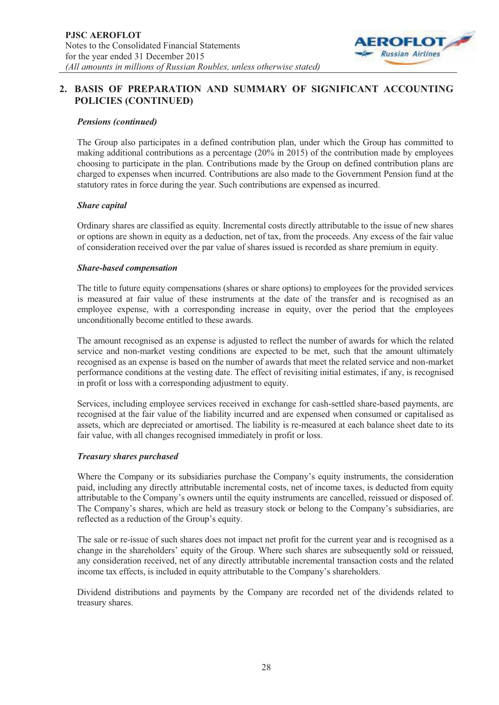

#### *Pensions (continued)*

The Group also participates in a defined contribution plan, under which the Group has committed to making additional contributions as a percentage (20% in 2015) of the contribution made by employees choosing to participate in the plan. Contributions made by the Group on defined contribution plans are charged to expenses when incurred. Contributions are also made to the Government Pension fund at the statutory rates in force during the year. Such contributions are expensed as incurred.

#### *Share capital*

Ordinary shares are classified as equity. Incremental costs directly attributable to the issue of new shares or options are shown in equity as a deduction, net of tax, from the proceeds. Any excess of the fair value of consideration received over the par value of shares issued is recorded as share premium in equity.

#### *Share-based compensation*

The title to future equity compensations (shares or share options) to employees for the provided services is measured at fair value of these instruments at the date of the transfer and is recognised as an employee expense, with a corresponding increase in equity, over the period that the employees unconditionally become entitled to these awards.

The amount recognised as an expense is adjusted to reflect the number of awards for which the related service and non-market vesting conditions are expected to be met, such that the amount ultimately recognised as an expense is based on the number of awards that meet the related service and non-market performance conditions at the vesting date. The effect of revisiting initial estimates, if any, is recognised in profit or loss with a corresponding adjustment to equity.

Services, including employee services received in exchange for cash-settled share-based payments, are recognised at the fair value of the liability incurred and are expensed when consumed or capitalised as assets, which are depreciated or amortised. The liability is re-measured at each balance sheet date to its fair value, with all changes recognised immediately in profit or loss.

#### *Treasury shares purchased*

Where the Company or its subsidiaries purchase the Company's equity instruments, the consideration paid, including any directly attributable incremental costs, net of income taxes, is deducted from equity attributable to the Company's owners until the equity instruments are cancelled, reissued or disposed of. The Company's shares, which are held as treasury stock or belong to the Company's subsidiaries, are reflected as a reduction of the Group's equity.

The sale or re-issue of such shares does not impact net profit for the current year and is recognised as a change in the shareholders' equity of the Group. Where such shares are subsequently sold or reissued, any consideration received, net of any directly attributable incremental transaction costs and the related income tax effects, is included in equity attributable to the Company's shareholders.

Dividend distributions and payments by the Company are recorded net of the dividends related to treasury shares.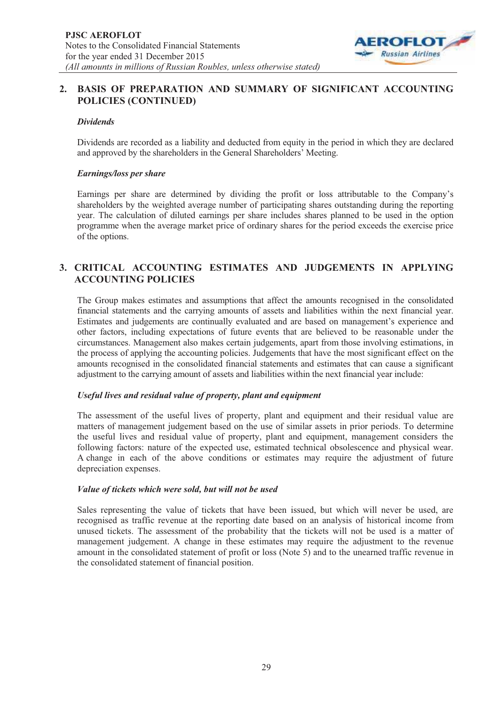

#### *Dividends*

Dividends are recorded as a liability and deducted from equity in the period in which they are declared and approved by the shareholders in the General Shareholders' Meeting.

#### *Earnings/loss per share*

Earnings per share are determined by dividing the profit or loss attributable to the Company's shareholders by the weighted average number of participating shares outstanding during the reporting year. The calculation of diluted earnings per share includes shares planned to be used in the option programme when the average market price of ordinary shares for the period exceeds the exercise price of the options.

### **3. CRITICAL ACCOUNTING ESTIMATES AND JUDGEMENTS IN APPLYING ACCOUNTING POLICIES**

The Group makes estimates and assumptions that affect the amounts recognised in the consolidated financial statements and the carrying amounts of assets and liabilities within the next financial year. Estimates and judgements are continually evaluated and are based on management's experience and other factors, including expectations of future events that are believed to be reasonable under the circumstances. Management also makes certain judgements, apart from those involving estimations, in the process of applying the accounting policies. Judgements that have the most significant effect on the amounts recognised in the consolidated financial statements and estimates that can cause a significant adjustment to the carrying amount of assets and liabilities within the next financial year include:

#### *Useful lives and residual value of property, plant and equipment*

The assessment of the useful lives of property, plant and equipment and their residual value are matters of management judgement based on the use of similar assets in prior periods. To determine the useful lives and residual value of property, plant and equipment, management considers the following factors: nature of the expected use, estimated technical obsolescence and physical wear. A change in each of the above conditions or estimates may require the adjustment of future depreciation expenses.

#### *Value of tickets which were sold, but will not be used*

Sales representing the value of tickets that have been issued, but which will never be used, are recognised as traffic revenue at the reporting date based on an analysis of historical income from unused tickets. The assessment of the probability that the tickets will not be used is a matter of management judgement. A change in these estimates may require the adjustment to the revenue amount in the consolidated statement of profit or loss (Note 5) and to the unearned traffic revenue in the consolidated statement of financial position.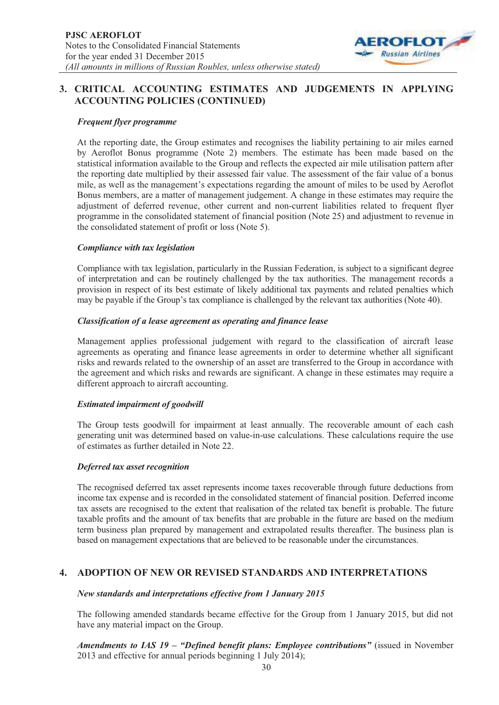

# **3. CRITICAL ACCOUNTING ESTIMATES AND JUDGEMENTS IN APPLYING ACCOUNTING POLICIES (CONTINUED)**

#### *Frequent flyer programme*

At the reporting date, the Group estimates and recognises the liability pertaining to air miles earned by Aeroflot Bonus programme (Note 2) members. The estimate has been made based on the statistical information available to the Group and reflects the expected air mile utilisation pattern after the reporting date multiplied by their assessed fair value. The assessment of the fair value of a bonus mile, as well as the management's expectations regarding the amount of miles to be used by Aeroflot Bonus members, are a matter of management judgement. A change in these estimates may require the adjustment of deferred revenue, other current and non-current liabilities related to frequent flyer programme in the consolidated statement of financial position (Note 25) and adjustment to revenue in the consolidated statement of profit or loss (Note 5).

### *Compliance with tax legislation*

Compliance with tax legislation, particularly in the Russian Federation, is subject to a significant degree of interpretation and can be routinely challenged by the tax authorities. The management records a provision in respect of its best estimate of likely additional tax payments and related penalties which may be payable if the Group's tax compliance is challenged by the relevant tax authorities (Note 40).

### *Classification of a lease agreement as operating and finance lease*

Management applies professional judgement with regard to the classification of aircraft lease agreements as operating and finance lease agreements in order to determine whether all significant risks and rewards related to the ownership of an asset are transferred to the Group in accordance with the agreement and which risks and rewards are significant. A change in these estimates may require a different approach to aircraft accounting.

#### *Estimated impairment of goodwill*

The Group tests goodwill for impairment at least annually. The recoverable amount of each cash generating unit was determined based on value-in-use calculations. These calculations require the use of estimates as further detailed in Note 22.

#### *Deferred tax asset recognition*

The recognised deferred tax asset represents income taxes recoverable through future deductions from income tax expense and is recorded in the consolidated statement of financial position. Deferred income tax assets are recognised to the extent that realisation of the related tax benefit is probable. The future taxable profits and the amount of tax benefits that are probable in the future are based on the medium term business plan prepared by management and extrapolated results thereafter. The business plan is based on management expectations that are believed to be reasonable under the circumstances.

### **4. ADOPTION OF NEW OR REVISED STANDARDS AND INTERPRETATIONS**

#### *New standards and interpretations effective from 1 January 2015*

The following amended standards became effective for the Group from 1 January 2015, but did not have any material impact on the Group.

*Amendments to IAS 19 – "Defined benefit plans: Employee contributions"* (issued in November 2013 and effective for annual periods beginning 1 July 2014);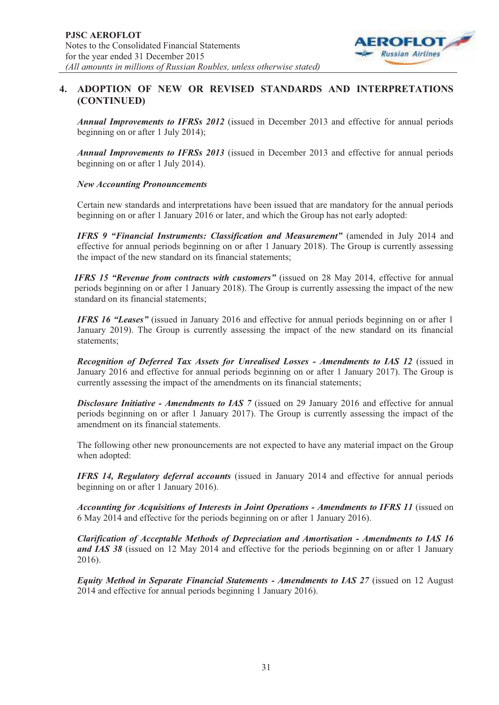

# **4. ADOPTION OF NEW OR REVISED STANDARDS AND INTERPRETATIONS (CONTINUED)**

*Annual Improvements to IFRSs 2012* (issued in December 2013 and effective for annual periods beginning on or after 1 July 2014);

*Annual Improvements to IFRSs 2013* (issued in December 2013 and effective for annual periods beginning on or after 1 July 2014).

### *New Accounting Pronouncements*

Certain new standards and interpretations have been issued that are mandatory for the annual periods beginning on or after 1 January 2016 or later, and which the Group has not early adopted:

*IFRS 9 "Financial Instruments: Classification and Measurement"* (amended in July 2014 and effective for annual periods beginning on or after 1 January 2018). The Group is currently assessing the impact of the new standard on its financial statements;

*IFRS 15 "Revenue from contracts with customers"* (issued on 28 May 2014, effective for annual periods beginning on or after 1 January 2018). The Group is currently assessing the impact of the new standard on its financial statements;

*IFRS 16 "Leases"* (issued in January 2016 and effective for annual periods beginning on or after 1 January 2019). The Group is currently assessing the impact of the new standard on its financial statements;

*Recognition of Deferred Tax Assets for Unrealised Losses - Amendments to IAS 12* (issued in January 2016 and effective for annual periods beginning on or after 1 January 2017). The Group is currently assessing the impact of the amendments on its financial statements;

*Disclosure Initiative - Amendments to IAS 7* (issued on 29 January 2016 and effective for annual periods beginning on or after 1 January 2017). The Group is currently assessing the impact of the amendment on its financial statements.

The following other new pronouncements are not expected to have any material impact on the Group when adopted:

*IFRS 14, Regulatory deferral accounts* (issued in January 2014 and effective for annual periods beginning on or after 1 January 2016).

*Accounting for Acquisitions of Interests in Joint Operations - Amendments to IFRS 11* (issued on 6 May 2014 and effective for the periods beginning on or after 1 January 2016).

*Clarification of Acceptable Methods of Depreciation and Amortisation - Amendments to IAS 16 and IAS 38* (issued on 12 May 2014 and effective for the periods beginning on or after 1 January 2016).

*Equity Method in Separate Financial Statements - Amendments to IAS 27* (issued on 12 August 2014 and effective for annual periods beginning 1 January 2016).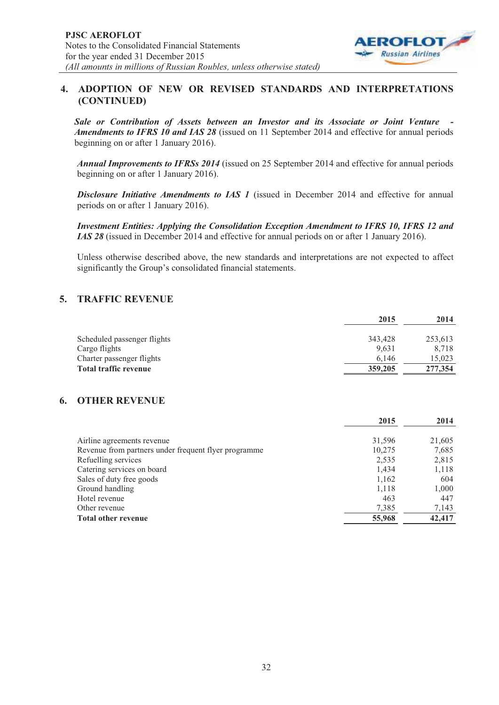

# **4. ADOPTION OF NEW OR REVISED STANDARDS AND INTERPRETATIONS (CONTINUED)**

*Sale or Contribution of Assets between an Investor and its Associate or Joint Venture Amendments to IFRS 10 and IAS 28* (issued on 11 September 2014 and effective for annual periods beginning on or after 1 January 2016).

*Annual Improvements to IFRSs 2014* (issued on 25 September 2014 and effective for annual periods beginning on or after 1 January 2016).

**Disclosure Initiative Amendments to IAS 1** (issued in December 2014 and effective for annual periods on or after 1 January 2016).

*Investment Entities: Applying the Consolidation Exception Amendment to IFRS 10, IFRS 12 and IAS 28* (issued in December 2014 and effective for annual periods on or after 1 January 2016).

Unless otherwise described above, the new standards and interpretations are not expected to affect significantly the Group's consolidated financial statements.

### **5. TRAFFIC REVENUE**

|                              | 2015    | 2014    |
|------------------------------|---------|---------|
| Scheduled passenger flights  | 343,428 | 253,613 |
| Cargo flights                | 9.631   | 8.718   |
| Charter passenger flights    | 6.146   | 15,023  |
| <b>Total traffic revenue</b> | 359,205 | 277,354 |

### **6. OTHER REVENUE**

|                                                      | 2015   | 2014   |
|------------------------------------------------------|--------|--------|
|                                                      |        |        |
| Airline agreements revenue                           | 31,596 | 21,605 |
| Revenue from partners under frequent flyer programme | 10,275 | 7,685  |
| Refuelling services                                  | 2,535  | 2,815  |
| Catering services on board                           | 1,434  | 1,118  |
| Sales of duty free goods                             | 1,162  | 604    |
| Ground handling                                      | 1,118  | 1,000  |
| Hotel revenue                                        | 463    | 447    |
| Other revenue                                        | 7,385  | 7,143  |
| <b>Total other revenue</b>                           | 55,968 | 42,417 |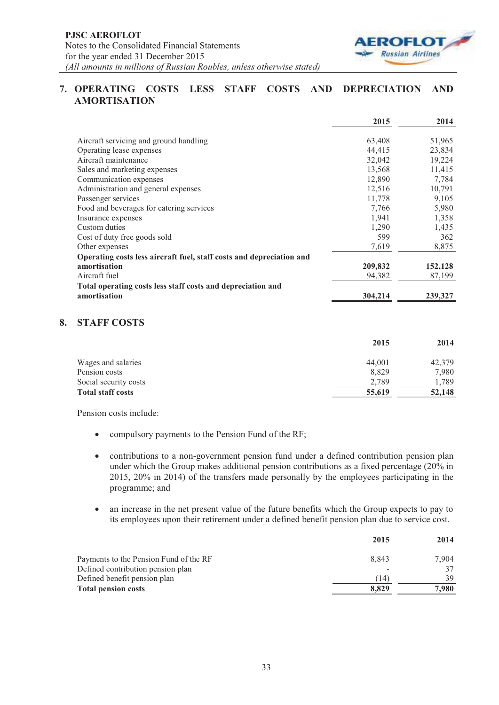

### **7. OPERATING COSTS LESS STAFF COSTS AND DEPRECIATION AND AMORTISATION**

|                                                                      | 2015    | 2014    |
|----------------------------------------------------------------------|---------|---------|
| Aircraft servicing and ground handling                               | 63,408  | 51,965  |
| Operating lease expenses                                             | 44,415  | 23,834  |
| Aircraft maintenance                                                 | 32,042  | 19,224  |
| Sales and marketing expenses                                         | 13,568  | 11,415  |
| Communication expenses                                               | 12,890  | 7,784   |
| Administration and general expenses                                  | 12,516  | 10,791  |
| Passenger services                                                   | 11,778  | 9,105   |
| Food and beverages for catering services                             | 7,766   | 5,980   |
| Insurance expenses                                                   | 1,941   | 1,358   |
| Custom duties                                                        | 1,290   | 1,435   |
| Cost of duty free goods sold                                         | 599     | 362     |
| Other expenses                                                       | 7,619   | 8,875   |
| Operating costs less aircraft fuel, staff costs and depreciation and |         |         |
| amortisation                                                         | 209,832 | 152,128 |
| Aircraft fuel                                                        | 94,382  | 87,199  |
| Total operating costs less staff costs and depreciation and          |         |         |
| amortisation                                                         | 304,214 | 239,327 |

### **8. STAFF COSTS**

|                          | 2015   | 2014   |
|--------------------------|--------|--------|
|                          |        |        |
| Wages and salaries       | 44,001 | 42,379 |
| Pension costs            | 8,829  | 7.980  |
| Social security costs    | 2,789  | 1.789  |
| <b>Total staff costs</b> | 55,619 | 52,148 |

Pension costs include:

- $\bullet$ compulsory payments to the Pension Fund of the RF;
- $\bullet$  contributions to a non-government pension fund under a defined contribution pension plan under which the Group makes additional pension contributions as a fixed percentage (20% in 2015, 20% in 2014) of the transfers made personally by the employees participating in the programme; and
- $\bullet$  an increase in the net present value of the future benefits which the Group expects to pay to its employees upon their retirement under a defined benefit pension plan due to service cost.

|                                        | 2015  | 2014  |
|----------------------------------------|-------|-------|
| Payments to the Pension Fund of the RF | 8.843 | 7.904 |
| Defined contribution pension plan      |       |       |
| Defined benefit pension plan           | (14)  | 39    |
| <b>Total pension costs</b>             | 8.829 | 7.980 |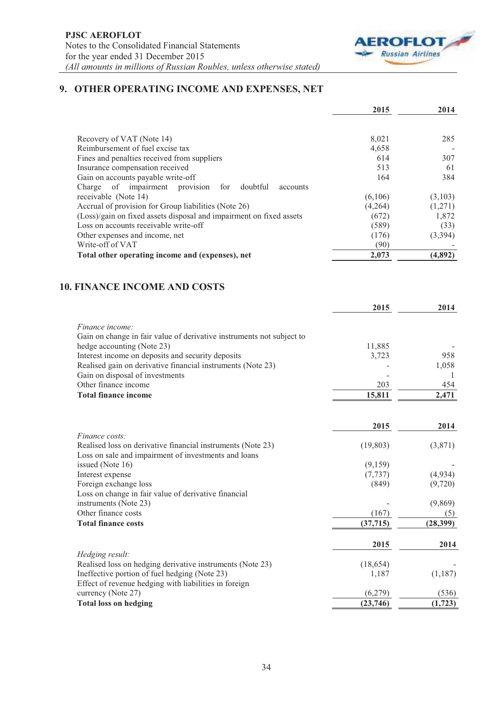

# **9. OTHER OPERATING INCOME AND EXPENSES, NET**

|                                                                     | 2015    | 2014    |
|---------------------------------------------------------------------|---------|---------|
|                                                                     |         |         |
| Recovery of VAT (Note 14)                                           | 8,021   | 285     |
| Reimbursement of fuel excise tax                                    | 4,658   |         |
| Fines and penalties received from suppliers                         | 614     | 307     |
| Insurance compensation received                                     | 513     | 61      |
| Gain on accounts payable write-off                                  | 164     | 384     |
| Charge of impairment provision<br>doubtful<br>for<br>accounts       |         |         |
| receivable (Note 14)                                                | (6,106) | (3,103) |
| Accrual of provision for Group liabilities (Note 26)                | (4,264) | (1,271) |
| (Loss)/gain on fixed assets disposal and impairment on fixed assets | (672)   | 1,872   |
| Loss on accounts receivable write-off                               | (589)   | (33)    |
| Other expenses and income, net                                      | (176)   | (3,394) |
| Write-off of VAT                                                    | (90)    |         |
| Total other operating income and (expenses), net                    | 2,073   | (4,892) |

### **10. FINANCE INCOME AND COSTS**

|                                                                                                                     | 2015      | 2014      |
|---------------------------------------------------------------------------------------------------------------------|-----------|-----------|
| Finance income:                                                                                                     |           |           |
| Gain on change in fair value of derivative instruments not subject to                                               |           |           |
| hedge accounting (Note 23)                                                                                          | 11,885    |           |
| Interest income on deposits and security deposits                                                                   | 3,723     | 958       |
| Realised gain on derivative financial instruments (Note 23)                                                         |           | 1,058     |
| Gain on disposal of investments                                                                                     |           |           |
| Other finance income                                                                                                | 203       | 454       |
| <b>Total finance income</b>                                                                                         | 15,811    | 2,471     |
|                                                                                                                     |           |           |
|                                                                                                                     | 2015      | 2014      |
| Finance costs:                                                                                                      |           |           |
| Realised loss on derivative financial instruments (Note 23)<br>Loss on sale and impairment of investments and loans | (19, 803) | (3,871)   |
| issued (Note 16)                                                                                                    | (9,159)   |           |
| Interest expense                                                                                                    | (7, 737)  | (4,934)   |
| Foreign exchange loss                                                                                               | (849)     | (9,720)   |
| Loss on change in fair value of derivative financial                                                                |           |           |
| instruments (Note 23)                                                                                               |           | (9,869)   |
| Other finance costs                                                                                                 | (167)     | (5)       |
| <b>Total finance costs</b>                                                                                          | (37, 715) | (28, 399) |
|                                                                                                                     | 2015      | 2014      |
| Hedging result:                                                                                                     |           |           |
| Realised loss on hedging derivative instruments (Note 23)                                                           | (18, 654) |           |
| Ineffective portion of fuel hedging (Note 23)                                                                       | 1,187     | (1,187)   |
| Effect of revenue hedging with liabilities in foreign                                                               |           |           |
| currency (Note 27)                                                                                                  | (6,279)   | (536)     |
| <b>Total loss on hedging</b>                                                                                        | (23, 746) | (1, 723)  |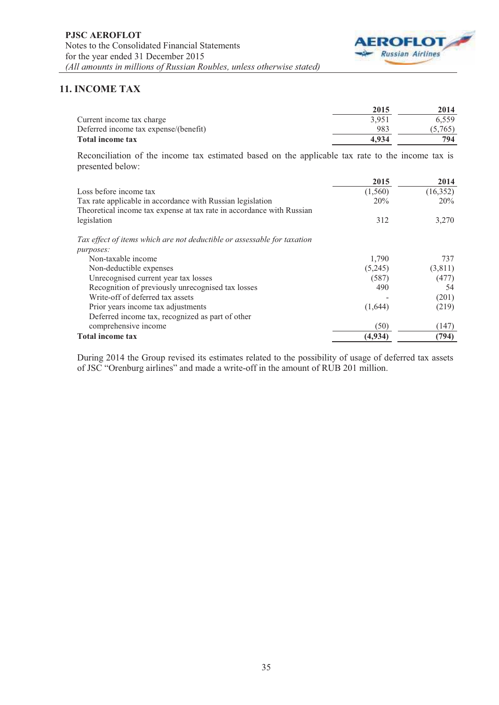

# **11. INCOME TAX**

|                                       | 2015  | 2014    |
|---------------------------------------|-------|---------|
| Current income tax charge             | 3.951 | 6.559   |
| Deferred income tax expense/(benefit) | 983   | (5,765) |
| <b>Total income tax</b>               | 4.934 | 794     |

Reconciliation of the income tax estimated based on the applicable tax rate to the income tax is presented below:

| 2015    | 2014      |
|---------|-----------|
| (1,560) | (16, 352) |
| 20%     | 20%       |
|         |           |
| 312     | 3,270     |
|         |           |
|         |           |
| 1,790   | 737       |
| (5,245) | (3,811)   |
| (587)   | (477)     |
| 490     | 54        |
|         | (201)     |
| (1,644) | (219)     |
|         |           |
| (50)    | (147)     |
| (4,934) | (794)     |
|         |           |

During 2014 the Group revised its estimates related to the possibility of usage of deferred tax assets of JSC "Orenburg airlines" and made a write-off in the amount of RUB 201 million.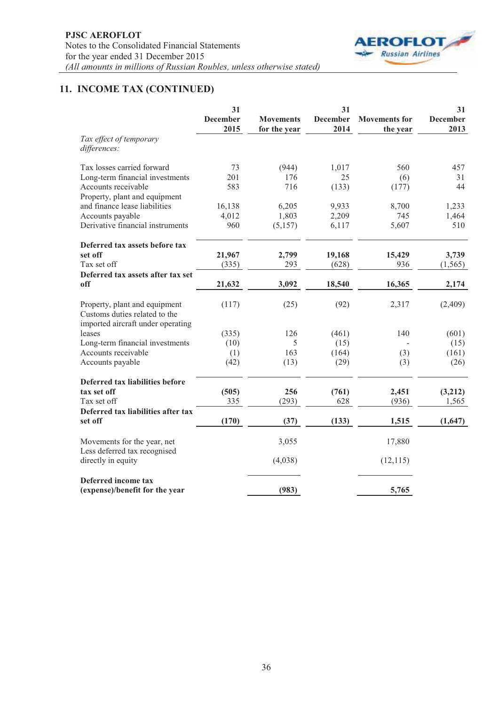

# **11. INCOME TAX (CONTINUED)**

|                                                                                                     | 31<br><b>December</b><br>2015 | <b>Movements</b><br>for the year | 31<br><b>December</b><br>2014 | <b>Movements</b> for<br>the year | 31<br><b>December</b><br>2013 |
|-----------------------------------------------------------------------------------------------------|-------------------------------|----------------------------------|-------------------------------|----------------------------------|-------------------------------|
| Tax effect of temporary<br>differences:                                                             |                               |                                  |                               |                                  |                               |
| Tax losses carried forward                                                                          | 73                            | (944)                            | 1,017                         | 560                              | 457                           |
| Long-term financial investments                                                                     | 201                           | 176                              | 25                            | (6)                              | 31                            |
| Accounts receivable                                                                                 | 583                           | 716                              | (133)                         | (177)                            | 44                            |
| Property, plant and equipment                                                                       |                               |                                  |                               |                                  |                               |
| and finance lease liabilities                                                                       | 16,138                        | 6,205                            | 9,933                         | 8,700                            | 1,233                         |
| Accounts payable                                                                                    | 4,012                         | 1,803                            | 2,209                         | 745                              | 1,464                         |
| Derivative financial instruments                                                                    | 960                           | (5,157)                          | 6,117                         | 5,607                            | 510                           |
| Deferred tax assets before tax                                                                      |                               |                                  |                               |                                  |                               |
| set off                                                                                             | 21,967                        | 2,799                            | 19,168                        | 15,429                           | 3,739                         |
| Tax set off                                                                                         | (335)                         | 293                              | (628)                         | 936                              | (1, 565)                      |
| Deferred tax assets after tax set                                                                   |                               |                                  |                               |                                  |                               |
| off                                                                                                 | 21,632                        | 3,092                            | 18,540                        | 16,365                           | 2,174                         |
| Property, plant and equipment<br>Customs duties related to the<br>imported aircraft under operating | (117)                         | (25)                             | (92)                          | 2,317                            | (2,409)                       |
| leases                                                                                              | (335)                         | 126                              | (461)                         | 140                              | (601)                         |
| Long-term financial investments                                                                     | (10)                          | 5                                | (15)                          |                                  | (15)                          |
| Accounts receivable                                                                                 | (1)                           | 163                              | (164)                         | (3)                              | (161)                         |
| Accounts payable                                                                                    | (42)                          | (13)                             | (29)                          | (3)                              | (26)                          |
| Deferred tax liabilities before                                                                     |                               |                                  |                               |                                  |                               |
| tax set off                                                                                         | (505)                         | 256                              | (761)                         | 2,451                            | (3,212)                       |
| Tax set off                                                                                         | 335                           | (293)                            | 628                           | (936)                            | 1,565                         |
| Deferred tax liabilities after tax                                                                  |                               |                                  |                               |                                  |                               |
| set off                                                                                             | (170)                         | (37)                             | (133)                         | 1,515                            | (1,647)                       |
| Movements for the year, net<br>Less deferred tax recognised                                         |                               | 3,055                            |                               | 17,880                           |                               |
| directly in equity                                                                                  |                               | (4,038)                          |                               | (12, 115)                        |                               |
| Deferred income tax<br>(expense)/benefit for the year                                               |                               | (983)                            |                               | 5,765                            |                               |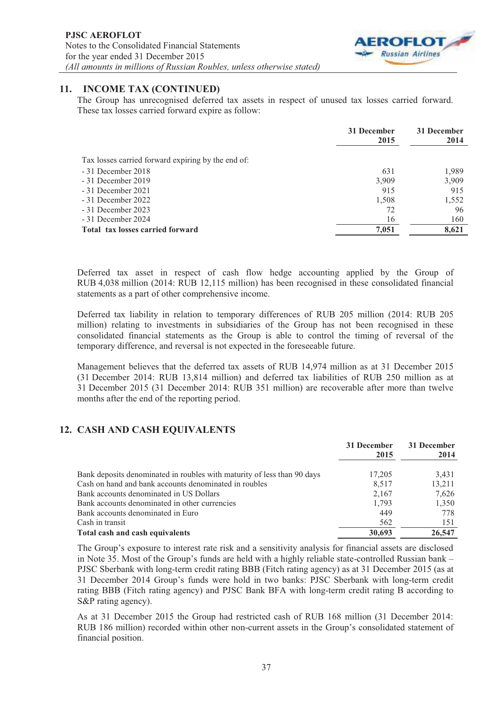

## **11. INCOME TAX (CONTINUED)**

The Group has unrecognised deferred tax assets in respect of unused tax losses carried forward. These tax losses carried forward expire as follow:

|                                                    | 31 December<br>2015 | 31 December<br>2014 |
|----------------------------------------------------|---------------------|---------------------|
| Tax losses carried forward expiring by the end of: |                     |                     |
| $-31$ December 2018                                | 631                 | 1,989               |
| $-31$ December 2019                                | 3,909               | 3,909               |
| $-31$ December 2021                                | 915                 | 915                 |
| $-31$ December 2022                                | 1,508               | 1,552               |
| $-31$ December 2023                                | 72                  | 96                  |
| $-31$ December 2024                                | 16                  | 160                 |
| <b>Total tax losses carried forward</b>            | 7,051               | 8,621               |

Deferred tax asset in respect of cash flow hedge accounting applied by the Group of RUB 4,038 million (2014: RUB 12,115 million) has been recognised in these consolidated financial statements as a part of other comprehensive income.

Deferred tax liability in relation to temporary differences of RUB 205 million (2014: RUB 205 million) relating to investments in subsidiaries of the Group has not been recognised in these consolidated financial statements as the Group is able to control the timing of reversal of the temporary difference, and reversal is not expected in the foreseeable future.

Management believes that the deferred tax assets of RUB 14,974 million as at 31 December 2015 (31 December 2014: RUB 13,814 million) and deferred tax liabilities of RUB 250 million as at 31 December 2015 (31 December 2014: RUB 351 million) are recoverable after more than twelve months after the end of the reporting period.

## **12. CASH AND CASH EQUIVALENTS**

|                                                                         | 31 December<br>2015 | 31 December<br>2014 |
|-------------------------------------------------------------------------|---------------------|---------------------|
| Bank deposits denominated in roubles with maturity of less than 90 days | 17,205              | 3,431               |
| Cash on hand and bank accounts denominated in roubles                   | 8,517               | 13,211              |
| Bank accounts denominated in US Dollars                                 | 2,167               | 7,626               |
| Bank accounts denominated in other currencies                           | 1,793               | 1,350               |
| Bank accounts denominated in Euro                                       | 449                 | 778                 |
| Cash in transit                                                         | 562                 | 151                 |
| Total cash and cash equivalents                                         | 30,693              | 26,547              |

The Group's exposure to interest rate risk and a sensitivity analysis for financial assets are disclosed in Note 35. Most of the Group's funds are held with a highly reliable state-controlled Russian bank – PJSC Sberbank with long-term credit rating BBB (Fitch rating agency) as at 31 December 2015 (as at 31 December 2014 Group's funds were hold in two banks: PJSC Sberbank with long-term credit rating BBB (Fitch rating agency) and PJSC Bank BFA with long-term credit rating B according to S&P rating agency).

As at 31 December 2015 the Group had restricted cash of RUB 168 million (31 December 2014: RUB 186 million) recorded within other non-current assets in the Group's consolidated statement of financial position.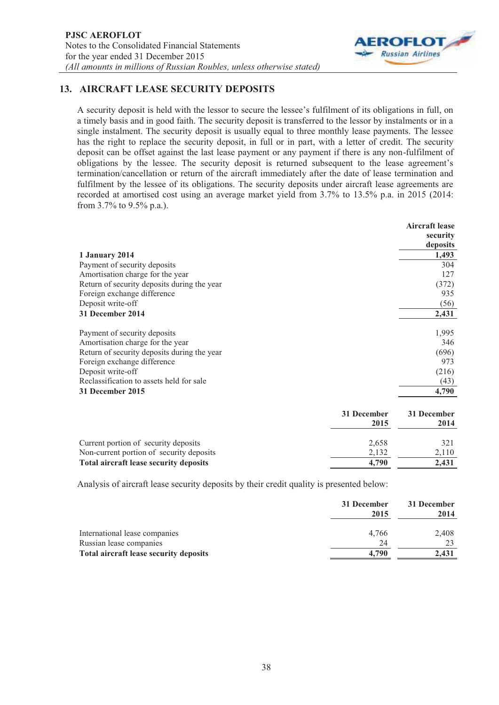

## **13. AIRCRAFT LEASE SECURITY DEPOSITS**

A security deposit is held with the lessor to secure the lessee's fulfilment of its obligations in full, on a timely basis and in good faith. The security deposit is transferred to the lessor by instalments or in a single instalment. The security deposit is usually equal to three monthly lease payments. The lessee has the right to replace the security deposit, in full or in part, with a letter of credit. The security deposit can be offset against the last lease payment or any payment if there is any non-fulfilment of obligations by the lessee. The security deposit is returned subsequent to the lease agreement's termination/cancellation or return of the aircraft immediately after the date of lease termination and fulfilment by the lessee of its obligations. The security deposits under aircraft lease agreements are recorded at amortised cost using an average market yield from 3.7% to 13.5% p.a. in 2015 (2014: from 3.7% to 9.5% p.a.).

|                                             | <b>Aircraft lease</b><br>security<br>deposits |
|---------------------------------------------|-----------------------------------------------|
| 1 January 2014                              | 1,493                                         |
| Payment of security deposits                | 304                                           |
| Amortisation charge for the year            | 127                                           |
| Return of security deposits during the year | (372)                                         |
| Foreign exchange difference                 | 935                                           |
| Deposit write-off                           | (56)                                          |
| 31 December 2014                            | 2,431                                         |
| Payment of security deposits                | 1,995                                         |
| Amortisation charge for the year            | 346                                           |
| Return of security deposits during the year | (696)                                         |
| Foreign exchange difference                 | 973                                           |
| Deposit write-off                           | (216)                                         |
| Reclassification to assets held for sale    | (43)                                          |
| <b>31 December 2015</b>                     | 4,790                                         |

|                                                                                  | 31 December<br>2015 | 31 December<br>2014 |  |
|----------------------------------------------------------------------------------|---------------------|---------------------|--|
| Current portion of security deposits<br>Non-current portion of security deposits | 2.658<br>2.132      | 321<br>2.110        |  |
| Total aircraft lease security deposits                                           | 4.790               | 2,431               |  |

Analysis of aircraft lease security deposits by their credit quality is presented below:

|                                               | 31 December<br>2015 | 31 December<br>2014 |  |
|-----------------------------------------------|---------------------|---------------------|--|
| International lease companies                 | 4.766               | 2,408               |  |
| Russian lease companies                       | 24                  |                     |  |
| <b>Total aircraft lease security deposits</b> | 4.790               | 2.431               |  |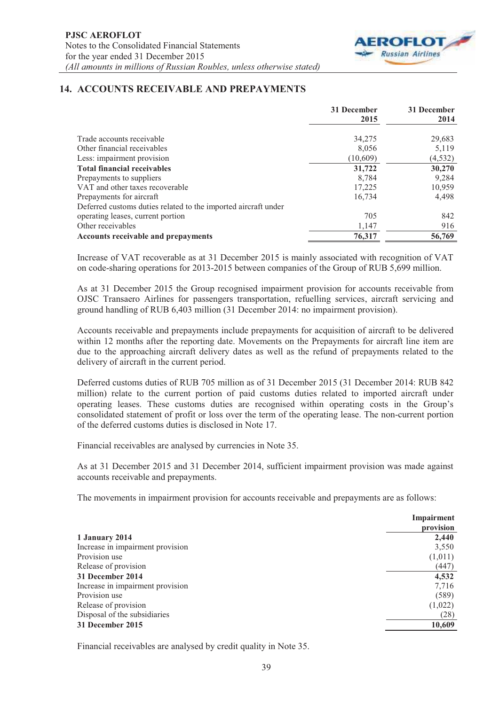

# **14. ACCOUNTS RECEIVABLE AND PREPAYMENTS**

|                                                                | 31 December<br>2015 | <b>31 December</b><br>2014 |
|----------------------------------------------------------------|---------------------|----------------------------|
|                                                                |                     |                            |
| Trade accounts receivable                                      | 34,275              | 29,683                     |
| Other financial receivables                                    | 8,056               | 5,119                      |
| Less: impairment provision                                     | (10,609)            | (4, 532)                   |
| <b>Total financial receivables</b>                             | 31,722              | 30,270                     |
| Prepayments to suppliers                                       | 8,784               | 9,284                      |
| VAT and other taxes recoverable                                | 17,225              | 10,959                     |
| Prepayments for aircraft                                       | 16,734              | 4,498                      |
| Deferred customs duties related to the imported aircraft under |                     |                            |
| operating leases, current portion                              | 705                 | 842                        |
| Other receivables                                              | 1,147               | 916                        |
| Accounts receivable and prepayments                            | 76,317              | 56,769                     |

Increase of VAT recoverable as at 31 December 2015 is mainly associated with recognition of VAT on code-sharing operations for 2013-2015 between companies of the Group of RUB 5,699 million.

As at 31 December 2015 the Group recognised impairment provision for accounts receivable from OJSC Transaero Airlines for passengers transportation, refuelling services, aircraft servicing and ground handling of RUB 6,403 million (31 December 2014: no impairment provision).

Accounts receivable and prepayments include prepayments for acquisition of aircraft to be delivered within 12 months after the reporting date. Movements on the Prepayments for aircraft line item are due to the approaching aircraft delivery dates as well as the refund of prepayments related to the delivery of aircraft in the current period.

Deferred customs duties of RUB 705 million as of 31 December 2015 (31 December 2014: RUB 842 million) relate to the current portion of paid customs duties related to imported aircraft under operating leases. These customs duties are recognised within operating costs in the Group's consolidated statement of profit or loss over the term of the operating lease. The non-current portion of the deferred customs duties is disclosed in Note 17.

Financial receivables are analysed by currencies in Note 35.

As at 31 December 2015 and 31 December 2014, sufficient impairment provision was made against accounts receivable and prepayments.

The movements in impairment provision for accounts receivable and prepayments are as follows:

|                                  | Impairment<br>provision |
|----------------------------------|-------------------------|
| 1 January 2014                   | 2,440                   |
| Increase in impairment provision | 3,550                   |
| Provision use                    | (1,011)                 |
| Release of provision             | (447)                   |
| 31 December 2014                 | 4,532                   |
| Increase in impairment provision | 7,716                   |
| Provision use                    | (589)                   |
| Release of provision             | (1,022)                 |
| Disposal of the subsidiaries     | (28)                    |
| 31 December 2015                 | 10,609                  |

Financial receivables are analysed by credit quality in Note 35.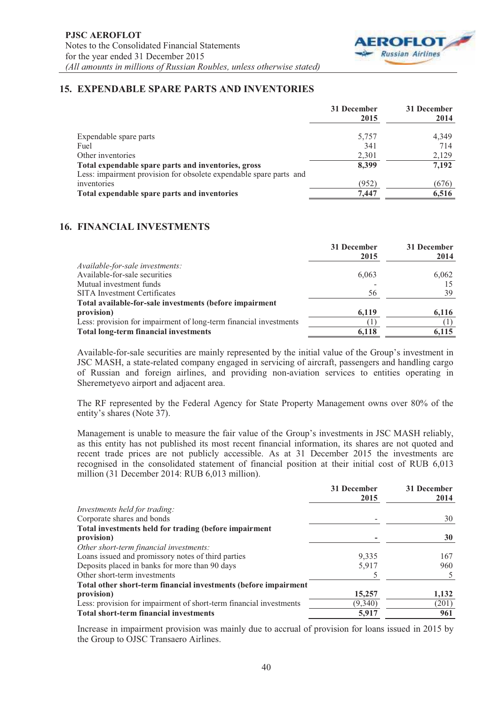

# **15. EXPENDABLE SPARE PARTS AND INVENTORIES**

|                                                                    | 31 December<br>2015 | 31 December<br>2014 |
|--------------------------------------------------------------------|---------------------|---------------------|
| Expendable spare parts                                             | 5,757               | 4,349               |
| Fuel                                                               | 341                 | 714                 |
| Other inventories                                                  | 2,301               | 2,129               |
| Total expendable spare parts and inventories, gross                | 8.399               | 7,192               |
| Less: impairment provision for obsolete expendable spare parts and |                     |                     |
| inventories                                                        | (952)               | (676)               |
| Total expendable spare parts and inventories                       | 7.447               | 6,516               |

### **16. FINANCIAL INVESTMENTS**

|                                                                   | 31 December<br>2015 | 31 December<br>2014 |
|-------------------------------------------------------------------|---------------------|---------------------|
| Available-for-sale investments:                                   |                     |                     |
| Available-for-sale securities                                     | 6,063               | 6,062               |
| Mutual investment funds                                           |                     |                     |
| <b>SITA</b> Investment Certificates                               | 56                  | 39                  |
| Total available-for-sale investments (before impairment           |                     |                     |
| provision)                                                        | 6,119               | 6,116               |
| Less: provision for impairment of long-term financial investments |                     |                     |
| <b>Total long-term financial investments</b>                      | 6,118               | 6,115               |

Available-for-sale securities are mainly represented by the initial value of the Group's investment in JSC MASH, a state-related company engaged in servicing of aircraft, passengers and handling cargo of Russian and foreign airlines, and providing non-aviation services to entities operating in Sheremetyevo airport and adjacent area.

The RF represented by the Federal Agency for State Property Management owns over 80% of the entity's shares (Note 37).

Management is unable to measure the fair value of the Group's investments in JSC MASH reliably, as this entity has not published its most recent financial information, its shares are not quoted and recent trade prices are not publicly accessible. As at 31 December 2015 the investments are recognised in the consolidated statement of financial position at their initial cost of RUB 6,013 million (31 December 2014: RUB 6,013 million).

|                                                                    | 31 December | <b>31 December</b> |
|--------------------------------------------------------------------|-------------|--------------------|
|                                                                    | 2015        | 2014               |
| Investments held for trading:                                      |             |                    |
| Corporate shares and bonds                                         |             | 30                 |
| Total investments held for trading (before impairment              |             |                    |
| provision)                                                         |             | 30                 |
| Other short-term financial investments:                            |             |                    |
| Loans issued and promissory notes of third parties                 | 9,335       | 167                |
| Deposits placed in banks for more than 90 days                     | 5,917       | 960                |
| Other short-term investments                                       |             |                    |
| Total other short-term financial investments (before impairment    |             |                    |
| provision)                                                         | 15,257      | 1,132              |
| Less: provision for impairment of short-term financial investments | (9,340)     | (201)              |
| <b>Total short-term financial investments</b>                      | 5,917       | 961                |

Increase in impairment provision was mainly due to accrual of provision for loans issued in 2015 by the Group to OJSC Transaero Airlines.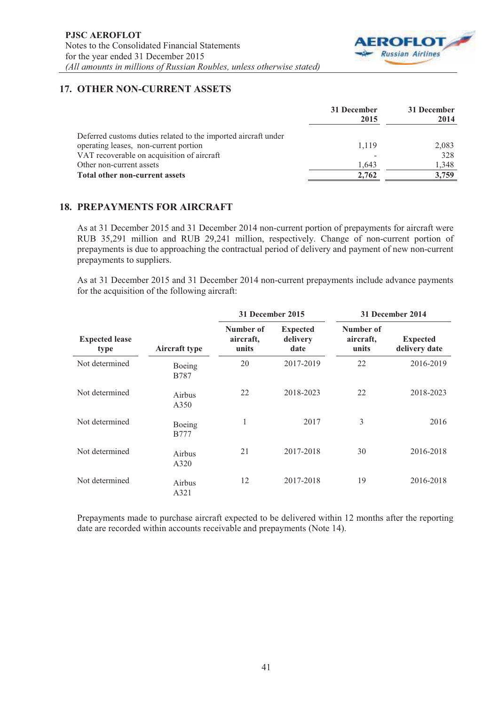

# **17. OTHER NON-CURRENT ASSETS**

|                                                                | 31 December<br>2015 | 31 December<br>2014 |
|----------------------------------------------------------------|---------------------|---------------------|
| Deferred customs duties related to the imported aircraft under |                     |                     |
| operating leases, non-current portion                          | 1,119               | 2,083               |
| VAT recoverable on acquisition of aircraft                     |                     | 328                 |
| Other non-current assets                                       | 1.643               | 1,348               |
| Total other non-current assets                                 | 2.762               | 3.759               |

### **18. PREPAYMENTS FOR AIRCRAFT**

As at 31 December 2015 and 31 December 2014 non-current portion of prepayments for aircraft were RUB 35,291 million and RUB 29,241 million, respectively. Change of non-current portion of prepayments is due to approaching the contractual period of delivery and payment of new non-current prepayments to suppliers.

As at 31 December 2015 and 31 December 2014 non-current prepayments include advance payments for the acquisition of the following aircraft:

|                               |                       | 31 December 2015                |                                     |                                 | 31 December 2014                 |
|-------------------------------|-----------------------|---------------------------------|-------------------------------------|---------------------------------|----------------------------------|
| <b>Expected lease</b><br>type | Aircraft type         | Number of<br>aircraft,<br>units | <b>Expected</b><br>delivery<br>date | Number of<br>aircraft,<br>units | <b>Expected</b><br>delivery date |
| Not determined                | Boeing<br><b>B787</b> | 20                              | 2017-2019                           | 22                              | 2016-2019                        |
| Not determined                | Airbus<br>A350        | 22                              | 2018-2023                           | 22                              | 2018-2023                        |
| Not determined                | Boeing<br><b>B777</b> | 1                               | 2017                                | 3                               | 2016                             |
| Not determined                | Airbus<br>A320        | 21                              | 2017-2018                           | 30                              | 2016-2018                        |
| Not determined                | Airbus<br>A321        | 12                              | 2017-2018                           | 19                              | 2016-2018                        |

Prepayments made to purchase aircraft expected to be delivered within 12 months after the reporting date are recorded within accounts receivable and prepayments (Note 14).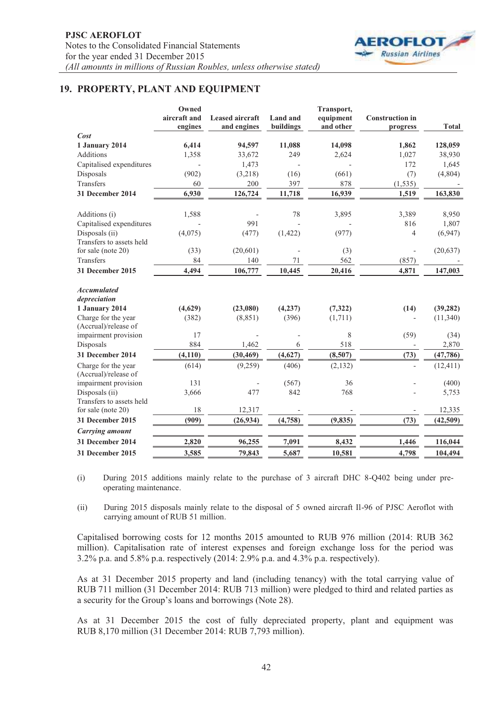

## **19. PROPERTY, PLANT AND EQUIPMENT**

|                                              | Owned<br>aircraft and | <b>Leased aircraft</b> | <b>Land</b> and | Transport,<br>equipment | <b>Construction in</b> |              |
|----------------------------------------------|-----------------------|------------------------|-----------------|-------------------------|------------------------|--------------|
|                                              | engines               | and engines            | buildings       | and other               | progress               | <b>Total</b> |
| Cost                                         |                       |                        |                 |                         |                        |              |
| 1 January 2014                               | 6,414                 | 94,597                 | 11,088          | 14,098                  | 1,862                  | 128,059      |
| <b>Additions</b>                             | 1,358                 | 33,672                 | 249             | 2,624                   | 1,027                  | 38,930       |
| Capitalised expenditures                     |                       | 1,473                  |                 |                         | 172                    | 1,645        |
| Disposals                                    | (902)                 | (3,218)                | (16)            | (661)                   | (7)                    | (4,804)      |
| Transfers                                    | 60                    | 200                    | 397             | 878                     | (1, 535)               |              |
| 31 December 2014                             | 6,930                 | 126,724                | 11,718          | 16,939                  | 1,519                  | 163,830      |
| Additions (i)                                | 1,588                 |                        | 78              | 3,895                   | 3,389                  | 8,950        |
| Capitalised expenditures                     |                       | 991                    |                 |                         | 816                    | 1,807        |
| Disposals (ii)                               | (4,075)               | (477)                  | (1, 422)        | (977)                   | $\overline{4}$         | (6,947)      |
| Transfers to assets held                     |                       |                        |                 |                         |                        |              |
| for sale (note $20$ )<br>Transfers           | (33)<br>84            | (20,601)<br>140        | 71              | (3)<br>562              |                        | (20, 637)    |
|                                              |                       |                        |                 |                         | (857)                  |              |
| 31 December 2015                             | 4,494                 | 106,777                | 10,445          | 20,416                  | 4,871                  | 147,003      |
| <b>Accumulated</b>                           |                       |                        |                 |                         |                        |              |
| depreciation                                 |                       |                        |                 |                         |                        |              |
| 1 January 2014                               | (4,629)               | (23,080)               | (4,237)         | (7, 322)                | (14)                   | (39, 282)    |
| Charge for the year                          | (382)                 | (8, 851)               | (396)           | (1,711)                 |                        | (11,340)     |
| (Accrual)/release of<br>impairment provision | 17                    |                        |                 | 8                       | (59)                   | (34)         |
| Disposals                                    | 884                   | 1,462                  | 6               | 518                     |                        | 2,870        |
| 31 December 2014                             | (4, 110)              | (30, 469)              | (4,627)         | (8,507)                 | (73)                   | (47, 786)    |
|                                              |                       |                        |                 |                         |                        |              |
| Charge for the year<br>(Accrual)/release of  | (614)                 | (9,259)                | (406)           | (2,132)                 |                        | (12, 411)    |
| impairment provision                         | 131                   |                        | (567)           | 36                      |                        | (400)        |
| Disposals (ii)                               | 3,666                 | 477                    | 842             | 768                     |                        | 5,753        |
| Transfers to assets held                     |                       |                        |                 |                         |                        |              |
| for sale (note 20)                           | $18\,$                | 12,317                 |                 |                         |                        | 12,335       |
| <b>31 December 2015</b>                      | (909)                 | (26, 934)              | (4,758)         | (9, 835)                | (73)                   | (42,509)     |
| <b>Carrying amount</b>                       |                       |                        |                 |                         |                        |              |
| 31 December 2014                             | 2,820                 | 96,255                 | 7,091           | 8,432                   | 1,446                  | 116,044      |
| <b>31 December 2015</b>                      | 3,585                 | 79,843                 | 5,687           | 10,581                  | 4,798                  | 104,494      |

(i) During 2015 additions mainly relate to the purchase of 3 aircraft DHC 8-Q402 being under preoperating maintenance.

(ii) During 2015 disposals mainly relate to the disposal of 5 owned aircraft Il-96 of PJSC Aeroflot with carrying amount of RUB 51 million.

Capitalised borrowing costs for 12 months 2015 amounted to RUB 976 million (2014: RUB 362 million). Capitalisation rate of interest expenses and foreign exchange loss for the period was 3.2% p.a. and 5.8% p.a. respectively (2014: 2.9% p.a. and 4.3% p.a. respectively).

As at 31 December 2015 property and land (including tenancy) with the total carrying value of RUB 711 million (31 December 2014: RUB 713 million) were pledged to third and related parties as a security for the Group's loans and borrowings (Note 28).

As at 31 December 2015 the cost of fully depreciated property, plant and equipment was RUB 8,170 million (31 December 2014: RUB 7,793 million).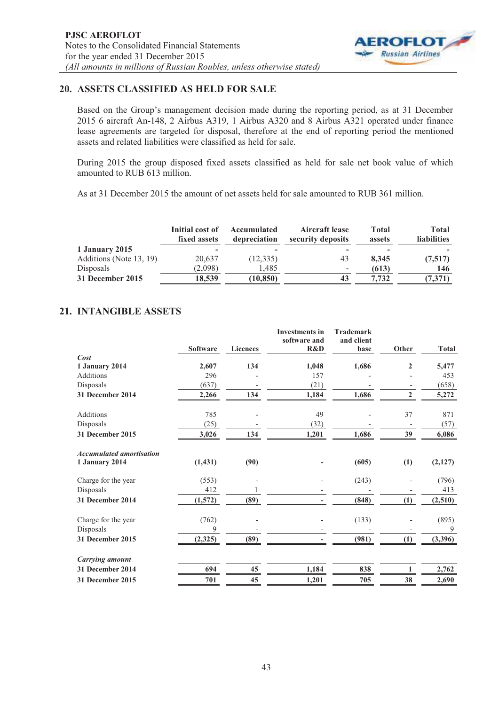

# **20. ASSETS CLASSIFIED AS HELD FOR SALE**

Based on the Group's management decision made during the reporting period, as at 31 December 2015 6 aircraft An-148, 2 Airbus A319, 1 Airbus A320 and 8 Airbus A321 operated under finance lease agreements are targeted for disposal, therefore at the end of reporting period the mentioned assets and related liabilities were classified as held for sale.

During 2015 the group disposed fixed assets classified as held for sale net book value of which amounted to RUB 613 million.

As at 31 December 2015 the amount of net assets held for sale amounted to RUB 361 million.

|                         | Initial cost of<br>fixed assets | Accumulated<br>depreciation | <b>Aircraft lease</b><br>security deposits | Total<br>assets | Total<br>liabilities |
|-------------------------|---------------------------------|-----------------------------|--------------------------------------------|-----------------|----------------------|
| 1 January 2015          |                                 |                             |                                            |                 |                      |
| Additions (Note 13, 19) | 20.637                          | (12, 335)                   | 43                                         | 8.345           | (7,517)              |
| Disposals               | (2,098)                         | 1,485                       | $\sim$                                     | (613)           | 146                  |
| 31 December 2015        | 18,539                          | (10, 850)                   |                                            | 7.732           | (7,371)              |

# **21. INTANGIBLE ASSETS**

|                                                   | <b>Software</b> | <b>Licences</b> | <b>Investments</b> in<br>software and<br>R&D | <b>Trademark</b><br>and client<br>base | Other          | <b>Total</b> |
|---------------------------------------------------|-----------------|-----------------|----------------------------------------------|----------------------------------------|----------------|--------------|
| Cost                                              |                 |                 |                                              |                                        |                |              |
| 1 January 2014                                    | 2,607           | 134             | 1,048                                        | 1,686                                  | $\overline{2}$ | 5,477        |
| <b>Additions</b>                                  | 296             |                 | 157                                          |                                        |                | 453          |
| Disposals                                         | (637)           |                 | (21)                                         |                                        |                | (658)        |
| 31 December 2014                                  | 2,266           | 134             | 1,184                                        | 1,686                                  | $\overline{2}$ | 5,272        |
| Additions                                         | 785             |                 | 49                                           |                                        | 37             | 871          |
| Disposals                                         | (25)            |                 | (32)                                         |                                        |                | (57)         |
| <b>31 December 2015</b>                           | 3,026           | 134             | 1,201                                        | 1,686                                  | 39             | 6,086        |
| <b>Accumulated amortisation</b><br>1 January 2014 | (1, 431)        | (90)            |                                              | (605)                                  | (1)            | (2,127)      |
| Charge for the year                               | (553)           |                 |                                              | (243)                                  |                | (796)        |
| Disposals                                         | 412             |                 |                                              |                                        |                | 413          |
| 31 December 2014                                  | (1,572)         | (89)            |                                              | (848)                                  | (1)            | (2,510)      |
| Charge for the year                               | (762)           |                 |                                              | (133)                                  |                | (895)        |
| Disposals                                         | 9               |                 |                                              |                                        |                | 9            |
| 31 December 2015                                  | (2, 325)        | (89)            |                                              | (981)                                  | (1)            | (3,396)      |
| <b>Carrying amount</b>                            |                 |                 |                                              |                                        |                |              |
| 31 December 2014                                  | 694             | 45              | 1,184                                        | 838                                    | $\mathbf{1}$   | 2,762        |
| <b>31 December 2015</b>                           | 701             | 45              | 1,201                                        | 705                                    | 38             | 2,690        |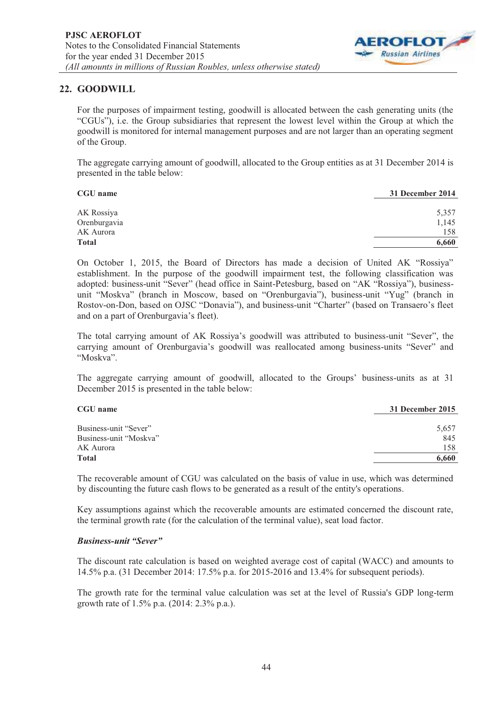

# **22. GOODWILL**

For the purposes of impairment testing, goodwill is allocated between the cash generating units (the "CGUs"), i.e. the Group subsidiaries that represent the lowest level within the Group at which the goodwill is monitored for internal management purposes and are not larger than an operating segment of the Group.

The aggregate carrying amount of goodwill, allocated to the Group entities as at 31 December 2014 is presented in the table below:

| <b>CGU</b> name | 31 December 2014 |
|-----------------|------------------|
|                 |                  |
| AK Rossiya      | 5,357            |
| Orenburgavia    | 1,145            |
| AK Aurora       | 158              |
| <b>Total</b>    | 6,660            |

On October 1, 2015, the Board of Directors has made a decision of United AK "Rossiya" establishment. In the purpose of the goodwill impairment test, the following classification was adopted: business-unit "Sever" (head office in Saint-Petesburg, based on "AK "Rossiya"), businessunit "Moskva" (branch in Moscow, based on "Orenburgavia"), business-unit "Yug" (branch in Rostov-on-Don, based on OJSC "Donavia"), and business-unit "Charter" (based on Transaero's fleet and on a part of Orenburgavia's fleet).

The total carrying amount of AK Rossiya's goodwill was attributed to business-unit "Sever", the carrying amount of Orenburgavia's goodwill was reallocated among business-units "Sever" and "Moskva".

The aggregate carrying amount of goodwill, allocated to the Groups' business-units as at 31 December 2015 is presented in the table below:

| <b>CGU</b> name        | 31 December 2015 |
|------------------------|------------------|
| Business-unit "Sever"  | 5,657            |
| Business-unit "Moskva" | 845              |
| AK Aurora              | 158              |
| <b>Total</b>           | 6.660            |
|                        |                  |

The recoverable amount of CGU was calculated on the basis of value in use, which was determined by discounting the future cash flows to be generated as a result of the entity's operations.

Key assumptions against which the recoverable amounts are estimated concerned the discount rate, the terminal growth rate (for the calculation of the terminal value), seat load factor.

#### *Business-unit "Sever"*

The discount rate calculation is based on weighted average cost of capital (WACC) and amounts to 14.5% p.a. (31 December 2014: 17.5% p.a. for 2015-2016 and 13.4% for subsequent periods).

The growth rate for the terminal value calculation was set at the level of Russia's GDP long-term growth rate of 1.5% p.a. (2014: 2.3% p.a.).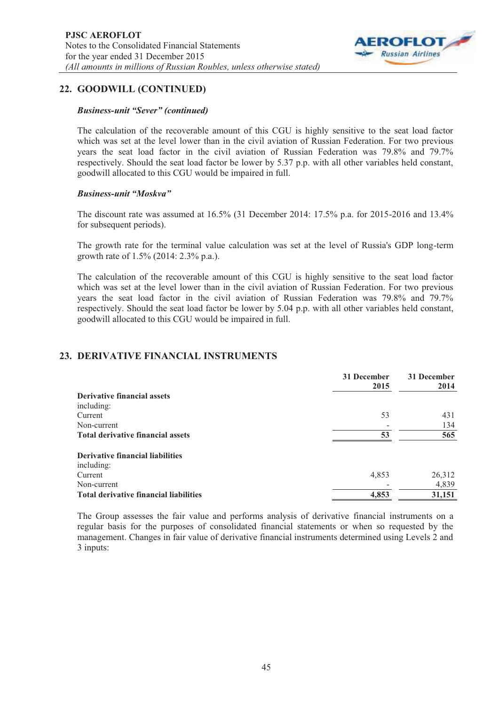

# **22. GOODWILL (CONTINUED)**

#### *Business-unit "Sever" (continued)*

The calculation of the recoverable amount of this CGU is highly sensitive to the seat load factor which was set at the level lower than in the civil aviation of Russian Federation. For two previous years the seat load factor in the civil aviation of Russian Federation was 79.8% and 79.7% respectively. Should the seat load factor be lower by 5.37 p.p. with all other variables held constant, goodwill allocated to this CGU would be impaired in full.

#### *Business-unit "Moskva"*

The discount rate was assumed at 16.5% (31 December 2014: 17.5% p.a. for 2015-2016 and 13.4% for subsequent periods).

The growth rate for the terminal value calculation was set at the level of Russia's GDP long-term growth rate of 1.5% (2014: 2.3% p.a.).

The calculation of the recoverable amount of this CGU is highly sensitive to the seat load factor which was set at the level lower than in the civil aviation of Russian Federation. For two previous years the seat load factor in the civil aviation of Russian Federation was 79.8% and 79.7% respectively. Should the seat load factor be lower by 5.04 p.p. with all other variables held constant, goodwill allocated to this CGU would be impaired in full.

### **23. DERIVATIVE FINANCIAL INSTRUMENTS**

|                                               | 31 December<br>2015 | 31 December<br>2014 |
|-----------------------------------------------|---------------------|---------------------|
| <b>Derivative financial assets</b>            |                     |                     |
| including:                                    |                     |                     |
| Current                                       | 53                  | 431                 |
| Non-current                                   |                     | 134                 |
| <b>Total derivative financial assets</b>      | 53                  | 565                 |
| <b>Derivative financial liabilities</b>       |                     |                     |
| including:                                    |                     |                     |
| Current                                       | 4,853               | 26,312              |
| Non-current                                   |                     | 4,839               |
| <b>Total derivative financial liabilities</b> | 4,853               | 31,151              |

The Group assesses the fair value and performs analysis of derivative financial instruments on a regular basis for the purposes of consolidated financial statements or when so requested by the management. Changes in fair value of derivative financial instruments determined using Levels 2 and 3 inputs: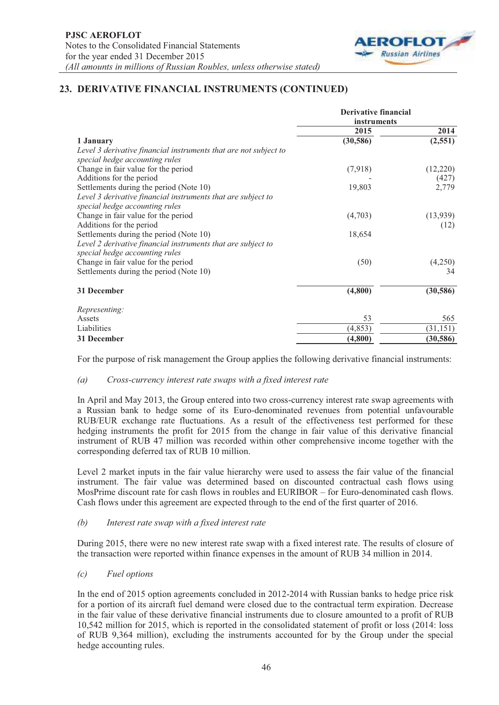

# **23. DERIVATIVE FINANCIAL INSTRUMENTS (CONTINUED)**

|                                                                  | Derivative financial |           |
|------------------------------------------------------------------|----------------------|-----------|
|                                                                  | instruments          |           |
|                                                                  | 2015                 | 2014      |
| 1 January                                                        | (30, 586)            | (2, 551)  |
| Level 3 derivative financial instruments that are not subject to |                      |           |
| special hedge accounting rules                                   |                      |           |
| Change in fair value for the period                              | (7,918)              | (12,220)  |
| Additions for the period                                         |                      | (427)     |
| Settlements during the period (Note 10)                          | 19,803               | 2,779     |
| Level 3 derivative financial instruments that are subject to     |                      |           |
| special hedge accounting rules                                   |                      |           |
| Change in fair value for the period                              | (4,703)              | (13,939)  |
| Additions for the period                                         |                      | (12)      |
| Settlements during the period (Note 10)                          | 18,654               |           |
| Level 2 derivative financial instruments that are subject to     |                      |           |
| special hedge accounting rules                                   |                      |           |
| Change in fair value for the period                              | (50)                 | (4,250)   |
| Settlements during the period (Note 10)                          |                      | 34        |
| 31 December                                                      | (4,800)              | (30, 586) |
|                                                                  |                      |           |
| Representing:                                                    |                      |           |
| Assets                                                           | 53                   | 565       |
| Liabilities                                                      | (4, 853)             | (31, 151) |
| 31 December                                                      | (4, 800)             | (30, 586) |

For the purpose of risk management the Group applies the following derivative financial instruments:

#### *(а) Cross-currency interest rate swaps with a fixed interest rate*

In April and May 2013, the Group entered into two cross-currency interest rate swap agreements with a Russian bank to hedge some of its Euro-denominated revenues from potential unfavourable RUB/EUR exchange rate fluctuations. As a result of the effectiveness test performed for these hedging instruments the profit for 2015 from the change in fair value of this derivative financial instrument of RUB 47 million was recorded within other comprehensive income together with the corresponding deferred tax of RUB 10 million.

Level 2 market inputs in the fair value hierarchy were used to assess the fair value of the financial instrument. The fair value was determined based on discounted contractual cash flows using MosPrime discount rate for cash flows in roubles and EURIBOR – for Euro-denominated cash flows. Cash flows under this agreement are expected through to the end of the first quarter of 2016.

#### *(b) Interest rate swap with a fixed interest rate*

During 2015, there were no new interest rate swap with a fixed interest rate. The results of closure of the transaction were reported within finance expenses in the amount of RUB 34 million in 2014.

#### *(c) Fuel options*

In the end of 2015 option agreements concluded in 2012-2014 with Russian banks to hedge price risk for a portion of its aircraft fuel demand were closed due to the contractual term expiration. Decrease in the fair value of these derivative financial instruments due to closure amounted to a profit of RUB 10,542 million for 2015, which is reported in the consolidated statement of profit or loss (2014: loss of RUB 9,364 million), excluding the instruments accounted for by the Group under the special hedge accounting rules.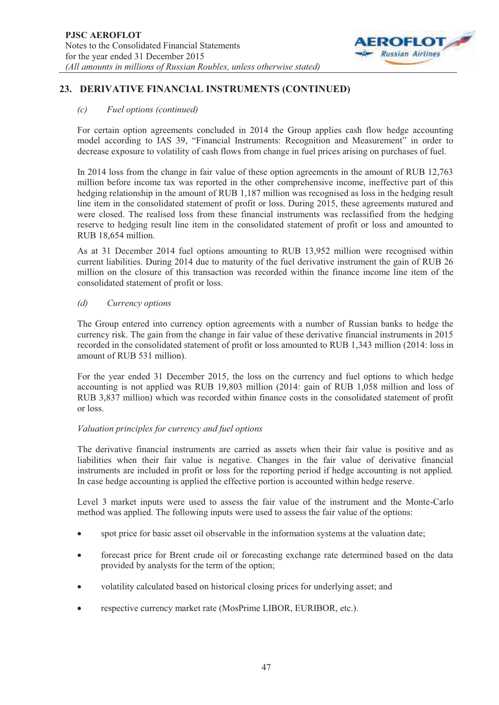

# **23. DERIVATIVE FINANCIAL INSTRUMENTS (CONTINUED)**

#### *(c) Fuel options (continued)*

For certain option agreements concluded in 2014 the Group applies cash flow hedge accounting model according to IAS 39, "Financial Instruments: Recognition and Measurement" in order to decrease exposure to volatility of cash flows from change in fuel prices arising on purchases of fuel.

In 2014 loss from the change in fair value of these option agreements in the amount of RUB 12,763 million before income tax was reported in the other comprehensive income, ineffective part of this hedging relationship in the amount of RUB 1,187 million was recognised as loss in the hedging result line item in the consolidated statement of profit or loss. During 2015, these agreements matured and were closed. The realised loss from these financial instruments was reclassified from the hedging reserve to hedging result line item in the consolidated statement of profit or loss and amounted to RUB 18,654 million.

As at 31 December 2014 fuel options amounting to RUB 13,952 million were recognised within current liabilities. During 2014 due to maturity of the fuel derivative instrument the gain of RUB 26 million on the closure of this transaction was recorded within the finance income line item of the consolidated statement of profit or loss.

#### *(d) Currency options*

The Group entered into currency option agreements with a number of Russian banks to hedge the currency risk. The gain from the change in fair value of these derivative financial instruments in 2015 recorded in the consolidated statement of profit or loss amounted to RUB 1,343 million (2014: loss in amount of RUB 531 million).

For the year ended 31 December 2015, the loss on the currency and fuel options to which hedge accounting is not applied was RUB 19,803 million (2014: gain of RUB 1,058 million and loss of RUB 3,837 million) which was recorded within finance costs in the consolidated statement of profit or loss.

### *Valuation principles for currency and fuel options*

The derivative financial instruments are carried as assets when their fair value is positive and as liabilities when their fair value is negative. Changes in the fair value of derivative financial instruments are included in profit or loss for the reporting period if hedge accounting is not applied. In case hedge accounting is applied the effective portion is accounted within hedge reserve.

Level 3 market inputs were used to assess the fair value of the instrument and the Monte-Carlo method was applied. The following inputs were used to assess the fair value of the options:

- $\bullet$ spot price for basic asset oil observable in the information systems at the valuation date;
- forecast price for Brent crude oil or forecasting exchange rate determined based on the data provided by analysts for the term of the option;
- volatility calculated based on historical closing prices for underlying asset; and
- respective currency market rate (MosPrime LIBOR, EURIBOR, etc.).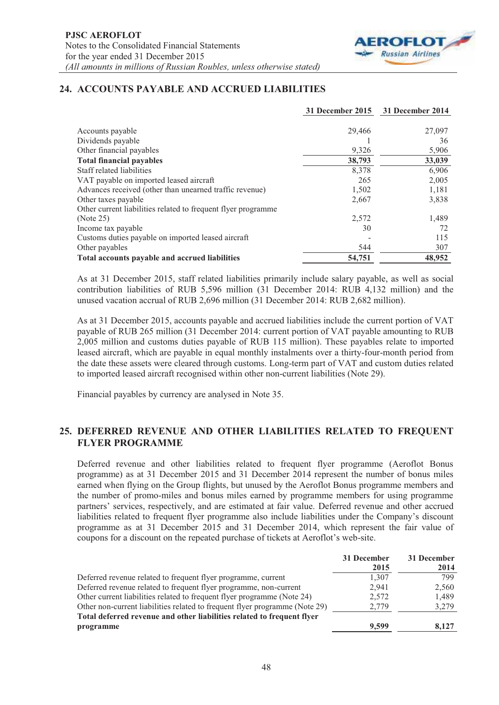

# **24. ACCOUNTS PAYABLE AND ACCRUED LIABILITIES**

|                                                               |        | 31 December 2015 31 December 2014 |
|---------------------------------------------------------------|--------|-----------------------------------|
|                                                               |        |                                   |
| Accounts payable                                              | 29,466 | 27,097                            |
| Dividends payable                                             |        | 36                                |
| Other financial payables                                      | 9,326  | 5,906                             |
| <b>Total financial payables</b>                               | 38,793 | 33,039                            |
| Staff related liabilities                                     | 8,378  | 6,906                             |
| VAT payable on imported leased aircraft                       | 265    | 2,005                             |
| Advances received (other than unearned traffic revenue)       | 1,502  | 1,181                             |
| Other taxes payable                                           | 2,667  | 3,838                             |
| Other current liabilities related to frequent flyer programme |        |                                   |
| (Note 25)                                                     | 2,572  | 1,489                             |
| Income tax payable                                            | 30     | 72                                |
| Customs duties payable on imported leased aircraft            |        | 115                               |
| Other payables                                                | 544    | 307                               |
| Total accounts payable and accrued liabilities                | 54,751 | 48,952                            |

As at 31 December 2015, staff related liabilities primarily include salary payable, as well as social contribution liabilities of RUB 5,596 million (31 December 2014: RUB 4,132 million) and the unused vacation accrual of RUB 2,696 million (31 December 2014: RUB 2,682 million).

As at 31 December 2015, accounts payable and accrued liabilities include the current portion of VAT payable of RUB 265 million (31 December 2014: current portion of VAT payable amounting to RUB 2,005 million and customs duties payable of RUB 115 million). These payables relate to imported leased aircraft, which are payable in equal monthly instalments over a thirty-four-month period from the date these assets were cleared through customs. Long-term part of VAT and custom duties related to imported leased aircraft recognised within other non-current liabilities (Note 29).

Financial payables by currency are analysed in Note 35.

### **25. DEFERRED REVENUE AND OTHER LIABILITIES RELATED TO FREQUENT FLYER PROGRAMME**

Deferred revenue and other liabilities related to frequent flyer programme (Aeroflot Bonus programme) as at 31 December 2015 and 31 December 2014 represent the number of bonus miles earned when flying on the Group flights, but unused by the Aeroflot Bonus programme members and the number of promo-miles and bonus miles earned by programme members for using programme partners' services, respectively, and are estimated at fair value. Deferred revenue and other accrued liabilities related to frequent flyer programme also include liabilities under the Company's discount programme as at 31 December 2015 and 31 December 2014, which represent the fair value of coupons for a discount on the repeated purchase of tickets at Aeroflot's web-site.

|                                                                             | 31 December | 31 December |
|-----------------------------------------------------------------------------|-------------|-------------|
|                                                                             | 2015        | 2014        |
| Deferred revenue related to frequent flyer programme, current               | 1,307       | 799         |
| Deferred revenue related to frequent flyer programme, non-current           | 2.941       | 2,560       |
| Other current liabilities related to frequent flyer programme (Note 24)     | 2,572       | 1,489       |
| Other non-current liabilities related to frequent flyer programme (Note 29) | 2,779       | 3,279       |
| Total deferred revenue and other liabilities related to frequent flyer      |             |             |
| programme                                                                   | 9.599       | 8.127       |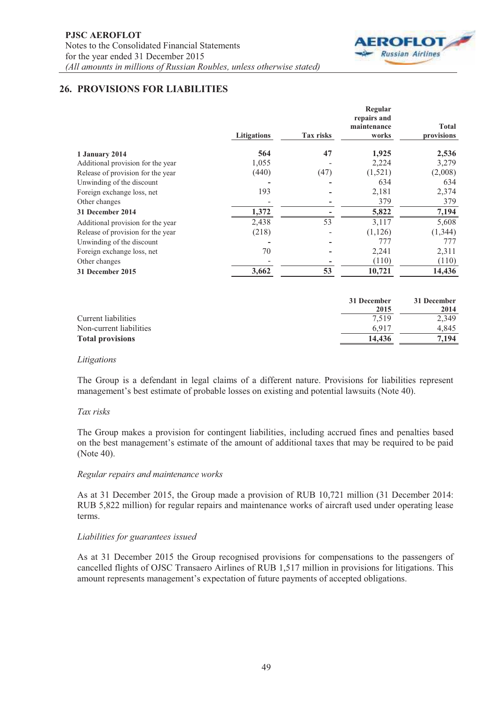

# **26. PROVISIONS FOR LIABILITIES**

|                                   | <b>Litigations</b> | Tax risks | Regular<br>repairs and<br>maintenance<br>works | Total<br>provisions |
|-----------------------------------|--------------------|-----------|------------------------------------------------|---------------------|
| 1 January 2014                    | 564                | 47        | 1,925                                          | 2,536               |
| Additional provision for the year | 1,055              |           | 2,224                                          | 3,279               |
| Release of provision for the year | (440)              | (47)      | (1,521)                                        | (2,008)             |
| Unwinding of the discount         |                    |           | 634                                            | 634                 |
| Foreign exchange loss, net        | 193                |           | 2,181                                          | 2,374               |
| Other changes                     |                    |           | 379                                            | 379                 |
| 31 December 2014                  | 1,372              |           | 5,822                                          | 7,194               |
| Additional provision for the year | 2,438              | 53        | 3,117                                          | 5,608               |
| Release of provision for the year | (218)              |           | (1,126)                                        | (1, 344)            |
| Unwinding of the discount         |                    |           | 777                                            | 777                 |
| Foreign exchange loss, net        | 70                 |           | 2,241                                          | 2,311               |
| Other changes                     |                    |           | (110)                                          | (110)               |
| 31 December 2015                  | 3,662              | 53        | 10,721                                         | 14,436              |
|                                   |                    |           |                                                |                     |

|                         | 31 December | 31 December |
|-------------------------|-------------|-------------|
|                         | 2015        | 2014        |
| Current liabilities     | 7.519       | 2,349       |
| Non-current liabilities | 6.917       | 4.845       |
| <b>Total provisions</b> | 14.436      | 7.194       |

#### *Litigations*

The Group is a defendant in legal claims of a different nature. Provisions for liabilities represent management's best estimate of probable losses on existing and potential lawsuits (Note 40).

#### *Tax risks*

The Group makes a provision for contingent liabilities, including accrued fines and penalties based on the best management's estimate of the amount of additional taxes that may be required to be paid (Note 40).

#### *Regular repairs and maintenance works*

As at 31 December 2015, the Group made a provision of RUB 10,721 million (31 December 2014: RUB 5,822 million) for regular repairs and maintenance works of aircraft used under operating lease terms.

#### *Liabilities for guarantees issued*

As at 31 December 2015 the Group recognised provisions for compensations to the passengers of cancelled flights of OJSC Transaero Airlines of RUB 1,517 million in provisions for litigations. This amount represents management's expectation of future payments of accepted obligations.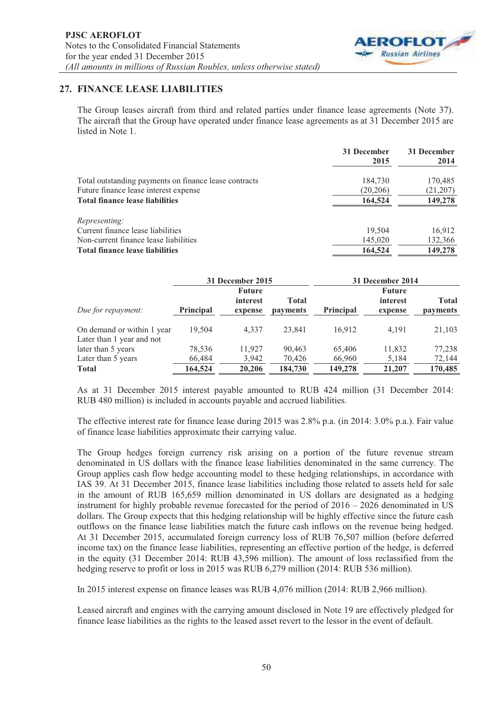

## **27. FINANCE LEASE LIABILITIES**

The Group leases aircraft from third and related parties under finance lease agreements (Note 37). The aircraft that the Group have operated under finance lease agreements as at 31 December 2015 are listed in Note 1.

|                                                       | 31 December<br>2015 | 31 December<br>2014 |
|-------------------------------------------------------|---------------------|---------------------|
| Total outstanding payments on finance lease contracts | 184,730             | 170,485             |
| Future finance lease interest expense                 | (20, 206)           | (21, 207)           |
| <b>Total finance lease liabilities</b>                | 164,524             | 149,278             |
| <i>Representing:</i>                                  |                     |                     |
| Current finance lease liabilities                     | 19.504              | 16.912              |
| Non-current finance lease liabilities                 | 145,020             | 132,366             |
| <b>Total finance lease liabilities</b>                | 164,524             | 149,278             |
|                                                       |                     |                     |

|                                                         | 31 December 2015 |                               | 31 December 2014                |                  |                                      |                          |
|---------------------------------------------------------|------------------|-------------------------------|---------------------------------|------------------|--------------------------------------|--------------------------|
| Due for repayment:                                      | <b>Principal</b> | Future<br>interest<br>expense | <b>Total</b><br><i>payments</i> | <b>Principal</b> | <b>Future</b><br>interest<br>expense | <b>Total</b><br>payments |
| On demand or within 1 year<br>Later than 1 year and not | 19,504           | 4.337                         | 23,841                          | 16,912           | 4.191                                | 21,103                   |
| later than 5 years                                      | 78,536           | 11.927                        | 90,463                          | 65,406           | 11,832                               | 77,238                   |
| Later than 5 years                                      | 66,484           | 3,942                         | 70,426                          | 66,960           | 5,184                                | 72,144                   |
| <b>Total</b>                                            | 164,524          | 20,206                        | 184,730                         | 149,278          | 21,207                               | 170,485                  |

As at 31 December 2015 interest payable amounted to RUB 424 million (31 December 2014: RUB 480 million) is included in accounts payable and accrued liabilities.

The effective interest rate for finance lease during 2015 was 2.8% p.a. (in 2014: 3.0% p.a.). Fair value of finance lease liabilities approximate their carrying value.

The Group hedges foreign currency risk arising on a portion of the future revenue stream denominated in US dollars with the finance lease liabilities denominated in the same currency. The Group applies cash flow hedge accounting model to these hedging relationships, in accordance with IAS 39. At 31 December 2015, finance lease liabilities including those related to assets held for sale in the amount of RUB 165,659 million denominated in US dollars are designated as a hedging instrument for highly probable revenue forecasted for the period of  $2016 - 2026$  denominated in US dollars. The Group expects that this hedging relationship will be highly effective since the future cash outflows on the finance lease liabilities match the future cash inflows on the revenue being hedged. At 31 December 2015, accumulated foreign currency loss of RUB 76,507 million (before deferred income tax) on the finance lease liabilities, representing an effective portion of the hedge, is deferred in the equity (31 December 2014: RUB 43,596 million). The amount of loss reclassified from the hedging reserve to profit or loss in 2015 was RUB 6,279 million (2014: RUB 536 million).

In 2015 interest expense on finance leases was RUB 4,076 million (2014: RUB 2,966 million).

Leased aircraft and engines with the carrying amount disclosed in Note 19 are effectively pledged for finance lease liabilities as the rights to the leased asset revert to the lessor in the event of default.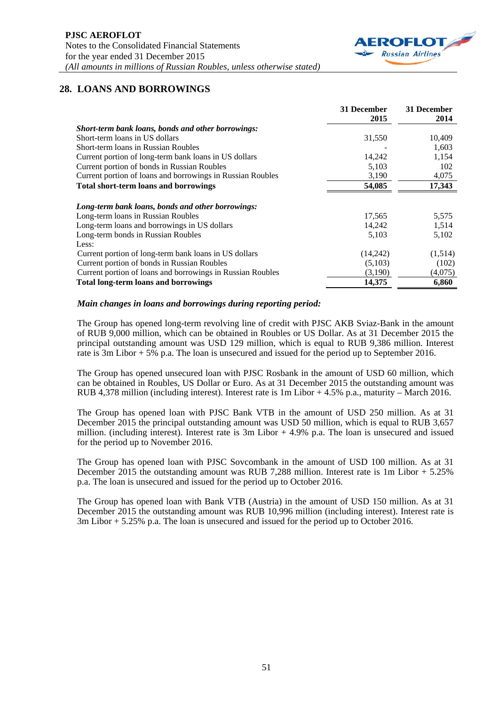

## **28. LOANS AND BORROWINGS**

|                                                            | 31 December | 31 December |
|------------------------------------------------------------|-------------|-------------|
|                                                            | 2015        | 2014        |
| Short-term bank loans, bonds and other borrowings:         |             |             |
| Short-term loans in US dollars                             | 31,550      | 10,409      |
| Short-term loans in Russian Roubles                        |             | 1,603       |
| Current portion of long-term bank loans in US dollars      | 14,242      | 1,154       |
| Current portion of bonds in Russian Roubles                | 5,103       | 102         |
| Current portion of loans and borrowings in Russian Roubles | 3,190       | 4,075       |
| <b>Total short-term loans and borrowings</b>               | 54,085      | 17,343      |
|                                                            |             |             |
| Long-term bank loans, bonds and other borrowings:          |             |             |
| Long-term loans in Russian Roubles                         | 17,565      | 5,575       |
| Long-term loans and borrowings in US dollars               | 14,242      | 1,514       |
| Long-term bonds in Russian Roubles                         | 5,103       | 5,102       |
| Less:                                                      |             |             |
| Current portion of long-term bank loans in US dollars      | (14,242)    | (1,514)     |
| Current portion of bonds in Russian Roubles                | (5,103)     | (102)       |
| Current portion of loans and borrowings in Russian Roubles | (3,190)     | (4,075)     |
| <b>Total long-term loans and borrowings</b>                | 14,375      | 6,860       |

#### *Main changes in loans and borrowings during reporting period:*

The Group has opened long-term revolving line of credit with PJSC AKB Sviaz-Bank in the amount of RUB 9,000 million, which can be obtained in Roubles or US Dollar. As at 31 December 2015 the principal outstanding amount was USD 129 million, which is equal to RUB 9,386 million. Interest rate is 3m Libor + 5% p.a. The loan is unsecured and issued for the period up to September 2016.

The Group has opened unsecured loan with PJSC Rosbank in the amount of USD 60 million, which can be obtained in Roubles, US Dollar or Euro. As at 31 December 2015 the outstanding amount was RUB 4,378 million (including interest). Interest rate is 1m Libor + 4.5% p.a., maturity – March 2016.

The Group has opened loan with PJSC Bank VTB in the amount of USD 250 million. As at 31 December 2015 the principal outstanding amount was USD 50 million, which is equal to RUB 3,657 million. (including interest). Interest rate is  $3m$  Libor  $+4.9\%$  p.a. The loan is unsecured and issued for the period up to November 2016.

The Group has opened loan with PJSC Sovcombank in the amount of USD 100 million. As at 31 December 2015 the outstanding amount was RUB 7,288 million. Interest rate is 1m Libor + 5.25% p.a. The loan is unsecured and issued for the period up to October 2016.

The Group has opened loan with Bank VTB (Austria) in the amount of USD 150 million. As at 31 December 2015 the outstanding amount was RUB 10,996 million (including interest). Interest rate is 3m Libor + 5.25% p.a. The loan is unsecured and issued for the period up to October 2016.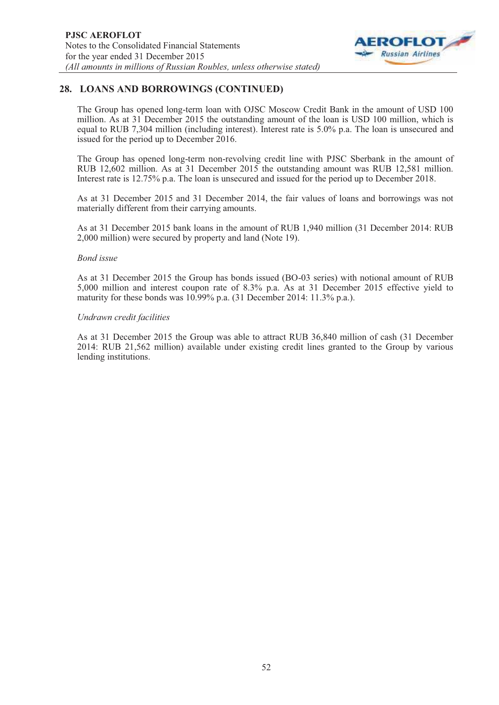

# **28. LOANS AND BORROWINGS (CONTINUED)**

The Group has opened long-term loan with OJSC Moscow Credit Bank in the amount of USD 100 million. As at 31 December 2015 the outstanding amount of the loan is USD 100 million, which is equal to RUB 7,304 million (including interest). Interest rate is 5.0% p.a. The loan is unsecured and issued for the period up to December 2016.

The Group has opened long-term non-revolving credit line with PJSC Sberbank in the amount of RUB 12,602 million. As at 31 December 2015 the outstanding amount was RUB 12,581 million. Interest rate is 12.75% p.a. The loan is unsecured and issued for the period up to December 2018.

As at 31 December 2015 and 31 December 2014, the fair values of loans and borrowings was not materially different from their carrying amounts.

As at 31 December 2015 bank loans in the amount of RUB 1,940 million (31 December 2014: RUB 2,000 million) were secured by property and land (Note 19).

#### *Bond issue*

As at 31 December 2015 the Group has bonds issued (BO-03 series) with notional amount of RUB 5,000 million and interest coupon rate of 8.3% p.a. As at 31 December 2015 effective yield to maturity for these bonds was 10.99% p.a. (31 December 2014: 11.3% p.a.).

#### *Undrawn credit facilities*

As at 31 December 2015 the Group was able to attract RUB 36,840 million of cash (31 December 2014: RUB 21,562 million) available under existing credit lines granted to the Group by various lending institutions.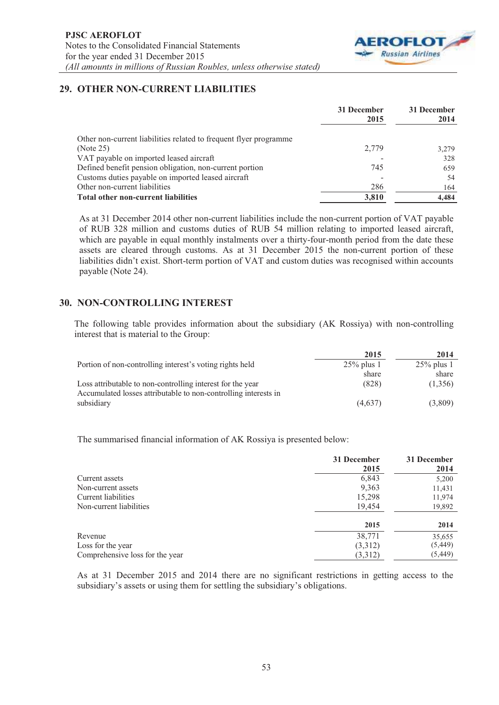

# **29. OTHER NON-CURRENT LIABILITIES**

|                                                                   | 31 December<br>2015 | 31 December<br>2014 |
|-------------------------------------------------------------------|---------------------|---------------------|
| Other non-current liabilities related to frequent flyer programme |                     |                     |
| (Note 25)                                                         | 2,779               | 3,279               |
| VAT payable on imported leased aircraft                           |                     | 328                 |
| Defined benefit pension obligation, non-current portion           | 745                 | 659                 |
| Customs duties payable on imported leased aircraft                |                     | 54                  |
| Other non-current liabilities                                     | 286                 | 164                 |
| <b>Total other non-current liabilities</b>                        | 3,810               | 4.484               |

As at 31 December 2014 other non-current liabilities include the non-current portion of VAT payable of RUB 328 million and customs duties of RUB 54 million relating to imported leased aircraft, which are payable in equal monthly instalments over a thirty-four-month period from the date these assets are cleared through customs. As at 31 December 2015 the non-current portion of these liabilities didn't exist. Short-term portion of VAT and custom duties was recognised within accounts payable (Note 24).

### **30. NON-CONTROLLING INTEREST**

The following table provides information about the subsidiary (AK Rossiya) with non-controlling interest that is material to the Group:

|                                                                 | 2015          | 2014          |
|-----------------------------------------------------------------|---------------|---------------|
| Portion of non-controlling interest's voting rights held        | $25\%$ plus 1 | $25\%$ plus 1 |
|                                                                 | share         | share         |
| Loss attributable to non-controlling interest for the year      | (828)         | (1,356)       |
| Accumulated losses attributable to non-controlling interests in |               |               |
| subsidiary                                                      | (4,637)       | (3,809)       |

The summarised financial information of AK Rossiya is presented below:

|                                 | 31 December<br>2015 | 31 December<br>2014 |
|---------------------------------|---------------------|---------------------|
| Current assets                  | 6,843               | 5,200               |
| Non-current assets              | 9,363               | 11,431              |
| Current liabilities             | 15,298              | 11,974              |
| Non-current liabilities         | 19,454              | 19,892              |
|                                 | 2015                | 2014                |
| Revenue                         | 38,771              | 35,655              |
| Loss for the year               | (3,312)             | (5, 449)            |
| Comprehensive loss for the year | (3,312)             | (5, 449)            |

As at 31 December 2015 and 2014 there are no significant restrictions in getting access to the subsidiary's assets or using them for settling the subsidiary's obligations.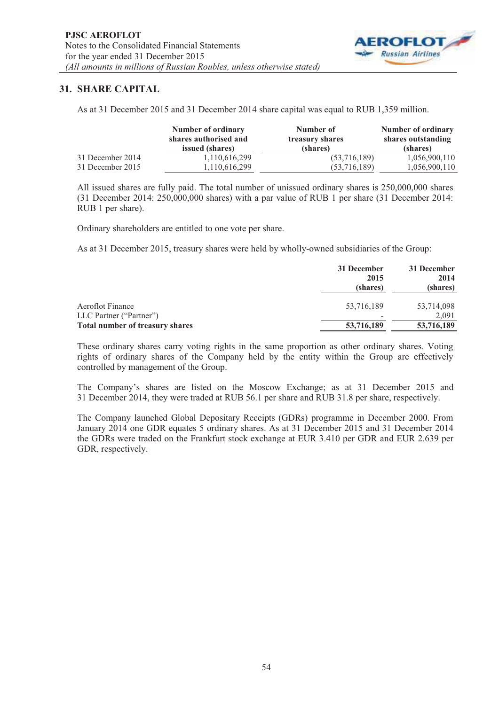

# **31. SHARE CAPITAL**

As at 31 December 2015 and 31 December 2014 share capital was equal to RUB 1,359 million.

|                  | Number of ordinary<br>shares authorised and<br>issued (shares) | Number of<br>treasury shares<br>(shares) | Number of ordinary<br>shares outstanding<br>(shares) |
|------------------|----------------------------------------------------------------|------------------------------------------|------------------------------------------------------|
| 31 December 2014 | 1,110,616,299                                                  | (53,716,189)                             | 1,056,900,110                                        |
| 31 December 2015 | 1,110,616,299                                                  | (53, 716, 189)                           | 1,056,900,110                                        |

All issued shares are fully paid. The total number of unissued ordinary shares is 250,000,000 shares (31 December 2014: 250,000,000 shares) with a par value of RUB 1 per share (31 December 2014: RUB 1 per share).

Ordinary shareholders are entitled to one vote per share.

As at 31 December 2015, treasury shares were held by wholly-owned subsidiaries of the Group:

|                                             | 31 December<br>2015<br>(shares) | 31 December<br>2014<br>(shares) |
|---------------------------------------------|---------------------------------|---------------------------------|
| Aeroflot Finance<br>LLC Partner ("Partner") | 53,716,189                      | 53,714,098<br>2,091             |
| <b>Total number of treasury shares</b>      | 53,716,189                      | 53,716,189                      |

These ordinary shares carry voting rights in the same proportion as other ordinary shares. Voting rights of ordinary shares of the Company held by the entity within the Group are effectively controlled by management of the Group.

The Company's shares are listed on the Moscow Exchange; as at 31 December 2015 and 31 December 2014, they were traded at RUB 56.1 per share and RUB 31.8 per share, respectively.

The Company launched Global Depositary Receipts (GDRs) programme in December 2000. From January 2014 one GDR equates 5 ordinary shares. As at 31 December 2015 and 31 December 2014 the GDRs were traded on the Frankfurt stock exchange at EUR 3.410 per GDR and EUR 2.639 per GDR, respectively.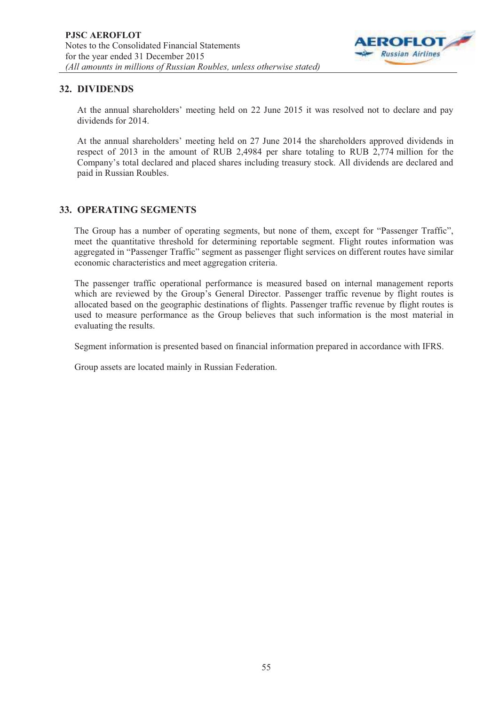

# **32. DIVIDENDS**

At the annual shareholders' meeting held on 22 June 2015 it was resolved not to declare and pay dividends for 2014.

At the annual shareholders' meeting held on 27 June 2014 the shareholders approved dividends in respect of 2013 in the amount of RUB 2,4984 per share totaling to RUB 2,774 million for the Company's total declared and placed shares including treasury stock. All dividends are declared and paid in Russian Roubles.

## **33. OPERATING SEGMENTS**

The Group has a number of operating segments, but none of them, except for "Passenger Traffic", meet the quantitative threshold for determining reportable segment. Flight routes information was aggregated in "Passenger Traffic" segment as passenger flight services on different routes have similar economic characteristics and meet aggregation criteria.

The passenger traffic operational performance is measured based on internal management reports which are reviewed by the Group's General Director. Passenger traffic revenue by flight routes is allocated based on the geographic destinations of flights. Passenger traffic revenue by flight routes is used to measure performance as the Group believes that such information is the most material in evaluating the results.

Segment information is presented based on financial information prepared in accordance with IFRS.

Group assets are located mainly in Russian Federation.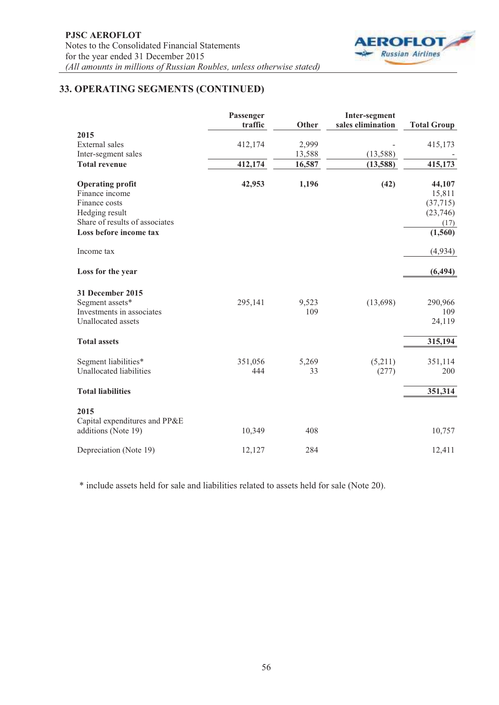

# **33. OPERATING SEGMENTS (CONTINUED)**

|                                | Passenger |              | Inter-segment     |                    |
|--------------------------------|-----------|--------------|-------------------|--------------------|
|                                | traffic   | <b>Other</b> | sales elimination | <b>Total Group</b> |
| 2015                           |           |              |                   |                    |
| External sales                 | 412,174   | 2,999        |                   | 415,173            |
| Inter-segment sales            |           | 13,588       | (13, 588)         |                    |
| <b>Total revenue</b>           | 412,174   | 16,587       | (13,588)          | 415,173            |
| <b>Operating profit</b>        | 42,953    | 1,196        | (42)              | 44,107             |
| Finance income                 |           |              |                   | 15,811             |
| Finance costs                  |           |              |                   | (37,715)           |
| Hedging result                 |           |              |                   | (23,746)           |
| Share of results of associates |           |              |                   | (17)               |
| Loss before income tax         |           |              |                   | (1, 560)           |
| Income tax                     |           |              |                   | (4, 934)           |
| Loss for the year              |           |              |                   | (6, 494)           |
| <b>31 December 2015</b>        |           |              |                   |                    |
| Segment assets*                | 295,141   | 9,523        | (13,698)          | 290,966            |
| Investments in associates      |           | 109          |                   | 109                |
| Unallocated assets             |           |              |                   | 24,119             |
| <b>Total assets</b>            |           |              |                   | 315,194            |
| Segment liabilities*           | 351,056   | 5,269        | (5,211)           | 351,114            |
| Unallocated liabilities        | 444       | 33           | (277)             | 200                |
| <b>Total liabilities</b>       |           |              |                   | 351,314            |
| 2015                           |           |              |                   |                    |
| Capital expenditures and PP&E  |           |              |                   |                    |
| additions (Note 19)            | 10,349    | 408          |                   | 10,757             |
| Depreciation (Note 19)         | 12,127    | 284          |                   | 12,411             |

\* include assets held for sale and liabilities related to assets held for sale (Note 20).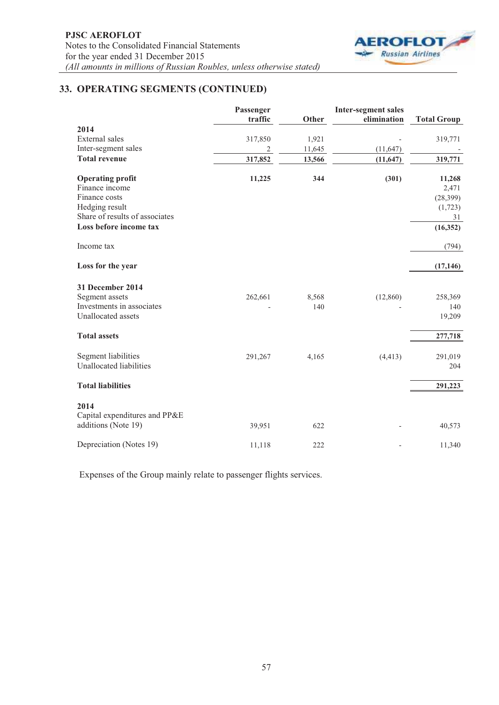

# **33. OPERATING SEGMENTS (CONTINUED)**

|                                       | Passenger  |        | <b>Inter-segment sales</b> |                    |
|---------------------------------------|------------|--------|----------------------------|--------------------|
|                                       | traffic    | Other  | elimination                | <b>Total Group</b> |
| 2014<br>External sales                |            |        |                            |                    |
|                                       | 317,850    | 1,921  |                            | 319,771            |
| Inter-segment sales                   | $\sqrt{2}$ | 11,645 | (11, 647)                  |                    |
| <b>Total revenue</b>                  | 317,852    | 13,566 | (11, 647)                  | 319,771            |
| <b>Operating profit</b>               | 11,225     | 344    | (301)                      | 11,268             |
| Finance income                        |            |        |                            | 2,471              |
| Finance costs                         |            |        |                            | (28, 399)          |
| Hedging result                        |            |        |                            | (1,723)            |
| Share of results of associates        |            |        |                            | 31                 |
| Loss before income tax                |            |        |                            | (16, 352)          |
| Income tax                            |            |        |                            | (794)              |
| Loss for the year                     |            |        |                            | (17, 146)          |
| 31 December 2014                      |            |        |                            |                    |
| Segment assets                        | 262,661    | 8,568  | (12, 860)                  | 258,369            |
| Investments in associates             |            | 140    |                            | 140                |
| Unallocated assets                    |            |        |                            | 19,209             |
| <b>Total assets</b>                   |            |        |                            | 277,718            |
| Segment liabilities                   |            |        |                            |                    |
| Unallocated liabilities               | 291,267    | 4,165  | (4, 413)                   | 291,019<br>204     |
|                                       |            |        |                            |                    |
| <b>Total liabilities</b>              |            |        |                            | 291,223            |
| 2014<br>Capital expenditures and PP&E |            |        |                            |                    |
| additions (Note 19)                   | 39,951     | 622    |                            | 40,573             |
| Depreciation (Notes 19)               | 11,118     | 222    |                            | 11,340             |

Expenses of the Group mainly relate to passenger flights services.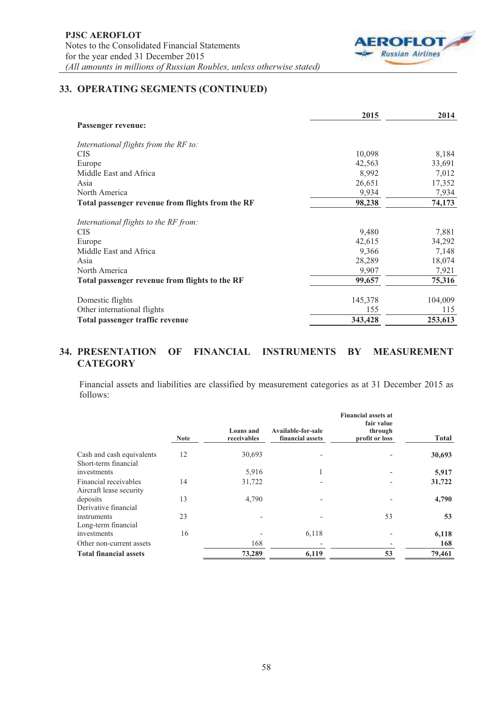

# **33. OPERATING SEGMENTS (CONTINUED)**

|                                                  | 2015    | 2014    |
|--------------------------------------------------|---------|---------|
| Passenger revenue:                               |         |         |
| International flights from the RF to:            |         |         |
| <b>CIS</b>                                       | 10,098  | 8,184   |
| Europe                                           | 42,563  | 33,691  |
| Middle East and Africa                           | 8,992   | 7,012   |
| Asia                                             | 26,651  | 17,352  |
| North America                                    | 9,934   | 7,934   |
| Total passenger revenue from flights from the RF | 98,238  | 74,173  |
| International flights to the RF from:            |         |         |
| <b>CIS</b>                                       | 9,480   | 7,881   |
| Europe                                           | 42,615  | 34,292  |
| Middle East and Africa                           | 9,366   | 7,148   |
| Asia                                             | 28,289  | 18,074  |
| North America                                    | 9,907   | 7,921   |
| Total passenger revenue from flights to the RF   | 99,657  | 75,316  |
| Domestic flights                                 | 145,378 | 104,009 |
| Other international flights                      | 155     | 115     |
| Total passenger traffic revenue                  | 343,428 | 253,613 |

### **34. PRESENTATION OF FINANCIAL INSTRUMENTS BY MEASUREMENT CATEGORY**

Financial assets and liabilities are classified by measurement categories as at 31 December 2015 as follows:

|                               | <b>Note</b> | Loans and<br>receivables | Available-for-sale<br>financial assets | <b>Financial assets at</b><br>fair value<br>through<br>profit or loss | <b>Total</b> |
|-------------------------------|-------------|--------------------------|----------------------------------------|-----------------------------------------------------------------------|--------------|
| Cash and cash equivalents     | 12          | 30,693                   |                                        |                                                                       | 30,693       |
| Short-term financial          |             |                          |                                        |                                                                       |              |
| investments                   |             | 5,916                    |                                        |                                                                       | 5,917        |
| Financial receivables         | 14          | 31,722                   |                                        |                                                                       | 31,722       |
| Aircraft lease security       |             |                          |                                        |                                                                       |              |
| deposits                      | 13          | 4,790                    |                                        |                                                                       | 4,790        |
| Derivative financial          |             |                          |                                        |                                                                       |              |
| instruments                   | 23          |                          |                                        | 53                                                                    | 53           |
| Long-term financial           |             |                          |                                        |                                                                       |              |
| investments                   | 16          |                          | 6,118                                  |                                                                       | 6,118        |
| Other non-current assets      |             | 168                      |                                        |                                                                       | 168          |
| <b>Total financial assets</b> |             | 73,289                   | 6,119                                  | 53                                                                    | 79,461       |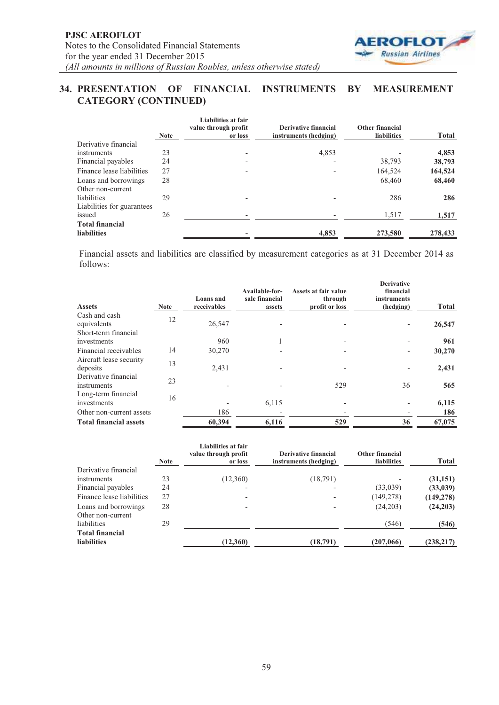

# **34. PRESENTATION OF FINANCIAL INSTRUMENTS BY MEASUREMENT CATEGORY (CONTINUED)**

|                            | <b>Note</b> | <b>Liabilities at fair</b><br>value through profit<br>or loss | <b>Derivative financial</b><br>instruments (hedging) | Other financial<br><b>liabilities</b> | <b>Total</b> |
|----------------------------|-------------|---------------------------------------------------------------|------------------------------------------------------|---------------------------------------|--------------|
| Derivative financial       |             |                                                               |                                                      |                                       |              |
| instruments                | 23          | $\overline{\phantom{0}}$                                      | 4,853                                                |                                       | 4,853        |
| Financial payables         | 24          | $\overline{a}$                                                |                                                      | 38,793                                | 38,793       |
| Finance lease liabilities  | 27          | $\overline{\phantom{0}}$                                      |                                                      | 164.524                               | 164,524      |
| Loans and borrowings       | 28          |                                                               |                                                      | 68,460                                | 68,460       |
| Other non-current          |             |                                                               |                                                      |                                       |              |
| liabilities                | 29          |                                                               |                                                      | 286                                   | 286          |
| Liabilities for guarantees |             |                                                               |                                                      |                                       |              |
| issued                     | 26          |                                                               |                                                      | 1,517                                 | 1,517        |
| <b>Total financial</b>     |             |                                                               |                                                      |                                       |              |
| <b>liabilities</b>         |             |                                                               | 4,853                                                | 273,580                               | 278,433      |

Financial assets and liabilities are classified by measurement categories as at 31 December 2014 as follows:

| <b>Assets</b>                       | <b>Note</b> | Loans and<br>receivables | Available-for-<br>sale financial<br>assets | Assets at fair value<br>through<br>profit or loss | <b>Derivative</b><br>financial<br><i>instruments</i><br>(hedging) | <b>Total</b> |
|-------------------------------------|-------------|--------------------------|--------------------------------------------|---------------------------------------------------|-------------------------------------------------------------------|--------------|
| Cash and cash<br>equivalents        | 12          | 26,547                   |                                            |                                                   |                                                                   | 26,547       |
| Short-term financial<br>investments |             | 960                      |                                            |                                                   |                                                                   | 961          |
| Financial receivables               | 14          | 30,270                   |                                            |                                                   |                                                                   | 30,270       |
| Aircraft lease security<br>deposits | 13          | 2,431                    |                                            |                                                   |                                                                   | 2,431        |
| Derivative financial<br>instruments | 23          |                          |                                            | 529                                               | 36                                                                | 565          |
| Long-term financial<br>investments  | 16          |                          | 6,115                                      |                                                   |                                                                   | 6,115        |
| Other non-current assets            |             | 186                      |                                            |                                                   |                                                                   | 186          |
| <b>Total financial assets</b>       |             | 60,394                   | 6,116                                      | 529                                               | 36                                                                | 67,075       |

|                                              | <b>Note</b> | Liabilities at fair<br>value through profit<br>or loss | Derivative financial<br>instruments (hedging) | Other financial<br><b>liabilities</b> | <b>Total</b> |
|----------------------------------------------|-------------|--------------------------------------------------------|-----------------------------------------------|---------------------------------------|--------------|
| Derivative financial                         |             |                                                        |                                               |                                       |              |
| instruments                                  | 23          | (12,360)                                               | (18,791)                                      |                                       | (31, 151)    |
| Financial payables                           | 24          |                                                        |                                               | (33,039)                              | (33,039)     |
| Finance lease liabilities                    | 27          | -                                                      | ۰                                             | (149, 278)                            | (149, 278)   |
| Loans and borrowings<br>Other non-current    | 28          |                                                        |                                               | (24,203)                              | (24,203)     |
| liabilities                                  | 29          |                                                        |                                               | (546)                                 | (546)        |
| <b>Total financial</b><br><b>liabilities</b> |             | (12,360)                                               | (18,791)                                      | (207,066)                             | (238, 217)   |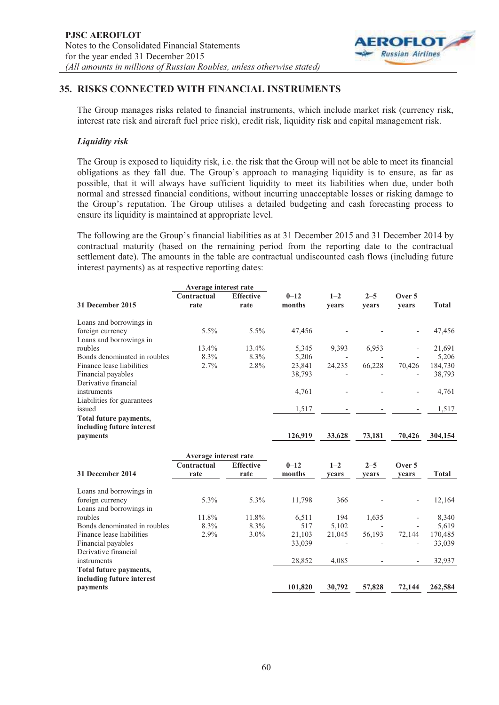

### **35. RISKS CONNECTED WITH FINANCIAL INSTRUMENTS**

The Group manages risks related to financial instruments, which include market risk (currency risk, interest rate risk and aircraft fuel price risk), credit risk, liquidity risk and capital management risk.

#### *Liquidity risk*

The Group is exposed to liquidity risk, i.e. the risk that the Group will not be able to meet its financial obligations as they fall due. The Group's approach to managing liquidity is to ensure, as far as possible, that it will always have sufficient liquidity to meet its liabilities when due, under both normal and stressed financial conditions, without incurring unacceptable losses or risking damage to the Group's reputation. The Group utilises a detailed budgeting and cash forecasting process to ensure its liquidity is maintained at appropriate level.

The following are the Group's financial liabilities as at 31 December 2015 and 31 December 2014 by contractual maturity (based on the remaining period from the reporting date to the contractual settlement date). The amounts in the table are contractual undiscounted cash flows (including future interest payments) as at respective reporting dates:

| Contractual | <b>Effective</b> | $0 - 12$                                               | $1 - 2$                   | $2 - 5$ | Over 5 |              |
|-------------|------------------|--------------------------------------------------------|---------------------------|---------|--------|--------------|
| rate        | rate             | months                                                 | years                     | years   | years  | <b>Total</b> |
|             |                  |                                                        |                           |         |        |              |
| 5.5%        | 5.5%             |                                                        |                           |         |        | 47,456       |
|             |                  |                                                        |                           |         |        |              |
| 13.4%       | 13.4%            | 5,345                                                  | 9,393                     | 6,953   |        | 21,691       |
| 8.3%        | 8.3%             | 5,206                                                  |                           |         |        | 5,206        |
| 2.7%        | 2.8%             | 23,841                                                 | 24,235                    | 66,228  | 70,426 | 184,730      |
|             |                  | 38,793                                                 |                           |         |        | 38,793       |
|             |                  |                                                        |                           |         |        |              |
|             |                  | 4,761                                                  |                           |         |        | 4,761        |
|             |                  |                                                        |                           |         |        |              |
|             |                  | 1,517                                                  |                           |         |        | 1,517        |
|             |                  |                                                        |                           |         |        |              |
|             |                  |                                                        |                           |         |        |              |
|             |                  | 126,919                                                | 33,628                    | 73,181  | 70,426 | 304,154      |
|             |                  |                                                        |                           |         |        |              |
|             |                  |                                                        |                           |         |        |              |
| Contractual | <b>Effective</b> | $0 - 12$                                               | $1 - 2$                   | $2 - 5$ | Over 5 |              |
| rate        | rate             | months                                                 | years                     | years   | years  | <b>Total</b> |
|             |                  |                                                        |                           |         |        |              |
|             |                  |                                                        |                           |         |        | 12,164       |
|             |                  |                                                        |                           |         |        |              |
| 11.8%       | 11.8%            |                                                        | 194                       | 1,635   |        | 8,340        |
| 8.3%        | 8.3%             | 517                                                    | 5,102                     |         |        | 5,619        |
| 2.9%        | 3.0%             | 21,103                                                 | 21,045                    |         | 72,144 | 170,485      |
|             |                  | 33,039                                                 |                           |         |        | 33,039       |
|             |                  |                                                        |                           |         |        |              |
|             |                  | 28,852                                                 | 4,085                     |         |        | 32,937       |
|             |                  |                                                        |                           |         |        |              |
|             |                  |                                                        |                           |         |        |              |
|             |                  | 101,820                                                | 30,792                    | 57,828  | 72,144 | 262,584      |
|             | 5.3%             | Average interest rate<br>Average interest rate<br>5.3% | 47,456<br>11,798<br>6,511 | 366     | 56,193 |              |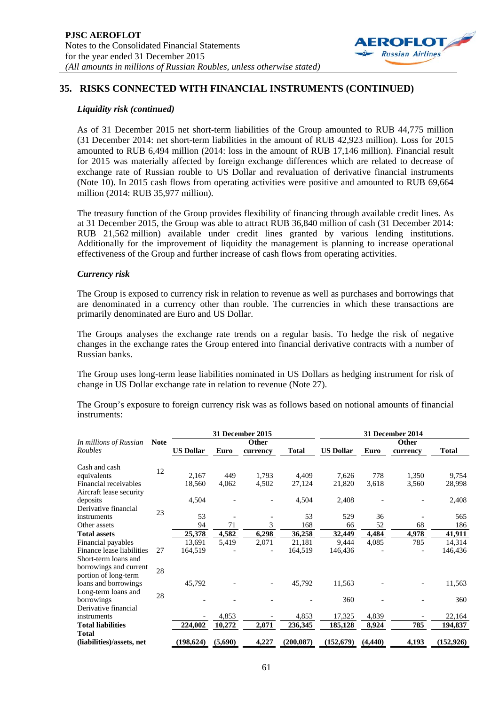

#### *Liquidity risk (continued)*

As of 31 December 2015 net short-term liabilities of the Group amounted to RUB 44,775 million (31 December 2014: net short-term liabilities in the amount of RUB 42,923 million). Loss for 2015 amounted to RUB 6,494 million (2014: loss in the amount of RUB 17,146 million). Financial result for 2015 was materially affected by foreign exchange differences which are related to decrease of exchange rate of Russian rouble to US Dollar and revaluation of derivative financial instruments (Note 10). In 2015 cash flows from operating activities were positive and amounted to RUB 69,664 million (2014: RUB 35,977 million).

The treasury function of the Group provides flexibility of financing through available credit lines. As at 31 December 2015, the Group was able to attract RUB 36,840 million of cash (31 December 2014: RUB 21,562 million) available under credit lines granted by various lending institutions. Additionally for the improvement of liquidity the management is planning to increase operational effectiveness of the Group and further increase of cash flows from operating activities.

#### *Currency risk*

The Group is exposed to currency risk in relation to revenue as well as purchases and borrowings that are denominated in a currency other than rouble. The currencies in which these transactions are primarily denominated are Euro and US Dollar.

The Groups analyses the exchange rate trends on a regular basis. To hedge the risk of negative changes in the exchange rates the Group entered into financial derivative contracts with a number of Russian banks.

The Group uses long-term lease liabilities nominated in US Dollars as hedging instrument for risk of change in US Dollar exchange rate in relation to revenue (Note 27).

The Group's exposure to foreign currency risk was as follows based on notional amounts of financial instruments:

|                           |             | 31 December 2015 |         | 31 December 2014 |              |                  |          |          |              |
|---------------------------|-------------|------------------|---------|------------------|--------------|------------------|----------|----------|--------------|
| In millions of Russian    | <b>Note</b> |                  |         | <b>Other</b>     |              |                  |          | Other    |              |
| Roubles                   |             | <b>US Dollar</b> | Euro    | currency         | <b>Total</b> | <b>US Dollar</b> | Euro     | currency | <b>Total</b> |
| Cash and cash             |             |                  |         |                  |              |                  |          |          |              |
| equivalents               | 12          | 2,167            | 449     | 1,793            | 4,409        | 7,626            | 778      | 1,350    | 9,754        |
| Financial receivables     |             | 18,560           | 4,062   | 4,502            | 27,124       | 21,820           | 3,618    | 3,560    | 28,998       |
| Aircraft lease security   |             |                  |         |                  |              |                  |          |          |              |
| deposits                  |             | 4,504            |         |                  | 4,504        | 2,408            |          |          | 2,408        |
| Derivative financial      |             |                  |         |                  |              |                  |          |          |              |
| instruments               | 23          | 53               |         |                  | 53           | 529              | 36       |          | 565          |
| Other assets              |             | 94               | 71      | 3                | 168          | 66               | 52       | 68       | 186          |
| <b>Total assets</b>       |             | 25,378           | 4,582   | 6,298            | 36,258       | 32,449           | 4,484    | 4,978    | 41,911       |
| Financial payables        |             | 13,691           | 5,419   | 2,071            | 21,181       | 9,444            | 4,085    | 785      | 14,314       |
| Finance lease liabilities | 27          | 164,519          |         |                  | 164,519      | 146,436          |          |          | 146,436      |
| Short-term loans and      |             |                  |         |                  |              |                  |          |          |              |
| borrowings and current    | 28          |                  |         |                  |              |                  |          |          |              |
| portion of long-term      |             |                  |         |                  |              |                  |          |          |              |
| loans and borrowings      |             | 45,792           |         |                  | 45,792       | 11,563           |          |          | 11,563       |
| Long-term loans and       | 28          |                  |         |                  |              |                  |          |          |              |
| borrowings                |             |                  |         |                  |              | 360              |          |          | 360          |
| Derivative financial      |             |                  |         |                  |              |                  |          |          |              |
| instruments               |             |                  | 4,853   |                  | 4,853        | 17,325           | 4,839    |          | 22,164       |
| <b>Total liabilities</b>  |             | 224,002          | 10,272  | 2,071            | 236,345      | 185,128          | 8,924    | 785      | 194,837      |
| <b>Total</b>              |             |                  |         |                  |              |                  |          |          |              |
| (liabilities)/assets, net |             | (198, 624)       | (5,690) | 4,227            | (200, 087)   | (152, 679)       | (4, 440) | 4,193    | (152, 926)   |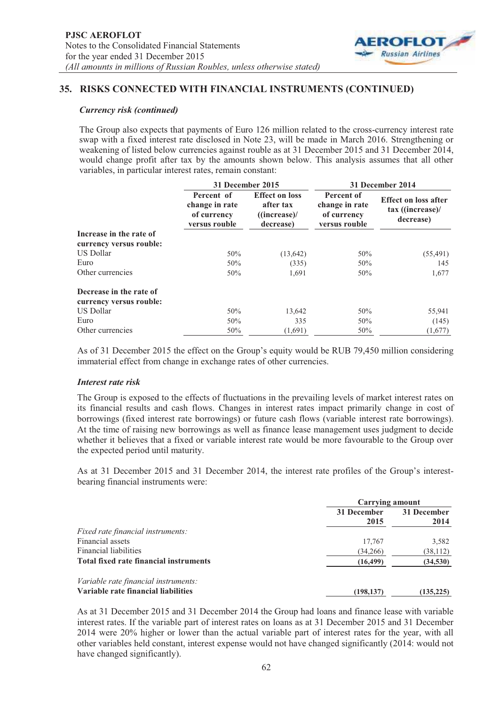

#### *Currency risk (continued)*

The Group also expects that payments of Euro 126 million related to the cross-currency interest rate swap with a fixed interest rate disclosed in Note 23, will be made in March 2016. Strengthening or weakening of listed below currencies against rouble as at 31 December 2015 and 31 December 2014, would change profit after tax by the amounts shown below. This analysis assumes that all other variables, in particular interest rates, remain constant:

|                                                    | 31 December 2015                                             |                                                                | 31 December 2014                                             |                                                             |  |
|----------------------------------------------------|--------------------------------------------------------------|----------------------------------------------------------------|--------------------------------------------------------------|-------------------------------------------------------------|--|
|                                                    | Percent of<br>change in rate<br>of currency<br>versus rouble | <b>Effect on loss</b><br>after tax<br>(iincrease)<br>decrease) | Percent of<br>change in rate<br>of currency<br>versus rouble | <b>Effect on loss after</b><br>tax (increase)/<br>decrease) |  |
| Increase in the rate of                            |                                                              |                                                                |                                                              |                                                             |  |
| currency versus rouble:                            |                                                              |                                                                |                                                              |                                                             |  |
| <b>US Dollar</b>                                   | 50%                                                          | (13, 642)                                                      | 50%                                                          | (55, 491)                                                   |  |
| Euro                                               | 50%                                                          | (335)                                                          | 50%                                                          | 145                                                         |  |
| Other currencies                                   | 50%                                                          | 1,691                                                          | 50%                                                          | 1,677                                                       |  |
| Decrease in the rate of<br>currency versus rouble: |                                                              |                                                                |                                                              |                                                             |  |
| <b>US Dollar</b>                                   | 50%                                                          | 13,642                                                         | 50%                                                          | 55,941                                                      |  |
| Euro                                               | 50%                                                          | 335                                                            | 50%                                                          | (145)                                                       |  |
| Other currencies                                   | 50%                                                          | (1,691)                                                        | 50%                                                          | (1,677)                                                     |  |

As of 31 December 2015 the effect on the Group's equity would be RUB 79,450 million considering immaterial effect from change in exchange rates of other currencies.

#### *Interest rate risk*

The Group is exposed to the effects of fluctuations in the prevailing levels of market interest rates on its financial results and cash flows. Changes in interest rates impact primarily change in cost of borrowings (fixed interest rate borrowings) or future cash flows (variable interest rate borrowings). At the time of raising new borrowings as well as finance lease management uses judgment to decide whether it believes that a fixed or variable interest rate would be more favourable to the Group over the expected period until maturity.

As at 31 December 2015 and 31 December 2014, the interest rate profiles of the Group's interestbearing financial instruments were:

|                                        | <b>Carrying amount</b> |             |  |
|----------------------------------------|------------------------|-------------|--|
|                                        | 31 December            | 31 December |  |
|                                        | 2015                   | 2014        |  |
| Fixed rate financial instruments:      |                        |             |  |
| Financial assets                       | 17,767                 | 3,582       |  |
| Financial liabilities                  | (34,266)               | (38, 112)   |  |
| Total fixed rate financial instruments | (16, 499)              | (34,530)    |  |
| Variable rate financial instruments:   |                        |             |  |
| Variable rate financial liabilities    | (198,137)              | (135, 225)  |  |

As at 31 December 2015 and 31 December 2014 the Group had loans and finance lease with variable interest rates. If the variable part of interest rates on loans as at 31 December 2015 and 31 December 2014 were 20% higher or lower than the actual variable part of interest rates for the year, with all other variables held constant, interest expense would not have changed significantly (2014: would not have changed significantly).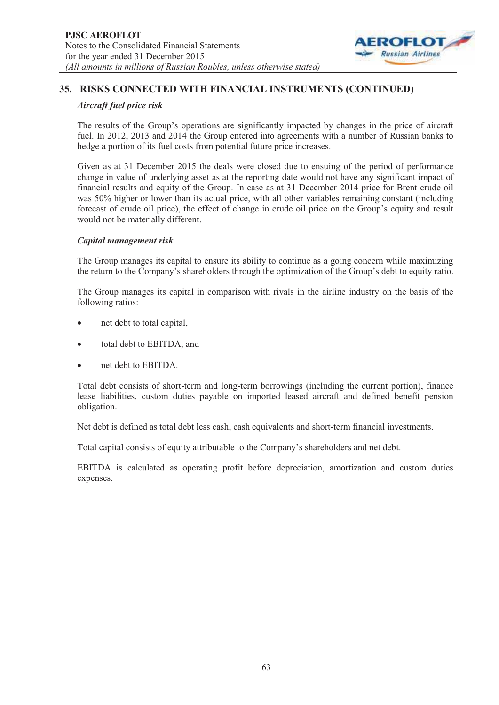

#### *Aircraft fuel price risk*

The results of the Group's operations are significantly impacted by changes in the price of aircraft fuel. In 2012, 2013 and 2014 the Group entered into agreements with a number of Russian banks to hedge a portion of its fuel costs from potential future price increases.

Given as at 31 December 2015 the deals were closed due to ensuing of the period of performance change in value of underlying asset as at the reporting date would not have any significant impact of financial results and equity of the Group. In case as at 31 December 2014 price for Brent crude oil was 50% higher or lower than its actual price, with all other variables remaining constant (including forecast of crude oil price), the effect of change in crude oil price on the Group's equity and result would not be materially different.

#### *Capital management risk*

The Group manages its capital to ensure its ability to continue as a going concern while maximizing the return to the Company's shareholders through the optimization of the Group's debt to equity ratio.

The Group manages its capital in comparison with rivals in the airline industry on the basis of the following ratios:

- net debt to total capital,
- $\bullet$ total debt to EBITDA, and
- $\bullet$ net debt to EBITDA.

Total debt consists of short-term and long-term borrowings (including the current portion), finance lease liabilities, custom duties payable on imported leased aircraft and defined benefit pension obligation.

Net debt is defined as total debt less cash, cash equivalents and short-term financial investments.

Total capital consists of equity attributable to the Company's shareholders and net debt.

EBITDA is calculated as operating profit before depreciation, amortization and custom duties expenses.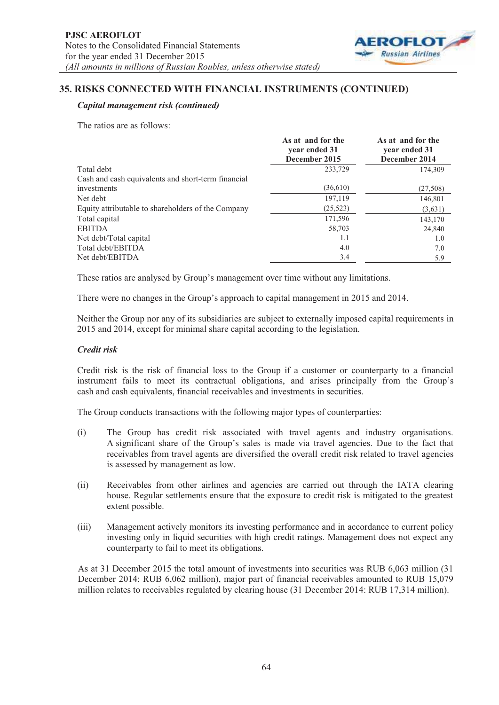

#### *Capital management risk (continued)*

The ratios are as follows:

|                                                    | As at and for the<br>year ended 31 | As at and for the<br>year ended 31 |
|----------------------------------------------------|------------------------------------|------------------------------------|
|                                                    | December 2015                      | December 2014                      |
| Total debt                                         | 233,729                            | 174,309                            |
| Cash and cash equivalents and short-term financial |                                    |                                    |
| investments                                        | (36,610)                           | (27,508)                           |
| Net debt                                           | 197,119                            | 146,801                            |
| Equity attributable to shareholders of the Company | (25, 523)                          | (3,631)                            |
| Total capital                                      | 171,596                            | 143,170                            |
| <b>EBITDA</b>                                      | 58,703                             | 24,840                             |
| Net debt/Total capital                             | 1.1                                | 1.0                                |
| Total debt/EBITDA                                  | 4.0                                | 7.0                                |
| Net debt/EBITDA                                    | 3.4                                | 5.9                                |

These ratios are analysed by Group's management over time without any limitations.

There were no changes in the Group's approach to capital management in 2015 and 2014.

Neither the Group nor any of its subsidiaries are subject to externally imposed capital requirements in 2015 and 2014, except for minimal share capital according to the legislation.

#### *Credit risk*

Credit risk is the risk of financial loss to the Group if a customer or counterparty to a financial instrument fails to meet its contractual obligations, and arises principally from the Group's cash and cash equivalents, financial receivables and investments in securities.

The Group conducts transactions with the following major types of counterparties:

- (i) The Group has credit risk associated with travel agents and industry organisations. A significant share of the Group's sales is made via travel agencies. Due to the fact that receivables from travel agents are diversified the overall credit risk related to travel agencies is assessed by management as low.
- (ii) Receivables from other airlines and agencies are carried out through the IATA clearing house. Regular settlements ensure that the exposure to credit risk is mitigated to the greatest extent possible.
- (iii) Management actively monitors its investing performance and in accordance to current policy investing only in liquid securities with high credit ratings. Management does not expect any counterparty to fail to meet its obligations.

As at 31 December 2015 the total amount of investments into securities was RUB 6,063 million (31 December 2014: RUB 6,062 million), major part of financial receivables amounted to RUB 15,079 million relates to receivables regulated by clearing house (31 December 2014: RUB 17,314 million).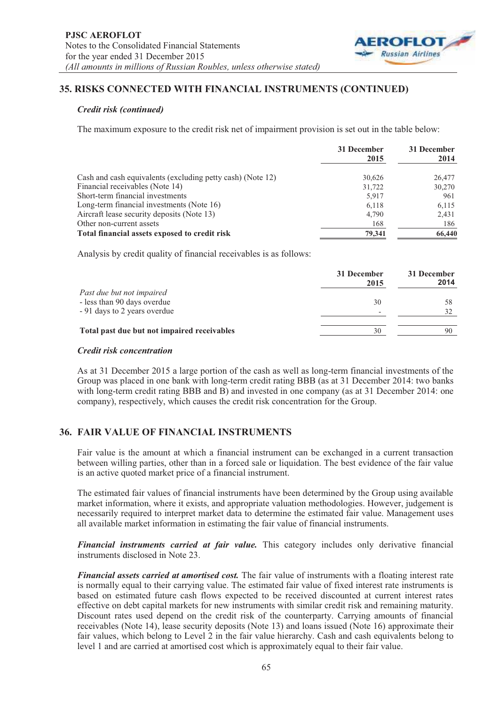

#### *Credit risk (continued)*

The maximum exposure to the credit risk net of impairment provision is set out in the table below:

|                                                            | 31 December<br>2015 | 31 December<br>2014 |
|------------------------------------------------------------|---------------------|---------------------|
| Cash and cash equivalents (excluding petty cash) (Note 12) | 30,626              | 26,477              |
| Financial receivables (Note 14)                            | 31,722              | 30,270              |
| Short-term financial investments                           | 5,917               | 961                 |
| Long-term financial investments (Note 16)                  | 6,118               | 6,115               |
| Aircraft lease security deposits (Note 13)                 | 4.790               | 2,431               |
| Other non-current assets                                   | 168                 | 186                 |
| Total financial assets exposed to credit risk              | 79,341              | 66,440              |

Analysis by credit quality of financial receivables is as follows:

| 31 December<br>2015 | 31 December<br>2014 |
|---------------------|---------------------|
|                     |                     |
| 30                  | 58                  |
|                     |                     |
| 30                  | 90                  |
|                     |                     |

#### *Credit risk concentration*

As at 31 December 2015 a large portion of the cash as well as long-term financial investments of the Group was placed in one bank with long-term credit rating BBB (as at 31 December 2014: two banks with long-term credit rating BBB and B) and invested in one company (as at 31 December 2014: one company), respectively, which causes the credit risk concentration for the Group.

### **36. FAIR VALUE OF FINANCIAL INSTRUMENTS**

Fair value is the amount at which a financial instrument can be exchanged in a current transaction between willing parties, other than in a forced sale or liquidation. The best evidence of the fair value is an active quoted market price of a financial instrument.

The estimated fair values of financial instruments have been determined by the Group using available market information, where it exists, and appropriate valuation methodologies. However, judgement is necessarily required to interpret market data to determine the estimated fair value. Management uses all available market information in estimating the fair value of financial instruments.

*Financial instruments carried at fair value.* This category includes only derivative financial instruments disclosed in Note 23.

*Financial assets carried at amortised cost.* The fair value of instruments with a floating interest rate is normally equal to their carrying value. The estimated fair value of fixed interest rate instruments is based on estimated future cash flows expected to be received discounted at current interest rates effective on debt capital markets for new instruments with similar credit risk and remaining maturity. Discount rates used depend on the credit risk of the counterparty. Carrying amounts of financial receivables (Note 14), lease security deposits (Note 13) and loans issued (Note 16) approximate their fair values, which belong to Level 2 in the fair value hierarchy. Cash and cash equivalents belong to level 1 and are carried at amortised cost which is approximately equal to their fair value.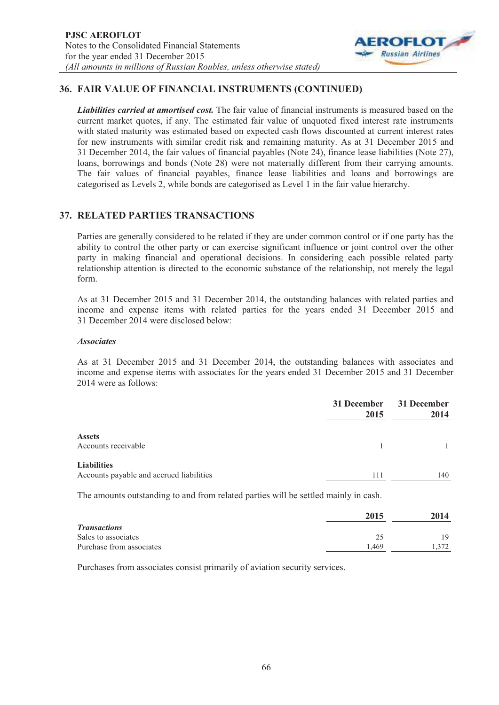

### **36. FAIR VALUE OF FINANCIAL INSTRUMENTS (CONTINUED)**

*Liabilities carried at amortised cost.* The fair value of financial instruments is measured based on the current market quotes, if any. The estimated fair value of unquoted fixed interest rate instruments with stated maturity was estimated based on expected cash flows discounted at current interest rates for new instruments with similar credit risk and remaining maturity. As at 31 December 2015 and 31 December 2014, the fair values of financial payables (Note 24), finance lease liabilities (Note 27), loans, borrowings and bonds (Note 28) were not materially different from their carrying amounts. The fair values of financial payables, finance lease liabilities and loans and borrowings are categorised as Levels 2, while bonds are categorised as Level 1 in the fair value hierarchy.

### **37. RELATED PARTIES TRANSACTIONS**

Parties are generally considered to be related if they are under common control or if one party has the ability to control the other party or can exercise significant influence or joint control over the other party in making financial and operational decisions. In considering each possible related party relationship attention is directed to the economic substance of the relationship, not merely the legal form.

As at 31 December 2015 and 31 December 2014, the outstanding balances with related parties and income and expense items with related parties for the years ended 31 December 2015 and 31 December 2014 were disclosed below:

#### *Associates*

As at 31 December 2015 and 31 December 2014, the outstanding balances with associates and income and expense items with associates for the years ended 31 December 2015 and 31 December 2014 were as follows:

|                                                                | 31 December<br>2015 | 31 December<br>2014 |
|----------------------------------------------------------------|---------------------|---------------------|
| <b>Assets</b><br>Accounts receivable                           |                     |                     |
| <b>Liabilities</b><br>Accounts payable and accrued liabilities | 111                 | 140                 |

The amounts outstanding to and from related parties will be settled mainly in cash.

|                          | 2015  | 2014  |
|--------------------------|-------|-------|
| <b>Transactions</b>      |       |       |
| Sales to associates      | 25    | 19    |
| Purchase from associates | 1.469 | 1.372 |

Purchases from associates consist primarily of aviation security services.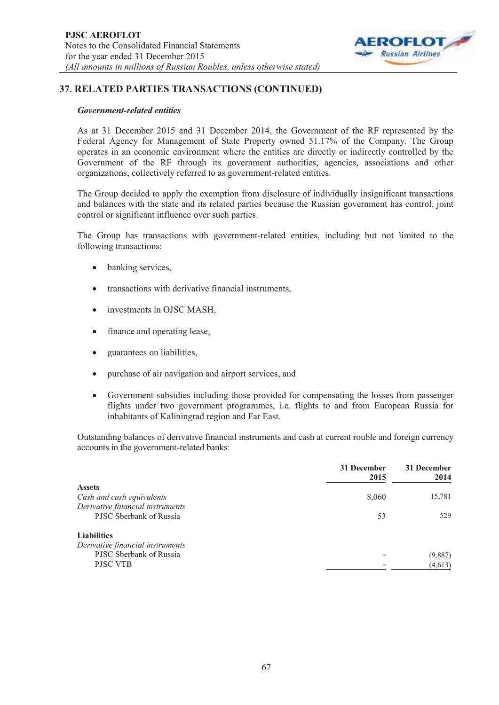

### **37. RELATED PARTIES TRANSACTIONS (CONTINUED)**

#### *Government-related entities*

As at 31 December 2015 and 31 December 2014, the Government of the RF represented by the Federal Agency for Management of State Property owned 51.17% of the Company. The Group operates in an economic environment where the entities are directly or indirectly controlled by the Government of the RF through its government authorities, agencies, associations and other organizations, collectively referred to as government-related entities.

The Group decided to apply the exemption from disclosure of individually insignificant transactions and balances with the state and its related parties because the Russian government has control, joint control or significant influence over such parties.

The Group has transactions with government-related entities, including but not limited to the following transactions:

- banking services,
- transactions with derivative financial instruments,
- investments in OJSC MASH,
- finance and operating lease,
- guarantees on liabilities,
- purchase of air navigation and airport services, and
- $\bullet$  Government subsidies including those provided for compensating the losses from passenger flights under two government programmes, i.e. flights to and from European Russia for inhabitants of Kaliningrad region and Far East.

Outstanding balances of derivative financial instruments and cash at current rouble and foreign currency accounts in the government-related banks:

|                                  | 31 December<br>2015 | 31 December<br>2014 |
|----------------------------------|---------------------|---------------------|
| <b>Assets</b>                    |                     |                     |
| Cash and cash equivalents        | 8,060               | 15,781              |
| Derivative financial instruments |                     |                     |
| PJSC Sberbank of Russia          | 53                  | 529                 |
| <b>Liabilities</b>               |                     |                     |
| Derivative financial instruments |                     |                     |
| PJSC Sberbank of Russia          |                     | (9,887)             |
| PJSC VTB                         |                     | (4,613)             |
|                                  |                     |                     |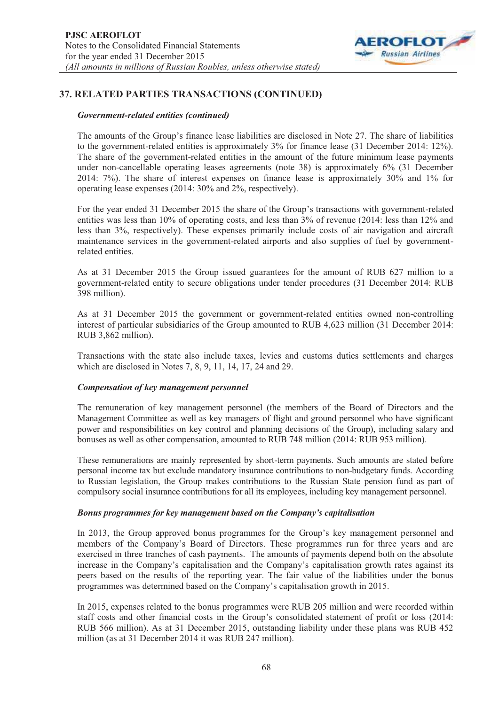

# **37. RELATED PARTIES TRANSACTIONS (CONTINUED)**

### *Government-related entities (continued)*

The amounts of the Group's finance lease liabilities are disclosed in Note 27. The share of liabilities to the government-related entities is approximately 3% for finance lease (31 December 2014: 12%). The share of the government-related entities in the amount of the future minimum lease payments under non-cancellable operating leases agreements (note 38) is approximately 6% (31 December 2014: 7%). The share of interest expenses on finance lease is approximately 30% and 1% for operating lease expenses (2014: 30% and 2%, respectively).

For the year ended 31 December 2015 the share of the Group's transactions with government-related entities was less than 10% of operating costs, and less than 3% of revenue (2014: less than 12% and less than 3%, respectively). These expenses primarily include costs of air navigation and aircraft maintenance services in the government-related airports and also supplies of fuel by governmentrelated entities.

As at 31 December 2015 the Group issued guarantees for the amount of RUB 627 million to a government-related entity to secure obligations under tender procedures (31 December 2014: RUB 398 million).

As at 31 December 2015 the government or government-related entities owned non-controlling interest of particular subsidiaries of the Group amounted to RUB 4,623 million (31 December 2014: RUB 3,862 million).

Transactions with the state also include taxes, levies and customs duties settlements and charges which are disclosed in Notes 7, 8, 9, 11, 14, 17, 24 and 29.

#### *Compensation of key management personnel*

The remuneration of key management personnel (the members of the Board of Directors and the Management Committee as well as key managers of flight and ground personnel who have significant power and responsibilities on key control and planning decisions of the Group), including salary and bonuses as well as other compensation, amounted to RUB 748 million (2014: RUB 953 million).

These remunerations are mainly represented by short-term payments. Such amounts are stated before personal income tax but exclude mandatory insurance contributions to non-budgetary funds. According to Russian legislation, the Group makes contributions to the Russian State pension fund as part of compulsory social insurance contributions for all its employees, including key management personnel.

#### *Bonus programmes for key management based on the Company's capitalisation*

In 2013, the Group approved bonus programmes for the Group's key management personnel and members of the Company's Board of Directors. These programmes run for three years and are exercised in three tranches of cash payments. The amounts of payments depend both on the absolute increase in the Company's capitalisation and the Company's capitalisation growth rates against its peers based on the results of the reporting year. The fair value of the liabilities under the bonus programmes was determined based on the Company's capitalisation growth in 2015.

In 2015, expenses related to the bonus programmes were RUB 205 million and were recorded within staff costs and other financial costs in the Group's consolidated statement of profit or loss (2014: RUB 566 million). As at 31 December 2015, outstanding liability under these plans was RUB 452 million (as at 31 December 2014 it was RUB 247 million).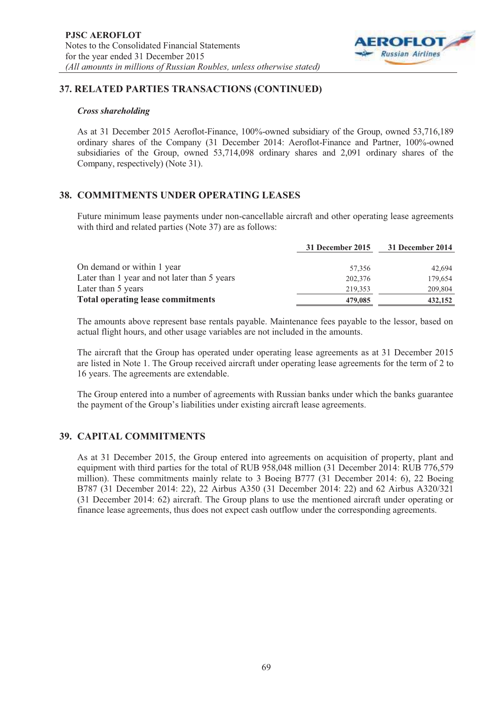

## **37. RELATED PARTIES TRANSACTIONS (CONTINUED)**

### *Cross shareholding*

As at 31 December 2015 Aeroflot-Finance, 100%-owned subsidiary of the Group, owned 53,716,189 ordinary shares of the Company (31 December 2014: Aeroflot-Finance and Partner, 100%-owned subsidiaries of the Group, owned 53,714,098 ordinary shares and 2,091 ordinary shares of the Company, respectively) (Note 31).

## **38. COMMITMENTS UNDER OPERATING LEASES**

Future minimum lease payments under non-cancellable aircraft and other operating lease agreements with third and related parties (Note 37) are as follows:

|                                              | 31 December 2015 | 31 December 2014 |
|----------------------------------------------|------------------|------------------|
| On demand or within 1 year                   | 57,356           | 42,694           |
| Later than 1 year and not later than 5 years | 202,376          | 179,654          |
| Later than 5 years                           | 219.353          | 209,804          |
| <b>Total operating lease commitments</b>     | 479,085          | 432,152          |

The amounts above represent base rentals payable. Maintenance fees payable to the lessor, based on actual flight hours, and other usage variables are not included in the amounts.

The aircraft that the Group has operated under operating lease agreements as at 31 December 2015 are listed in Note 1. The Group received aircraft under operating lease agreements for the term of 2 to 16 years. The agreements are extendable.

The Group entered into a number of agreements with Russian banks under which the banks guarantee the payment of the Group's liabilities under existing aircraft lease agreements.

# **39. CAPITAL COMMITMENTS**

As at 31 December 2015, the Group entered into agreements on acquisition of property, plant and equipment with third parties for the total of RUB 958,048 million (31 December 2014: RUB 776,579 million). These commitments mainly relate to 3 Boeing B777 (31 December 2014: 6), 22 Boeing B787 (31 December 2014: 22), 22 Airbus A350 (31 December 2014: 22) and 62 Airbus A320/321 (31 December 2014: 62) aircraft. The Group plans to use the mentioned aircraft under operating or finance lease agreements, thus does not expect cash outflow under the corresponding agreements.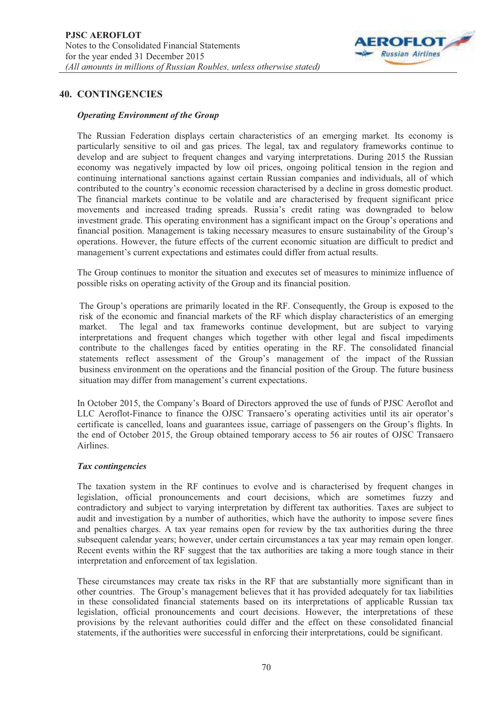

## **40. CONTINGENCIES**

### *Operating Environment of the Group*

The Russian Federation displays certain characteristics of an emerging market. Its economy is particularly sensitive to oil and gas prices. The legal, tax and regulatory frameworks continue to develop and are subject to frequent changes and varying interpretations. During 2015 the Russian economy was negatively impacted by low oil prices, ongoing political tension in the region and continuing international sanctions against certain Russian companies and individuals, all of which contributed to the country's economic recession characterised by a decline in gross domestic product. The financial markets continue to be volatile and are characterised by frequent significant price movements and increased trading spreads. Russia's credit rating was downgraded to below investment grade. This operating environment has a significant impact on the Group's operations and financial position. Management is taking necessary measures to ensure sustainability of the Group's operations. However, the future effects of the current economic situation are difficult to predict and management's current expectations and estimates could differ from actual results.

The Group continues to monitor the situation and executes set of measures to minimize influence of possible risks on operating activity of the Group and its financial position.

The Group's operations are primarily located in the RF. Consequently, the Group is exposed to the risk of the economic and financial markets of the RF which display characteristics of an emerging market. The legal and tax frameworks continue development, but are subject to varying interpretations and frequent changes which together with other legal and fiscal impediments contribute to the challenges faced by entities operating in the RF. The consolidated financial statements reflect assessment of the Group's management of the impact of the Russian business environment on the operations and the financial position of the Group. The future business situation may differ from management's current expectations.

In October 2015, the Company's Board of Directors approved the use of funds of PJSC Aeroflot and LLC Aeroflot-Finance to finance the OJSC Transaero's operating activities until its air operator's certificate is cancelled, loans and guarantees issue, carriage of passengers on the Group's flights. In the end of October 2015, the Group obtained temporary access to 56 air routes of OJSC Transaero Airlines.

#### *Tax contingencies*

The taxation system in the RF continues to evolve and is characterised by frequent changes in legislation, official pronouncements and court decisions, which are sometimes fuzzy and contradictory and subject to varying interpretation by different tax authorities. Taxes are subject to audit and investigation by a number of authorities, which have the authority to impose severe fines and penalties charges. A tax year remains open for review by the tax authorities during the three subsequent calendar years; however, under certain circumstances a tax year may remain open longer. Recent events within the RF suggest that the tax authorities are taking a more tough stance in their interpretation and enforcement of tax legislation.

These circumstances may create tax risks in the RF that are substantially more significant than in other countries. The Group's management believes that it has provided adequately for tax liabilities in these consolidated financial statements based on its interpretations of applicable Russian tax legislation, official pronouncements and court decisions. However, the interpretations of these provisions by the relevant authorities could differ and the effect on these consolidated financial statements, if the authorities were successful in enforcing their interpretations, could be significant.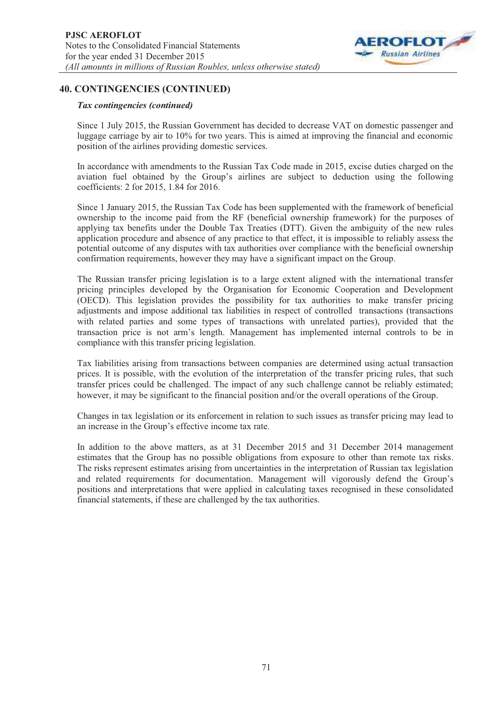

# **40. CONTINGENCIES (CONTINUED)**

### *Tax contingencies (continued)*

Since 1 July 2015, the Russian Government has decided to decrease VAT on domestic passenger and luggage carriage by air to 10% for two years. This is aimed at improving the financial and economic position of the airlines providing domestic services.

In accordance with amendments to the Russian Tax Code made in 2015, excise duties charged on the aviation fuel obtained by the Group's airlines are subject to deduction using the following coefficients: 2 for 2015, 1.84 for 2016.

Since 1 January 2015, the Russian Tax Code has been supplemented with the framework of beneficial ownership to the income paid from the RF (beneficial ownership framework) for the purposes of applying tax benefits under the Double Tax Treaties (DTT). Given the ambiguity of the new rules application procedure and absence of any practice to that effect, it is impossible to reliably assess the potential outcome of any disputes with tax authorities over compliance with the beneficial ownership confirmation requirements, however they may have a significant impact on the Group.

The Russian transfer pricing legislation is to a large extent aligned with the international transfer pricing principles developed by the Organisation for Economic Cooperation and Development (OECD). This legislation provides the possibility for tax authorities to make transfer pricing adjustments and impose additional tax liabilities in respect of controlled transactions (transactions with related parties and some types of transactions with unrelated parties), provided that the transaction price is not arm's length. Management has implemented internal controls to be in compliance with this transfer pricing legislation.

Tax liabilities arising from transactions between companies are determined using actual transaction prices. It is possible, with the evolution of the interpretation of the transfer pricing rules, that such transfer prices could be challenged. The impact of any such challenge cannot be reliably estimated; however, it may be significant to the financial position and/or the overall operations of the Group.

Changes in tax legislation or its enforcement in relation to such issues as transfer pricing may lead to an increase in the Group's effective income tax rate.

In addition to the above matters, as at 31 December 2015 and 31 December 2014 management estimates that the Group has no possible obligations from exposure to other than remote tax risks. The risks represent estimates arising from uncertainties in the interpretation of Russian tax legislation and related requirements for documentation. Management will vigorously defend the Group's positions and interpretations that were applied in calculating taxes recognised in these consolidated financial statements, if these are challenged by the tax authorities.